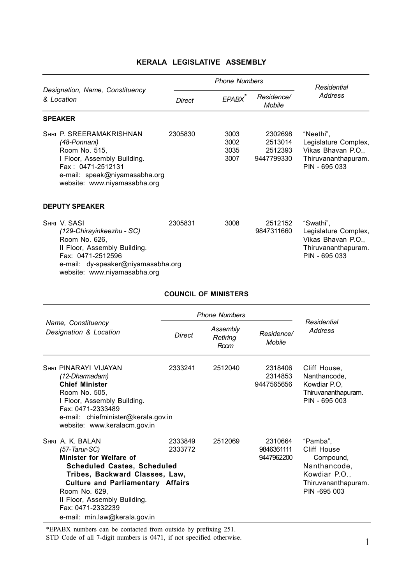|                                                                                                                                                                                                                                                                                            |                    | <b>Phone Numbers</b>         | Residential                                 |                                                                                                              |
|--------------------------------------------------------------------------------------------------------------------------------------------------------------------------------------------------------------------------------------------------------------------------------------------|--------------------|------------------------------|---------------------------------------------|--------------------------------------------------------------------------------------------------------------|
| Designation, Name, Constituency<br>& Location                                                                                                                                                                                                                                              | <b>Direct</b>      | EPABX <sup>*</sup>           | Residence/<br>Mobile                        | <b>Address</b>                                                                                               |
| <b>SPEAKER</b>                                                                                                                                                                                                                                                                             |                    |                              |                                             |                                                                                                              |
| SHRI P. SREERAMAKRISHNAN<br>(48-Ponnani)<br>Room No. 515,<br>I Floor, Assembly Building.<br>Fax: 0471-2512131<br>e-mail: speak@niyamasabha.org<br>website: www.niyamasabha.org                                                                                                             | 2305830            | 3003<br>3002<br>3035<br>3007 | 2302698<br>2513014<br>2512393<br>9447799330 | "Neethi",<br>Legislature Complex,<br>Vikas Bhavan P.O.,<br>Thiruvananthapuram.<br>PIN - 695 033              |
| <b>DEPUTY SPEAKER</b>                                                                                                                                                                                                                                                                      |                    |                              |                                             |                                                                                                              |
| SHRI V. SASI<br>(129-Chirayinkeezhu - SC)<br>Room No. 626,<br>II Floor, Assembly Building.<br>Fax: 0471-2512596<br>e-mail: dy-speaker@niyamasabha.org<br>website: www.niyamasabha.org                                                                                                      | 2305831            | 3008                         | 2512152<br>9847311660                       | "Swathi",<br>Legislature Complex,<br>Vikas Bhavan P.O.,<br>Thiruvananthapuram.<br>PIN - 695 033              |
|                                                                                                                                                                                                                                                                                            |                    | <b>COUNCIL OF MINISTERS</b>  |                                             |                                                                                                              |
|                                                                                                                                                                                                                                                                                            |                    | <b>Phone Numbers</b>         |                                             |                                                                                                              |
| Name, Constituency<br>Designation & Location                                                                                                                                                                                                                                               | Direct             | Assembly<br>Retiring<br>Room | Residence/<br>Mobile                        | Residential<br><b>Address</b>                                                                                |
| <b>SHRI PINARAYI VIJAYAN</b><br>(12-Dharmadam)<br><b>Chief Minister</b><br>Room No. 505,<br>I Floor, Assembly Building.<br>Fax: 0471-2333489<br>e-mail: chiefminister@kerala.gov.in<br>website: www.keralacm.gov.in                                                                        | 2333241            | 2512040                      | 2318406<br>2314853<br>9447565656            | Cliff House,<br>Nanthancode,<br>Kowdiar P.O.<br>Thiruvananthapuram.<br>PIN - 695 003                         |
| SHRI A. K. BALAN<br>$(57 - Tarr-SC)$<br>Minister for Welfare of<br><b>Scheduled Castes, Scheduled</b><br>Tribes, Backward Classes, Law,<br><b>Culture and Parliamentary Affairs</b><br>Room No. 629,<br>II Floor, Assembly Building.<br>Fax: 0471-2332239<br>e-mail: min.law@kerala.gov.in | 2333849<br>2333772 | 2512069                      | 2310664<br>9846361111<br>9447962200         | "Pamba".<br>Cliff House<br>Compound,<br>Nanthancode,<br>Kowdiar P.O.,<br>Thiruvananthapuram.<br>PIN -695 003 |

## **KERALA LEGISLATIVE ASSEMBLY**

\*EPABX numbers can be contacted from outside by prefixing 251.

STD Code of all 7-digit numbers is 0471, if not specified otherwise. 1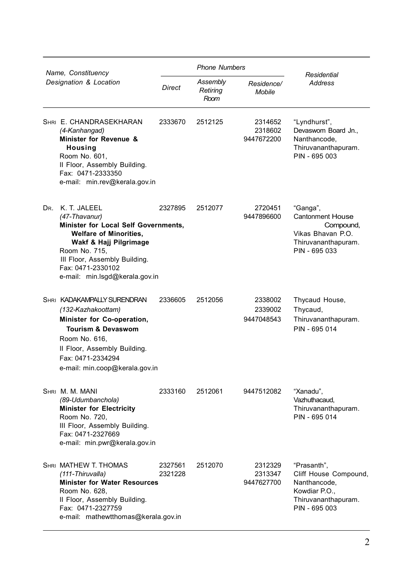| Name, Constituency |                                                                                                                                                                                                                                               |                    | <b>Phone Numbers</b>         |                                  |                                                                                                               |
|--------------------|-----------------------------------------------------------------------------------------------------------------------------------------------------------------------------------------------------------------------------------------------|--------------------|------------------------------|----------------------------------|---------------------------------------------------------------------------------------------------------------|
|                    | Designation & Location                                                                                                                                                                                                                        | Direct             | Assembly<br>Retiring<br>Room | Residence/<br>Mobile             | Residential<br><b>Address</b>                                                                                 |
|                    | SHRI E. CHANDRASEKHARAN<br>(4-Kanhangad)<br>Minister for Revenue &<br>Housing<br>Room No. 601,<br>II Floor, Assembly Building.<br>Fax: 0471-2333350<br>e-mail: min.rev@kerala.gov.in                                                          | 2333670            | 2512125                      | 2314652<br>2318602<br>9447672200 | "Lyndhurst",<br>Devaswom Board Jn.,<br>Nanthancode,<br>Thiruvananthapuram.<br>PIN - 695 003                   |
|                    | DR. K. T. JALEEL<br>(47-Thavanur)<br>Minister for Local Self Governments,<br><b>Welfare of Minorities,</b><br>Wakf & Hajj Pilgrimage<br>Room No. 715,<br>III Floor, Assembly Building.<br>Fax: 0471-2330102<br>e-mail: min.lsgd@kerala.gov.in | 2327895            | 2512077                      | 2720451<br>9447896600            | "Ganga",<br><b>Cantonment House</b><br>Compound,<br>Vikas Bhavan P.O.<br>Thiruvananthapuram.<br>PIN - 695 033 |
|                    | <b>SHRI KADAKAMPALLY SURENDRAN</b><br>(132-Kazhakoottam)<br>Minister for Co-operation,<br><b>Tourism &amp; Devaswom</b><br>Room No. 616,<br>II Floor, Assembly Building.<br>Fax: 0471-2334294<br>e-mail: min.coop@kerala.gov.in               | 2336605            | 2512056                      | 2338002<br>2339002<br>9447048543 | Thycaud House,<br>Thycaud,<br>Thiruvananthapuram.<br>PIN - 695 014                                            |
|                    | SHRI M. M. MANI<br>(89-Udumbanchola)<br><b>Minister for Electricity</b><br>Room No. 720,<br>III Floor, Assembly Building.<br>Fax: 0471-2327669<br>e-mail: min.pwr@kerala.gov.in                                                               | 2333160            | 2512061                      | 9447512082                       | "Xanadu",<br>Vazhuthacaud,<br>Thiruvananthapuram.<br>PIN - 695 014                                            |
|                    | SHRI MATHEW T. THOMAS<br>(111-Thiruvalla)<br><b>Minister for Water Resources</b><br>Room No. 628,<br>II Floor, Assembly Building.<br>Fax: 0471-2327759<br>e-mail: mathewtthomas@kerala.gov.in                                                 | 2327561<br>2321228 | 2512070                      | 2312329<br>2313347<br>9447627700 | "Prasanth",<br>Cliff House Compound,<br>Nanthancode,<br>Kowdiar P.O.,<br>Thiruvananthapuram.<br>PIN - 695 003 |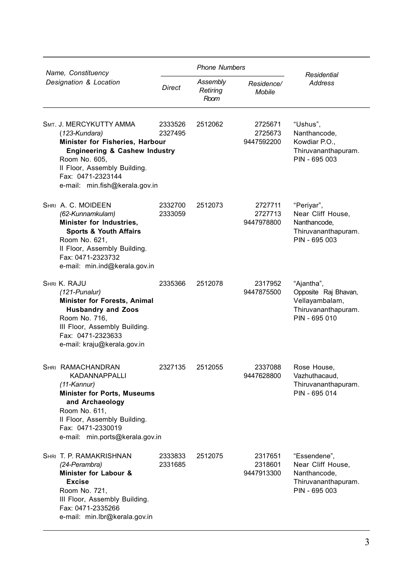| Name, Constituency |                                                                                                                                                                                                                              | <b>Phone Numbers</b> |                                                             |                                  |                                                                                              |
|--------------------|------------------------------------------------------------------------------------------------------------------------------------------------------------------------------------------------------------------------------|----------------------|-------------------------------------------------------------|----------------------------------|----------------------------------------------------------------------------------------------|
|                    | Designation & Location                                                                                                                                                                                                       | Direct               | Assembly<br>Residence/<br>Retiring<br><b>Mobile</b><br>Room |                                  | Residential<br><b>Address</b>                                                                |
|                    | SMT. J. MERCYKUTTY AMMA<br>(123-Kundara)<br>Minister for Fisheries, Harbour<br>Engineering & Cashew Industry<br>Room No. 605,<br>II Floor, Assembly Building.<br>Fax: 0471-2323144<br>e-mail: min.fish@kerala.gov.in         | 2333526<br>2327495   | 2512062                                                     | 2725671<br>2725673<br>9447592200 | "Ushus",<br>Nanthancode,<br>Kowdiar P.O.,<br>Thiruvananthapuram.<br>PIN - 695 003            |
|                    | SHRI A. C. MOIDEEN<br>(62-Kunnamkulam)<br>Minister for Industries,<br><b>Sports &amp; Youth Affairs</b><br>Room No. 621,<br>II Floor, Assembly Building.<br>Fax: 0471-2323732<br>e-mail: min.ind@kerala.gov.in               | 2332700<br>2333059   | 2512073                                                     | 2727711<br>2727713<br>9447978800 | "Periyar",<br>Near Cliff House,<br>Nanthancode.<br>Thiruvananthapuram.<br>PIN - 695 003      |
|                    | <b>SHRI K. RAJU</b><br>$(121$ -Punalur)<br>Minister for Forests, Animal<br><b>Husbandry and Zoos</b><br>Room No. 716,<br>III Floor, Assembly Building.<br>Fax: 0471-2323633<br>e-mail: kraju@kerala.gov.in                   | 2335366              | 2512078                                                     | 2317952<br>9447875500            | "Ajantha",<br>Opposite Raj Bhavan,<br>Vellayambalam,<br>Thiruvananthapuram.<br>PIN - 695 010 |
|                    | SHRI RAMACHANDRAN<br><b>KADANNAPPALLI</b><br>$(11-Kannur)$<br><b>Minister for Ports, Museums</b><br>and Archaeology<br>Room No. 611,<br>II Floor, Assembly Building.<br>Fax: 0471-2330019<br>e-mail: min.ports@kerala.gov.in | 2327135              | 2512055                                                     | 2337088<br>9447628800            | Rose House,<br>Vazhuthacaud,<br>Thiruvananthapuram.<br>PIN - 695 014                         |
|                    | SHRI T. P. RAMAKRISHNAN<br>(24-Perambra)<br>Minister for Labour &<br><b>Excise</b><br>Room No. 721,<br>III Floor, Assembly Building.<br>Fax: 0471-2335266<br>e-mail: min.lbr@kerala.gov.in                                   | 2333833<br>2331685   | 2512075                                                     | 2317651<br>2318601<br>9447913300 | "Essendene",<br>Near Cliff House,<br>Nanthancode.<br>Thiruvananthapuram.<br>PIN - 695 003    |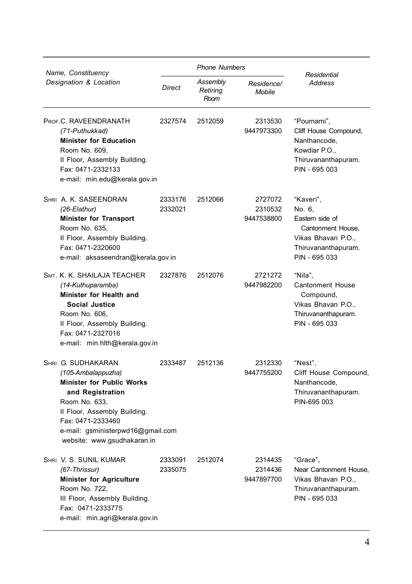| Name, Constituency                                                                                                                                                                                                                         |                    | <b>Phone Numbers</b>         |                                  |                                                                                                                           |
|--------------------------------------------------------------------------------------------------------------------------------------------------------------------------------------------------------------------------------------------|--------------------|------------------------------|----------------------------------|---------------------------------------------------------------------------------------------------------------------------|
| Designation & Location                                                                                                                                                                                                                     | Direct             | Assembly<br>Retiring<br>Room | Residence/<br><b>Mobile</b>      | Residential<br>Address                                                                                                    |
| PROF.C. RAVEENDRANATH<br>(71-Puthukkad)<br><b>Minister for Education</b><br>Room No. 609,<br>II Floor, Assembly Building.<br>Fax: 0471-2332133<br>e-mail: min.edu@kerala.gov.in                                                            | 2327574            | 2512059                      | 2313530<br>9447973300            | "Pournami",<br>Cliff House Compound,<br>Nanthancode.<br>Kowdiar P.O.,<br>Thiruvananthapuram.<br>PIN - 695 003             |
| SHRI A. K. SASEENDRAN<br>$(26-Elathur)$<br><b>Minister for Transport</b><br>Room No. 635,<br>II Floor, Assembly Building.<br>Fax: 0471-2320600<br>e-mail: aksaseendran@kerala.gov.in                                                       | 2333176<br>2332021 | 2512066                      | 2727072<br>2310532<br>9447538800 | "Kaveri".<br>No. 6,<br>Eastern side of<br>Cantonment House.<br>Vikas Bhavan P.O.,<br>Thiruvananthapuram.<br>PIN - 695 033 |
| SMT. K. K. SHAILAJA TEACHER<br>(14-Kuthuparamba)<br>Minister for Health and<br><b>Social Justice</b><br>Room No. 606,<br>II Floor, Assembly Building.<br>Fax: 0471-2327016<br>e-mail: min.hlth@kerala.gov.in                               | 2327876            | 2512076                      | 2721272<br>9447982200            | "Nila",<br><b>Cantonment House</b><br>Compound,<br>Vikas Bhavan P.O.,<br>Thiruvananthapuram.<br>PIN - 695 033             |
| SHRI G. SUDHAKARAN<br>(105-Ambalappuzha)<br><b>Minister for Public Works</b><br>and Registration<br>Room No. 633,<br>II Floor, Assembly Building.<br>Fax: 0471-2333460<br>e-mail: gsministerpwd16@gmail.com<br>website: www.gsudhakaran.in | 2333487            | 2512136                      | 2312330<br>9447755200            | "Nest".<br>Cliff House Compound,<br>Nanthancode,<br>Thiruvananthapuram.<br>PIN-695 003                                    |
| SHRI V. S. SUNIL KUMAR<br>(67-Thrissur)<br><b>Minister for Agriculture</b><br>Room No. 722,<br>III Floor, Assembly Building.<br>Fax: 0471-2333775<br>e-mail: min.agri@kerala.gov.in                                                        | 2333091<br>2335075 | 2512074                      | 2314435<br>2314436<br>9447897700 | "Grace",<br>Near Cantonment House,<br>Vikas Bhavan P.O.,<br>Thiruvananthapuram.<br>PIN - 695 033                          |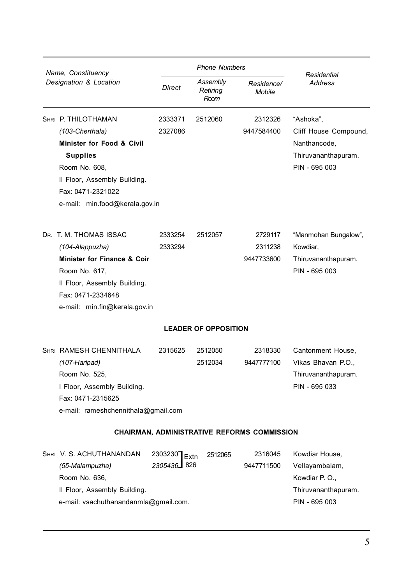| Name, Constituency<br>Designation & Location |                                              |                 | <b>Phone Numbers</b>         |                                             |                                     |
|----------------------------------------------|----------------------------------------------|-----------------|------------------------------|---------------------------------------------|-------------------------------------|
|                                              |                                              | <b>Direct</b>   | Assembly<br>Retiring<br>Room | Residence/<br>Mobile                        | Residential<br><b>Address</b>       |
|                                              | SHRI P. THILOTHAMAN                          | 2333371         | 2512060                      | 2312326                                     | "Ashoka",                           |
|                                              | (103-Cherthala)                              | 2327086         |                              | 9447584400                                  | Cliff House Compound,               |
|                                              | Minister for Food & Civil<br><b>Supplies</b> |                 |                              |                                             | Nanthancode,<br>Thiruvananthapuram. |
|                                              | Room No. 608,                                |                 |                              |                                             | PIN - 695 003                       |
|                                              | II Floor, Assembly Building.                 |                 |                              |                                             |                                     |
|                                              | Fax: 0471-2321022                            |                 |                              |                                             |                                     |
|                                              | e-mail: min.food@kerala.gov.in               |                 |                              |                                             |                                     |
|                                              | DR. T. M. THOMAS ISSAC                       | 2333254         | 2512057                      | 2729117                                     | "Manmohan Bungalow",                |
|                                              | (104-Alappuzha)                              | 2333294         |                              | 2311238                                     | Kowdiar,                            |
|                                              | Minister for Finance & Coir                  |                 |                              | 9447733600                                  | Thiruvananthapuram.                 |
|                                              | Room No. 617.                                |                 |                              |                                             | PIN - 695 003                       |
|                                              | II Floor, Assembly Building.                 |                 |                              |                                             |                                     |
|                                              | Fax: 0471-2334648                            |                 |                              |                                             |                                     |
|                                              | e-mail: min.fin@kerala.gov.in                |                 |                              |                                             |                                     |
|                                              |                                              |                 | <b>LEADER OF OPPOSITION</b>  |                                             |                                     |
|                                              | <b>SHRI RAMESH CHENNITHALA</b>               | 2315625         | 2512050                      | 2318330                                     | Cantonment House,                   |
|                                              | (107-Haripad)                                |                 | 2512034                      | 9447777100                                  | Vikas Bhavan P.O.,                  |
|                                              | Room No. 525,                                |                 |                              |                                             | Thiruvananthapuram.                 |
|                                              | I Floor, Assembly Building.                  |                 |                              |                                             | PIN - 695 033                       |
|                                              | Fax: 0471-2315625                            |                 |                              |                                             |                                     |
|                                              | e-mail: rameshchennithala@gmail.com          |                 |                              |                                             |                                     |
|                                              |                                              |                 |                              | CHAIRMAN, ADMINISTRATIVE REFORMS COMMISSION |                                     |
|                                              | SHRI V. S. ACHUTHANANDAN                     | 2303230<br>Extn | 2512065                      | 2316045                                     | Kowdiar House.                      |
|                                              | (55-Malampuzha)                              | 2305436 326     |                              | 9447711500                                  | Vellayambalam,                      |
|                                              | Room No. 636,                                |                 |                              |                                             | Kowdiar P. O.,                      |
|                                              | II Floor, Assembly Building.                 |                 |                              |                                             | Thiruvananthapuram.                 |
|                                              | e-mail: vsachuthanandanmla@gmail.com.        |                 |                              |                                             | PIN - 695 003                       |
|                                              |                                              |                 |                              |                                             |                                     |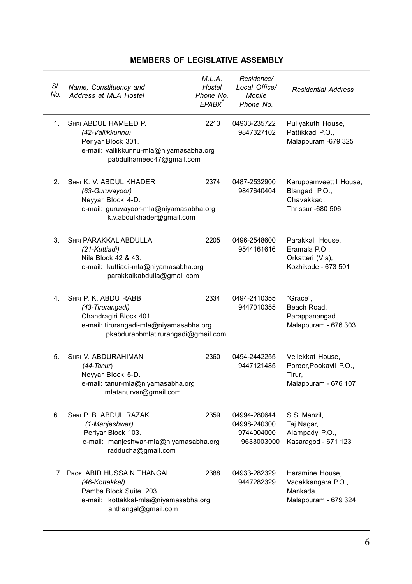| SI.<br>No.    | Name, Constituency and<br>Address at MLA Hostel                                                                                                     | M.L.A.<br>Hostel<br>Phone No.<br><b>EPABX</b> | Residence/<br>Local Office/<br>Mobile<br>Phone No.       | <b>Residential Address</b>                                                   |
|---------------|-----------------------------------------------------------------------------------------------------------------------------------------------------|-----------------------------------------------|----------------------------------------------------------|------------------------------------------------------------------------------|
| $1_{\cdot}$   | SHRI ABDUL HAMEED P.<br>(42-Vallikkunnu)<br>Periyar Block 301.<br>e-mail: vallikkunnu-mla@niyamasabha.org<br>pabdulhameed47@gmail.com               | 2213                                          | 04933-235722<br>9847327102                               | Puliyakuth House,<br>Pattikkad P.O.,<br>Malappuram -679 325                  |
| $\mathcal{P}$ | SHRI K. V. ABDUL KHADER<br>(63-Guruvayoor)<br>Neyyar Block 4-D.<br>e-mail: guruvayoor-mla@niyamasabha.org<br>k.v.abdulkhader@gmail.com              | 2374                                          | 0487-2532900<br>9847640404                               | Karuppamveettil House,<br>Blangad P.O.,<br>Chavakkad,<br>Thrissur -680 506   |
| 3.            | SHRI PARAKKAL ABDULLA<br>(21-Kuttiadi)<br>Nila Block 42 & 43.<br>e-mail: kuttiadi-mla@niyamasabha.org<br>parakkalkabdulla@gmail.com                 | 2205                                          | 0496-2548600<br>9544161616                               | Parakkal House,<br>Eramala P.O.,<br>Orkatteri (Via),<br>Kozhikode - 673 501  |
| 4.            | SHRI P. K. ABDU RABB<br>(43-Tirurangadi)<br>Chandragiri Block 401.<br>e-mail: tirurangadi-mla@niyamasabha.org<br>pkabdurabbmlatirurangadi@gmail.com | 2334                                          | 0494-2410355<br>9447010355                               | "Grace",<br>Beach Road,<br>Parappanangadi,<br>Malappuram - 676 303           |
| 5.            | SHRI V. ABDURAHIMAN<br>$(44-Tanur)$<br>Neyyar Block 5-D.<br>e-mail: tanur-mla@niyamasabha.org<br>mlatanurvar@gmail.com                              | 2360                                          | 0494-2442255<br>9447121485                               | Vellekkat House,<br>Poroor, Pookayil P.O.,<br>Tirur.<br>Malappuram - 676 107 |
| 6.            | SHRI P. B. ABDUL RAZAK<br>(1-Manjeshwar)<br>Periyar Block 103.<br>e-mail: manjeshwar-mla@niyamasabha.org<br>radducha@gmail.com                      | 2359                                          | 04994-280644<br>04998-240300<br>9744004000<br>9633003000 | S.S. Manzil,<br>Taj Nagar,<br>Alampady P.O.,<br>Kasaragod - 671 123          |
|               | 7. PROF. ABID HUSSAIN THANGAL<br>(46-Kottakkal)<br>Pamba Block Suite 203.<br>e-mail: kottakkal-mla@niyamasabha.org<br>ahthangal@gmail.com           | 2388                                          | 04933-282329<br>9447282329                               | Haramine House,<br>Vadakkangara P.O.,<br>Mankada,<br>Malappuram - 679 324    |

## **MEMBERS OF LEGISLATIVE ASSEMBLY**

 $\overline{a}$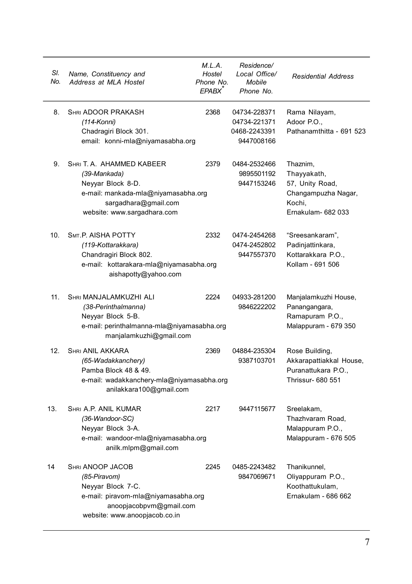| SI.<br>No. | Name, Constituency and<br>Address at MLA Hostel                                                                                                              | M.L.A.<br>Hostel<br>Phone No.<br>EPABX <sup>®</sup> | Residence/<br>Local Office/<br>Mobile<br>Phone No.         | <b>Residential Address</b>                                                                        |
|------------|--------------------------------------------------------------------------------------------------------------------------------------------------------------|-----------------------------------------------------|------------------------------------------------------------|---------------------------------------------------------------------------------------------------|
| 8.         | <b>SHRI ADOOR PRAKASH</b><br>(114-Konni)<br>Chadragiri Block 301.<br>email: konni-mla@niyamasabha.org                                                        | 2368                                                | 04734-228371<br>04734-221371<br>0468-2243391<br>9447008166 | Rama Nilayam,<br>Adoor P.O.,<br>Pathanamthitta - 691 523                                          |
| 9.         | SHRI T. A. AHAMMED KABEER<br>(39-Mankada)<br>Neyyar Block 8-D.<br>e-mail: mankada-mla@niyamasabha.org<br>sargadhara@gmail.com<br>website: www.sargadhara.com | 2379                                                | 0484-2532466<br>9895501192<br>9447153246                   | Thaznim,<br>Thayyakath,<br>57, Unity Road,<br>Changampuzha Nagar,<br>Kochi,<br>Ernakulam- 682 033 |
| 10.        | SMT.P. AISHA POTTY<br>(119-Kottarakkara)<br>Chandragiri Block 802.<br>e-mail: kottarakara-mla@niyamasabha.org<br>aishapotty@yahoo.com                        | 2332                                                | 0474-2454268<br>0474-2452802<br>9447557370                 | "Sreesankaram",<br>Padinjattinkara,<br>Kottarakkara P.O.,<br>Kollam - 691 506                     |
| 11.        | SHRI MANJALAMKUZHI ALI<br>(38-Perinthalmanna)<br>Neyyar Block 5-B.<br>e-mail: perinthalmanna-mla@niyamasabha.org<br>manjalamkuzhi@gmail.com                  | 2224                                                | 04933-281200<br>9846222202                                 | Manjalamkuzhi House,<br>Panangangara,<br>Ramapuram P.O.,<br>Malappuram - 679 350                  |
| 12.        | SHRI ANIL AKKARA<br>(65-Wadakkanchery)<br>Pamba Block 48 & 49.<br>e-mail: wadakkanchery-mla@niyamasabha.org<br>anilakkara100@gmail.com                       | 2369                                                | 04884-235304<br>9387103701                                 | Rose Building,<br>Akkarapattiakkal House,<br>Puranattukara P.O<br>Thrissur- 680 551               |
| 13.        | SHRI A.P. ANIL KUMAR<br>(36-Wandoor-SC)<br>Neyyar Block 3-A.<br>e-mail: wandoor-mla@niyamasabha.org<br>anilk.mlpm@gmail.com                                  | 2217                                                | 9447115677                                                 | Sreelakam,<br>Thazhvaram Road,<br>Malappuram P.O.,<br>Malappuram - 676 505                        |
| 14         | SHRI ANOOP JACOB<br>(85-Piravom)<br>Neyyar Block 7-C.<br>e-mail: piravom-mla@niyamasabha.org<br>anoopjacobpvm@gmail.com<br>website: www.anoopjacob.co.in     | 2245                                                | 0485-2243482<br>9847069671                                 | Thanikunnel,<br>Oliyappuram P.O.,<br>Koothattukulam,<br>Ernakulam - 686 662                       |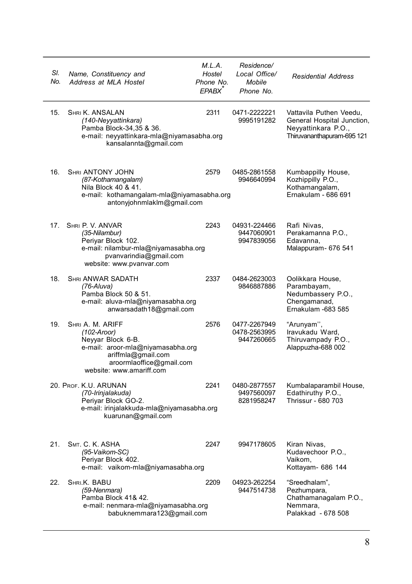| SI.<br>No. | Name, Constituency and<br>Address at MLA Hostel                                                                                                                           | M.L.A.<br>Hostel<br>Phone No.<br>EPABX <sup>®</sup> | Residence/<br>Local Office/<br>Mobile<br>Phone No. | <b>Residential Address</b>                                                                                 |
|------------|---------------------------------------------------------------------------------------------------------------------------------------------------------------------------|-----------------------------------------------------|----------------------------------------------------|------------------------------------------------------------------------------------------------------------|
| 15.        | SHRI K. ANSALAN<br>(140-Neyyattinkara)<br>Pamba Block-34,35 & 36.<br>e-mail: neyyattinkara-mla@niyamasabha.org<br>kansalannta@gmail.com                                   | 2311                                                | 0471-2222221<br>9995191282                         | Vattavila Puthen Veedu,<br>General Hospital Junction,<br>Neyyattinkara P.O.,<br>Thiruvananthapuram-695 121 |
| 16.        | SHRI ANTONY JOHN<br>(87-Kothamangalam)<br>Nila Block 40 & 41.<br>e-mail: kothamangalam-mla@niyamasabha.org<br>antonyjohnmlaklm@gmail.com                                  | 2579                                                | 0485-2861558<br>9946640994                         | Kumbappilly House,<br>Kozhippilly P.O.,<br>Kothamangalam,<br>Ernakulam - 686 691                           |
| 17.        | SHRI P. V. ANVAR<br>(35-Nilambur)<br>Periyar Block 102.<br>e-mail: nilambur-mla@niyamasabha.org<br>pvanvarindia@gmail.com<br>website: www.pvanvar.com                     | 2243                                                | 04931-224466<br>9447060901<br>9947839056           | Rafi Nivas,<br>Perakamanna P.O.,<br>Edavanna.<br>Malappuram- 676 541                                       |
| 18.        | <b>SHRI ANWAR SADATH</b><br>$(76-Aluva)$<br>Pamba Block 50 & 51.<br>e-mail: aluva-mla@niyamasabha.org<br>anwarsadath18@gmail.com                                          | 2337                                                | 0484-2623003<br>9846887886                         | Oolikkara House,<br>Parambayam,<br>Nedumbassery P.O.,<br>Chengamanad,<br>Ernakulam -683 585                |
| 19.        | SHRI A. M. ARIFF<br>$(102-Aroor)$<br>Neyyar Block 6-B.<br>e-mail: aroor-mla@niyamasabha.org<br>ariffmla@gmail.com<br>aroormlaoffice@gmail.com<br>website: www.amariff.com | 2576                                                | 0477-2267949<br>0478-2563995<br>9447260665         | "Arunyam",<br>Iravukadu Ward,<br>Thiruvampady P.O.,<br>Alappuzha-688 002                                   |
|            | 20. PROF. K.U. ARUNAN<br>(70-Irinjalakuda)<br>Periyar Block GO-2.<br>e-mail: irinjalakkuda-mla@niyamasabha.org<br>kuarunan@gmail.com                                      | 2241                                                | 0480-2877557<br>9497560097<br>8281958247           | Kumbalaparambil House,<br>Edathiruthy P.O.,<br>Thrissur - 680 703                                          |
| 21.        | SMT. C. K. ASHA<br>(95-Vaikom-SC)<br>Periyar Block 402.<br>e-mail: vaikom-mla@niyamasabha.org                                                                             | 2247                                                | 9947178605                                         | Kiran Nivas,<br>Kudavechoor P.O.,<br>Vaikom,<br>Kottayam- 686 144                                          |
| 22.        | SHRI.K. BABU<br>(59-Nenmara)<br>Pamba Block 41& 42.<br>e-mail: nenmara-mla@niyamasabha.org<br>babuknemmara123@gmail.com                                                   | 2209                                                | 04923-262254<br>9447514738                         | "Sreedhalam",<br>Pezhumpara,<br>Chathamanagalam P.O.,<br>Nemmara.<br>Palakkad - 678 508                    |

J,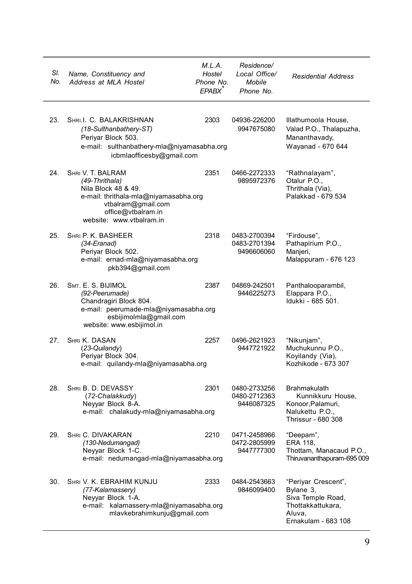| SI.<br>No. | Name, Constituency and<br>Address at MLA Hostel                                                                                                                             | M.L.A.<br>Hostel<br>Phone No.<br>EPABX <sup>*</sup> | Residence/<br>Local Office/<br>Mobile<br>Phone No. | <b>Residential Address</b>                                                                                  |
|------------|-----------------------------------------------------------------------------------------------------------------------------------------------------------------------------|-----------------------------------------------------|----------------------------------------------------|-------------------------------------------------------------------------------------------------------------|
| 23.        | SHRI.I. C. BALAKRISHNAN<br>(18-Sulthanbathery-ST)<br>Periyar Block 503.<br>e-mail: sulthanbathery-mla@niyamasabha.org<br>icbmlaofficesby@gmail.com                          | 2303                                                | 04936-226200<br>9947675080                         | Illathumoola House,<br>Valad P.O., Thalapuzha,<br>Mananthavady,<br>Wayanad - 670 644                        |
| 24.        | SHRI V. T. BALRAM<br>(49-Thrithala)<br>Nila Block 48 & 49.<br>e-mail: thrithala-mla@niyamasabha.org<br>vtbalram@gmail.com<br>office@vtbalram.in<br>website: www.vtbalram.in | 2351                                                | 0466-2272333<br>9895972376                         | "Rathnalayam",<br>Otalur P.O.,<br>Thrithala (Via),<br>Palakkad - 679 534                                    |
| 25.        | SHRI P. K. BASHEER<br>(34-Eranad)<br>Periyar Block 502.<br>e-mail: ernad-mla@niyamasabha.org<br>pkb394@gmail.com                                                            | 2318                                                | 0483-2700394<br>0483-2701394<br>9496606060         | "Firdouse",<br>Pathapirium P.O.,<br>Manjeri,<br>Malappuram - 676 123                                        |
| 26.        | SMT. E. S. BIJIMOL<br>(92-Peerumade)<br>Chandragiri Block 804.<br>e-mail: peerumade-mla@niyamasabha.org<br>esbijimolmla@gmail.com<br>website: www.esbijimol.in              | 2387                                                | 04869-242501<br>9446225273                         | Panthalooparambil,<br>Elappara P.O.,<br>Idukki - 685 501.                                                   |
| 27.        | SHRI K. DASAN<br>(23-Quilandy)<br>Periyar Block 304.<br>e-mail: quilandy-mla@niyamasabha.org                                                                                | 2257                                                | 0496-2621923<br>9447721922                         | "Nikunjam",<br>Muchukunnu P.O.,<br>Koyilandy (Via),<br>Kozhikode - 673 307                                  |
| 28.        | SHRI B. D. DEVASSY<br>(72-Chalakkudy)<br>Neyyar Block 8-A.<br>e-mail: chalakudy-mla@niyamasabha.org                                                                         | 2301                                                | 0480-2733256<br>0480-2712363<br>9446087325         | <b>Brahmakulath</b><br>Kunnikkuru House,<br>Konoor, Palamuri,<br>Nalukettu P.O.,<br>Thrissur - 680 308      |
| 29.        | <b>SHRI C. DIVAKARAN</b><br>(130-Nedumangad)<br>Neyyar Block 1-C.<br>e-mail: nedumangad-mla@niyamasabha.org                                                                 | 2210                                                | 0471-2458966<br>0472-2805999<br>9447777300         | "Deepam",<br>ERA 118,<br>Thottam, Manacaud P.O.,<br>Thiruvananthapuram-695 009                              |
| 30.        | SHRI V. K. EBRAHIM KUNJU<br>(77-Kalamassery)<br>Neyyar Block 1-A.<br>e-mail: kalamassery-mla@niyamasabha.org<br>mlavkebrahimkunju@gmail.com                                 | 2333                                                | 0484-2543663<br>9846099400                         | "Periyar Crescent",<br>Bylane 3,<br>Siva Temple Road,<br>Thottakkattukara,<br>Aluva.<br>Ernakulam - 683 108 |

l,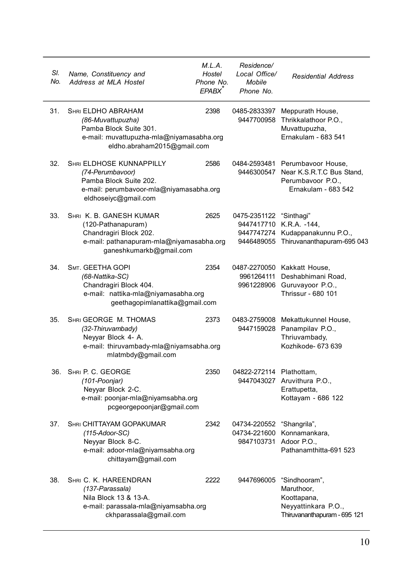| SI.<br>No. | Name, Constituency and<br>Address at MLA Hostel                                                                                                     | M.L.A.<br>Hostel<br>Phone No.<br>EPABX <sup>®</sup> | Residence/<br>Local Office/<br>Mobile<br>Phone No. | <b>Residential Address</b>                                                                                          |
|------------|-----------------------------------------------------------------------------------------------------------------------------------------------------|-----------------------------------------------------|----------------------------------------------------|---------------------------------------------------------------------------------------------------------------------|
| 31.        | <b>SHRI ELDHO ABRAHAM</b><br>(86-Muvattupuzha)<br>Pamba Block Suite 301.<br>e-mail: muvattupuzha-mla@niyamasabha.org<br>eldho.abraham2015@gmail.com | 2398                                                | 0485-2833397<br>9447700958                         | Meppurath House,<br>Thrikkalathoor P.O.,<br>Muvattupuzha,<br>Ernakulam - 683 541                                    |
| 32.        | <b>SHRI ELDHOSE KUNNAPPILLY</b><br>(74-Perumbavoor)<br>Pamba Block Suite 202.<br>e-mail: perumbavoor-mla@niyamasabha.org<br>eldhoseiyc@gmail.com    | 2586                                                |                                                    | 0484-2593481 Perumbavoor House,<br>9446300547 Near K.S.R.T.C Bus Stand,<br>Perumbavoor P.O.,<br>Ernakulam - 683 542 |
| 33.        | SHRI K. B. GANESH KUMAR<br>(120-Pathanapuram)<br>Chandragiri Block 202.<br>e-mail: pathanapuram-mla@niyamasabha.org<br>ganeshkumarkb@gmail.com      | 2625                                                | 0475-2351122 "Sinthagi"                            | 9447417710 K.R.A. -144,<br>9447747274 Kudappanakunnu P.O.,<br>9446489055 Thiruvananthapuram-695 043                 |
| 34.        | SMT. GEETHA GOPI<br>(68-Nattika-SC)<br>Chandragiri Block 404.<br>e-mail: nattika-mla@niyamasabha.org<br>geethagopimlanattika@gmail.com              | 2354                                                |                                                    | 0487-2270050 Kakkatt House,<br>9961264111 Deshabhimani Road,<br>9961228906 Guruvayoor P.O.,<br>Thrissur - 680 101   |
| 35.        | SHRI GEORGE M. THOMAS<br>(32-Thiruvambady)<br>Neyyar Block 4- A.<br>e-mail: thiruvambady-mla@niyamsabha.org<br>mlatmbdy@gmail.com                   | 2373                                                |                                                    | 0483-2759008 Mekattukunnel House,<br>9447159028 Panampilav P.O.,<br>Thriuvambady,<br>Kozhikode- 673 639             |
| 36.        | SHRI P. C. GEORGE<br>(101-Poonjar)<br>Neyyar Block 2-C.<br>e-mail: poonjar-mla@niyamsabha.org<br>pcgeorgepoonjar@gmail.com                          | 2350                                                | 04822-272114 Plathottam,                           | 9447043027 Aruvithura P.O.,<br>Erattupetta,<br>Kottayam - 686 122                                                   |
| 37.        | <b>SHRI CHITTAYAM GOPAKUMAR</b><br>$(115 - Adoor-SC)$<br>Neyyar Block 8-C.<br>e-mail: adoor-mla@niyamsabha.org<br>chittayam@gmail.com               | 2342                                                | 04734-220552<br>9847103731 Adoor P.O.,             | "Shangrila",<br>04734-221600 Konnamankara,<br>Pathanamthitta-691 523                                                |
| 38.        | SHRI C. K. HAREENDRAN<br>(137-Parassala)<br>Nila Block 13 & 13-A.<br>e-mail: parassala-mla@niyamsabha.org<br>ckhparassala@gmail.com                 | 2222                                                | 9447696005                                         | "Sindhooram",<br>Maruthoor,<br>Koottapana,<br>Neyyattinkara P.O.,<br>Thiruvananthapuram - 695 121                   |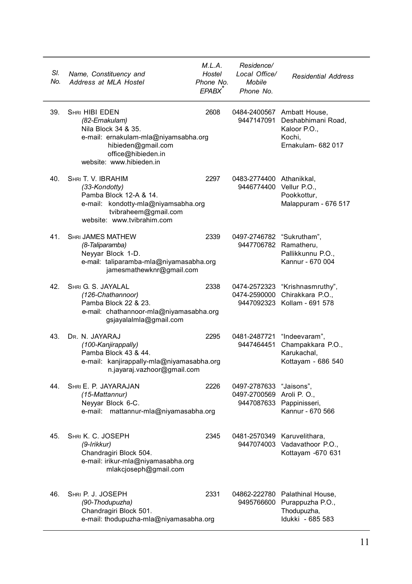| SI.<br>No. | Name, Constituency and<br>Address at MLA Hostel                                                                                                                                | M.L.A.<br>Hostel<br>Phone No.<br>EPABX <sup>*</sup> | Residence/<br>Local Office/<br>Mobile<br>Phone No.   | <b>Residential Address</b>                                                                       |
|------------|--------------------------------------------------------------------------------------------------------------------------------------------------------------------------------|-----------------------------------------------------|------------------------------------------------------|--------------------------------------------------------------------------------------------------|
| 39.        | <b>SHRI HIBI EDEN</b><br>(82-Ernakulam)<br>Nila Block 34 & 35.<br>e-mail: ernakulam-mla@niyamsabha.org<br>hibieden@gmail.com<br>office@hibieden.in<br>website: www.hibieden.in | 2608                                                | 9447147091                                           | 0484-2400567 Ambatt House,<br>Deshabhimani Road,<br>Kaloor P.O.,<br>Kochi.<br>Ernakulam- 682 017 |
| 40.        | SHRI T. V. IBRAHIM<br>(33-Kondotty)<br>Pamba Block 12-A & 14.<br>e-mail: kondotty-mla@niyamsabha.org<br>tvibraheem@gmail.com<br>website: www.tvibrahim.com                     | 2297                                                | 0483-2774400 Athanikkal,<br>9446774400 Vellur P.O.,  | Pookkottur,<br>Malappuram - 676 517                                                              |
| 41.        | <b>SHRI JAMES MATHEW</b><br>(8-Taliparamba)<br>Neyyar Block 1-D.<br>e-mail: taliparamba-mla@niyamasabha.org<br>jamesmathewknr@gmail.com                                        | 2339                                                | 0497-2746782 "Sukrutham",<br>9447706782 Ramatheru,   | Pallikkunnu P.O.,<br>Kannur - 670 004                                                            |
| 42.        | SHRI G. S. JAYALAL<br>(126-Chathannoor)<br>Pamba Block 22 & 23.<br>e-mail: chathannoor-mla@niyamasabha.org<br>gsjayalalmla@gmail.com                                           | 2338                                                |                                                      | 0474-2572323 "Krishnasmruthy",<br>0474-2590000 Chirakkara P.O.,<br>9447092323 Kollam - 691 578   |
| 43.        | DR. N. JAYARAJ<br>(100-Kanjirappally)<br>Pamba Block 43 & 44.<br>e-mail: kanjirappally-mla@niyamasabha.org<br>n.jayaraj.vazhoor@gmail.com                                      | 2295                                                | 0481-2487721                                         | "Indeevaram",<br>9447464451 Champakkara P.O.,<br>Karukachal,<br>Kottayam - 686 540               |
| 44.        | SHRI E. P. JAYARAJAN<br>(15-Mattannur)<br>Neyyar Block 6-C.<br>e-mail: mattannur-mla@niyamasabha.org                                                                           | 2226                                                | 0497-2787633 "Jaisons",<br>0497-2700569 Aroli P. O., | 9447087633 Pappinisseri,<br>Kannur - 670 566                                                     |
| 45.        | SHRI K. C. JOSEPH<br>(9-Irikkur)<br>Chandragiri Block 504.<br>e-mail: irikur-mla@niyamasabha.org<br>mlakcjoseph@gmail.com                                                      | 2345                                                |                                                      | 0481-2570349 Karuvelithara,<br>9447074003 Vadavathoor P.O.,<br>Kottayam -670 631                 |
| 46.        | SHRI P. J. JOSEPH<br>(90-Thodupuzha)<br>Chandragiri Block 501.<br>e-mail: thodupuzha-mla@niyamasabha.org                                                                       | 2331                                                |                                                      | 04862-222780 Palathinal House,<br>9495766600 Purappuzha P.O.,<br>Thodupuzha,<br>Idukki - 685 583 |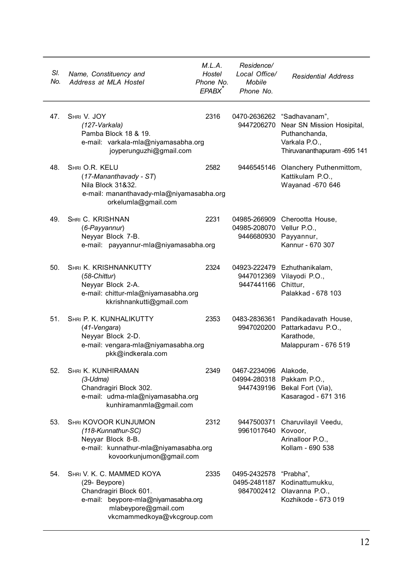| SI.<br>No. | Name, Constituency and<br>Address at MLA Hostel                                                                                                                   | M.L.A.<br>Hostel<br>Phone No.<br>EPABX <sup>*</sup> | Residence/<br>Local Office/<br>Mobile<br>Phone No. | <b>Residential Address</b>                                                                                                            |
|------------|-------------------------------------------------------------------------------------------------------------------------------------------------------------------|-----------------------------------------------------|----------------------------------------------------|---------------------------------------------------------------------------------------------------------------------------------------|
| 47.        | SHRI V. JOY<br>(127-Varkala)<br>Pamba Block 18 & 19.<br>e-mail: varkala-mla@niyamasabha.org<br>joyperunguzhi@gmail.com                                            | 2316                                                |                                                    | 0470-2636262 "Sadhavanam",<br>9447206270 Near SN Mission Hosipital,<br>Puthanchanda,<br>Varkala P.O.,<br>Thiruvananthapuram - 695 141 |
| 48.        | SHRI O.R. KELU<br>$(17-Mananthavady - ST)$<br>Nila Block 31&32.<br>e-mail: mananthavady-mla@niyamasabha.org<br>orkelumla@gmail.com                                | 2582                                                | 9446545146                                         | Olanchery Puthenmittom,<br>Kattikulam P.O.,<br>Wayanad -670 646                                                                       |
| 49.        | SHRI C. KRISHNAN<br>(6-Payyannur)<br>Neyyar Block 7-B.<br>e-mail: payyannur-mla@niyamasabha.org                                                                   | 2231                                                | 04985-208070 Vellur P.O.,<br>9446680930 Payyannur, | 04985-266909 Cherootta House,<br>Kannur - 670 307                                                                                     |
| 50.        | SHRI K. KRISHNANKUTTY<br>$(58$ -Chittur $)$<br>Neyyar Block 2-A.<br>e-mail: chittur-mla@niyamasabha.org<br>kkrishnankutti@gmail.com                               | 2324                                                | 9447441166 Chittur,                                | 04923-222479 Ezhuthanikalam,<br>9447012369 Vilayodi P.O.,<br>Palakkad - 678 103                                                       |
| 51.        | SHRI P. K. KUNHALIKUTTY<br>(41-Vengara)<br>Neyyar Block 2-D.<br>e-mail: vengara-mla@niyamasabha.org<br>pkk@indkerala.com                                          | 2353                                                |                                                    | 0483-2836361 Pandikadavath House,<br>9947020200 Pattarkadavu P.O.,<br>Karathode,<br>Malappuram - 676 519                              |
| 52.        | SHRI K. KUNHIRAMAN<br>$(3-Udma)$<br>Chandragiri Block 302.<br>e-mail: udma-mla@niyamasabha.org<br>kunhiramanmla@gmail.com                                         | 2349                                                | 0467-2234096 Alakode,<br>04994-280318 Pakkam P.O., | 9447439196 Bekal Fort (Via),<br>Kasaragod - 671 316                                                                                   |
| 53.        | <b>SHRI KOVOOR KUNJUMON</b><br>(118-Kunnathur-SC)<br>Neyyar Block 8-B.<br>e-mail: kunnathur-mla@niyamasabha.org<br>kovoorkunjumon@gmail.com                       | 2312                                                | 9961017640 Kovoor,                                 | 9447500371 Charuvilayil Veedu,<br>Arinalloor P.O.,<br>Kollam - 690 538                                                                |
| 54.        | SHRI V. K. C. MAMMED KOYA<br>(29- Beypore)<br>Chandragiri Block 601.<br>e-mail: beypore-mla@niyamasabha.org<br>mlabeypore@gmail.com<br>vkcmammedkoya@vkcgroup.com | 2335                                                | 0495-2432578 "Prabha",                             | 0495-2481187 Kodinattumukku,<br>9847002412 Olavanna P.O.,<br>Kozhikode - 673 019                                                      |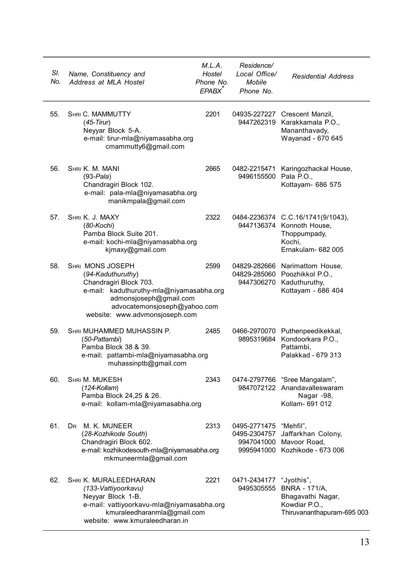| SI.<br>No. | Name, Constituency and<br>Address at MLA Hostel                                                                                                                                                         | M.L.A.<br>Hostel<br>Phone No.<br>EPABX | Residence/<br>Local Office/<br>Mobile<br>Phone No. | <b>Residential Address</b>                                                                                        |
|------------|---------------------------------------------------------------------------------------------------------------------------------------------------------------------------------------------------------|----------------------------------------|----------------------------------------------------|-------------------------------------------------------------------------------------------------------------------|
| 55.        | SHRI C. MAMMUTTY<br>$(45-Tirur)$<br>Neyyar Block 5-A.<br>e-mail: tirur-mla@niyamasabha.org<br>cmammutty6@gmail.com                                                                                      | 2201                                   |                                                    | 04935-227227 Crescent Manzil,<br>9447262319 Karakkamala P.O.,<br>Mananthavady,<br>Wayanad - 670 645               |
| 56.        | SHRI K. M. MANI<br>$(93-Pala)$<br>Chandragiri Block 102.<br>e-mail: pala-mla@niyamasabha.org<br>manikmpala@gmail.com                                                                                    | 2665                                   | 0482-2215471<br>9496155500 Pala P.O.,              | Karingozhackal House,<br>Kottayam- 686 575                                                                        |
| 57.        | SHRI K. J. MAXY<br>$(80-Kochi)$<br>Pamba Block Suite 201.<br>e-mail: kochi-mla@niyamasabha.org<br>kjmaxy@gmail.com                                                                                      | 2322                                   |                                                    | 0484-2236374 C.C.16/1741(9/1043),<br>9447136374 Konnoth House,<br>Thoppumpady,<br>Kochi.<br>Ernakulam- 682 005    |
| 58.        | SHRI MONS JOSEPH<br>(94-Kaduthuruthy)<br>Chandragiri Block 703.<br>e-mail: kaduthuruthy-mla@niyamasabha.org<br>admonsjoseph@gmail.com<br>advocatemonsjoseph@yahoo.com<br>website: www.advmonsjoseph.com | 2599                                   |                                                    | 04829-282666 Narimattom House.<br>04829-285060 Poozhikkol P.O.,<br>9447306270 Kaduthuruthy,<br>Kottayam - 686 404 |
| 59.        | SHRI MUHAMMED MUHASSIN P.<br>(50-Pattambi)<br>Pamba Block 38 & 39.<br>e-mail: pattambi-mla@niyamasabha.org<br>muhassinptb@gmail.com                                                                     | 2485                                   |                                                    | 0466-2970070 Puthenpeedikekkal,<br>9895319684 Kondoorkara P.O.,<br>Pattambi,<br>Palakkad - 679 313                |
| 60.        | SHRI M. MUKESH<br>$(124-Kollam)$<br>Pamba Block 24,25 & 26.<br>e-mail: kollam-mla@niyamasabha.org                                                                                                       | 2343                                   |                                                    | 0474-2797766 "Sree Mangalam",<br>9847072122 Anandavalleswaram<br>Nagar -98,<br>Kollam- 691 012                    |
| 61.        | DR M. K. MUNEER<br>(28-Kozhikode South)<br>Chandragiri Block 602.<br>e-mail: kozhikodesouth-mla@niyamasabha.org<br>mkmuneermla@gmail.com                                                                | 2313                                   | 0495-2771475                                       | "Mehfil",<br>0495-2304757 Jaffarkhan Colony,<br>9947041000 Mavoor Road.<br>9995941000 Kozhikode - 673 006         |
| 62.        | SHRI K. MURALEEDHARAN<br>(133-Vattiyoorkavu)<br>Neyyar Block 1-B.<br>e-mail: vattiyoorkavu-mla@niyamasabha.org<br>kmuraleedharanmla@gmail.com<br>website: www.kmuraleedharan.in                         | 2221                                   | 0471-2434177<br>9495305555                         | "Jyothis",<br><b>BNRA - 171/A,</b><br>Bhagavathi Nagar,<br>Kowdiar P.O.,<br>Thiruvananthapuram-695 003            |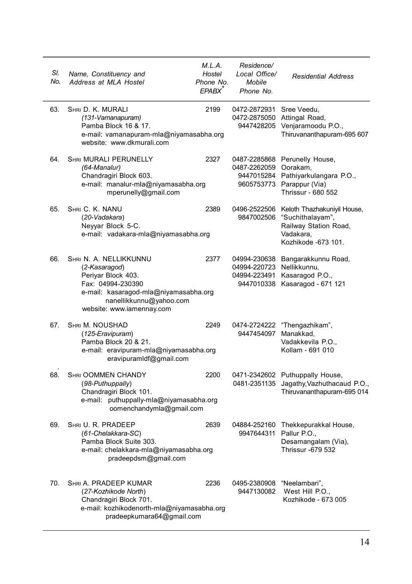| SI.<br>No. | Name, Constituency and<br>Address at MLA Hostel                                                                                                                                     | M.L.A.<br>Hostel<br>Phone No.<br>EPABX <sup>*</sup> | Residence/<br>Local Office/<br>Mobile<br>Phone No.                | <b>Residential Address</b>                                                                                                 |
|------------|-------------------------------------------------------------------------------------------------------------------------------------------------------------------------------------|-----------------------------------------------------|-------------------------------------------------------------------|----------------------------------------------------------------------------------------------------------------------------|
| 63.        | SHRI D. K. MURALI<br>(131-Vamanapuram)<br>Pamba Block 16 & 17.<br>e-mail: vamanapuram-mla@niyamasabha.org<br>website: www.dkmurali.com                                              | 2199                                                | 0472-2872931 Sree Veedu,<br>9447428205                            | 0472-2875050 Attingal Road,<br>Venjaramoodu P.O.,<br>Thiruvananthapuram-695 607                                            |
| 64.        | <b>SHRI MURALI PERUNELLY</b><br>(64-Manalur)<br>Chandragiri Block 603.<br>e-mail: manalur-mla@niyamasabha.org<br>mperunelly@gmail.com                                               | 2327                                                | 0487-2285868<br>0487-2262059 Oorakam,<br>9447015284<br>9605753773 | Perunelly House,<br>Pathiyarkulangara P.O.,<br>Parappur (Via)<br>Thrissur - 680 552                                        |
| 65.        | SHRI C. K. NANU<br>(20-Vadakara)<br>Neyyar Block 5-C.<br>e-mail: vadakara-mla@niyamasabha.org                                                                                       | 2389                                                | 9847002506                                                        | 0496-2522506 Keloth Thazhakuniyil House,<br>"Suchithalayam",<br>Railway Station Road,<br>Vadakara,<br>Kozhikode - 673 101. |
| 66.        | SHRI N. A. NELLIKKUNNU<br>(2-Kasaragod)<br>Periyar Block 403.<br>Fax: 04994-230390<br>e-mail: kasaragod-mla@niyamasabha.org<br>nanellikkunnu@yahoo.com<br>website: www.iamennay.com | 2377                                                | 04994-230638<br>04994-220723 Nellikkunnu,<br>04994-223491         | Bangarakkunnu Road,<br>Kasaragod P.O.,<br>9447010338 Kasaragod - 671 121                                                   |
| 67.        | SHRI M. NOUSHAD<br>(125-Eravipuram)<br>Pamba Block 20 & 21.<br>e-mail: eravipuram-mla@niyamasabha.org<br>eravipuramIdf@gmail.com                                                    | 2249                                                | 0474-2724222<br>9447454097                                        | "Thengazhikam",<br>Manakkad,<br>Vadakkevila P.O.,<br>Kollam - 691 010                                                      |
| 68.        | <b>SHRI OOMMEN CHANDY</b><br>(98-Puthuppally)<br>Chandragiri Block 101.<br>e-mail: puthuppally-mla@niyamasabha.org<br>oomenchandymla@gmail.com                                      | 2200                                                | 0471-2342602<br>0481-2351135                                      | Puthuppally House,<br>Jagathy, Vazhuthacaud P.O.,<br>Thiruvananthapuram-695 014                                            |
| 69.        | SHRI U. R. PRADEEP<br>(61-Chelakkara-SC)<br>Pamba Block Suite 303.<br>e-mail: chelakkara-mla@niyamasabha.org<br>pradeepdsm@gmail.com                                                | 2639                                                | 9947644311 Pallur P.O.,                                           | 04884-252160 Thekkepurakkal House,<br>Desamangalam (Via),<br>Thrissur -679 532                                             |
| 70.        | SHRI A. PRADEEP KUMAR<br>(27-Kozhikode North)<br>Chandragiri Block 701.<br>e-mail: kozhikodenorth-mla@niyamasabha.org<br>pradeepkumara64@gmail.com                                  | 2236                                                | 0495-2380908<br>9447130082                                        | "Neelambari",<br>West Hill P.O.,<br>Kozhikode - 673 005                                                                    |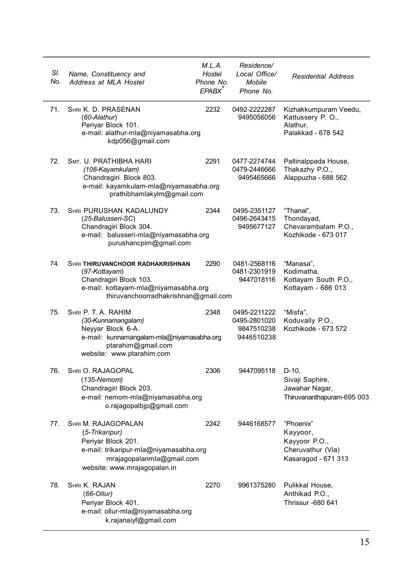| SI.<br>No. | Name, Constituency and<br>Address at MLA Hostel                                                                                                                    | M.L.A.<br>Hostel<br>Phone No.<br>EPABX <sup>®</sup> | Residence/<br>Local Office/<br>Mobile<br>Phone No.       | <b>Residential Address</b>                                                         |
|------------|--------------------------------------------------------------------------------------------------------------------------------------------------------------------|-----------------------------------------------------|----------------------------------------------------------|------------------------------------------------------------------------------------|
| 71.        | SHRI K. D. PRASENAN<br>$(60-Alathur)$<br>Periyar Block 101.<br>e-mail: alathur-mla@niyamasabha.org<br>kdp056@gmail.com                                             | 2232                                                | 0492-2222287<br>9495056056                               | Kizhakkumpuram Veedu,<br>Kattussery P. O.,<br>Alathur.<br>Palakkad - 678 542       |
| 72.        | SMT. U. PRATHIBHA HARI<br>(108-Kayamkulam)<br>Chandragiri Block 803.<br>e-mail: kayamkulam-mla@niyamasabha.org<br>prathibhamlakylm@gmail.com                       | 2291                                                | 0477-2274744<br>0479-2446666<br>9495465666               | Pallinalppada House,<br>Thakazhy P.O.,<br>Alappuzha - 688 562                      |
| 73.        | <b>SHRI PURUSHAN KADALUNDY</b><br>(25-Balusseri-SC)<br>Chandragiri Block 304.<br>e-mail: balusseri-mla@niyamasabha.org<br>purushancpim@gmail.com                   | 2344                                                | 0495-2351127<br>0496-2643415<br>9495677127               | "Thanal",<br>Thondayad,<br>Chevarambalam P.O.,<br>Kozhikode - 673 017              |
| 74.        | SHRI THIRUVANCHOOR RADHAKRISHNAN<br>(97-Kottayam)<br>Chandragiri Block 103.<br>e-mail: kottayam-mla@niyamasabha.org<br>thiruvanchoorradhakrishnan@qmail.com        | 2290                                                | 0481-2568116<br>0481-2301919<br>9447018116               | "Manasa",<br>Kodimatha.<br>Kottayam South P.O.,<br>Kottayam - 686 013              |
| 75.        | SHRI P. T. A. RAHIM<br>(30-Kunnamangalam)<br>Neyyar Block 6-A.<br>e-mail: kunnamangalam-mla@niyamasabha.org<br>ptarahim@gmail.com<br>website: www.ptarahim.com     | 2348                                                | 0495-2211222<br>0495-2801020<br>9847510238<br>9446510238 | "Misfa",<br>Koduvally P.O.,<br>Kozhikode - 673 572                                 |
| 76.        | SHRI O. RAJAGOPAL<br>$(135-Nemom)$<br>Chandragiri Block 203.<br>e-mail: nemom-mla@niyamasabha.org<br>o.rajagopalbjp@gmail.com                                      | 2306                                                | 9447095118                                               | $D-10,$<br>Sivaji Saphire,<br>Jawahar Nagar,<br>Thiruvananthapuram-695 003         |
| 77.        | SHRI M. RAJAGOPALAN<br>(5-Trikaripur)<br>Periyar Block 201.<br>e-mail: trikaripur-mla@niyamasabha.org<br>mrajagopalanmla@gmail.com<br>website: www.mrajagopalan.in | 2242                                                | 9446168577                                               | "Phoenix"<br>Kayyoor,<br>Kayyoor P.O.,<br>Cheruvathur (Via)<br>Kasaragod - 671 313 |
| 78.        | SHRI K. RAJAN<br>$(66$ -Ollur)<br>Periyar Block 401.<br>e-mail: ollur-mla@niyamasabha.org<br>k.rajanaiyf@gmail.com                                                 | 2270                                                | 9961375280                                               | Pulikkal House,<br>Anthikad P.O.,<br><b>Thrissur -680 641</b>                      |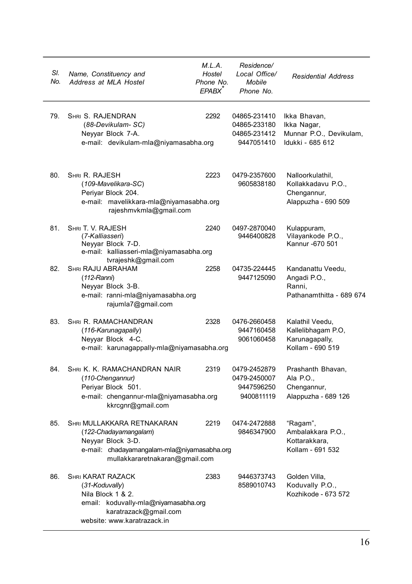| SI.<br>No. | Name, Constituency and<br>Address at MLA Hostel                                                                                                                 | M.L.A.<br>Hostel<br>Phone No.<br>EPABX <sup>^</sup> | Residence/<br>Local Office/<br>Mobile<br>Phone No.         | <b>Residential Address</b>                                                   |
|------------|-----------------------------------------------------------------------------------------------------------------------------------------------------------------|-----------------------------------------------------|------------------------------------------------------------|------------------------------------------------------------------------------|
| 79.        | SHRI S. RAJENDRAN<br>(88-Devikulam-SC)<br>Neyyar Block 7-A.<br>e-mail: devikulam-mla@niyamasabha.org                                                            | 2292                                                | 04865-231410<br>04865-233180<br>04865-231412<br>9447051410 | Ikka Bhavan,<br>Ikka Nagar,<br>Munnar P.O., Devikulam,<br>Idukki - 685 612   |
| 80.        | SHRI R. RAJESH<br>(109-Mavelikara-SC)<br>Periyar Block 204.<br>e-mail: mavelikkara-mla@niyamasabha.org<br>rajeshmvkmla@gmail.com                                | 2223                                                | 0479-2357600<br>9605838180                                 | Nalloorkulathil,<br>Kollakkadavu P.O.,<br>Chengannur,<br>Alappuzha - 690 509 |
| 81.        | SHRI T. V. RAJESH<br>(7-Kalliasseri)<br>Neyyar Block 7-D.<br>e-mail: kalliasseri-mla@niyamasabha.org<br>tvrajeshk@gmail.com                                     | 2240                                                | 0497-2870040<br>9446400828                                 | Kulappuram,<br>Vilayankode P.O.,<br>Kannur - 670 501                         |
| 82.        | SHRI RAJU ABRAHAM<br>$(112-Rann)$<br>Neyyar Block 3-B.<br>e-mail: ranni-mla@niyamasabha.org<br>rajumla7@gmail.com                                               | 2258                                                | 04735-224445<br>9447125090                                 | Kandanattu Veedu,<br>Angadi P.O.,<br>Ranni.<br>Pathanamthitta - 689 674      |
| 83.        | <b>SHRI R. RAMACHANDRAN</b><br>(116-Karunagapally)<br>Neyyar Block 4-C.<br>e-mail: karunagappally-mla@niyamasabha.org                                           | 2328                                                | 0476-2660458<br>9447160458<br>9061060458                   | Kalathil Veedu,<br>Kallelibhagam P.O,<br>Karunagapally,<br>Kollam - 690 519  |
| 84.        | SHRI K. K. RAMACHANDRAN NAIR<br>(110-Chengannur)<br>Periyar Block 501.<br>e-mail: chengannur-mla@niyamasabha.org<br>kkrcgnr@gmail.com                           | 2319                                                | 0479-2452879<br>0479-2450007<br>9447596250<br>9400811119   | Prashanth Bhavan,<br>Ala P.O.,<br>Chengannur,<br>Alappuzha - 689 126         |
| 85.        | SHRI MULLAKKARA RETNAKARAN<br>(122-Chadayamangalam)<br>Neyyar Block 3-D.<br>e-mail: chadayamangalam-mla@niyamasabha.org<br>mullakkararetnakaran@gmail.com       | 2219                                                | 0474-2472888<br>9846347900                                 | "Ragam",<br>Ambalakkara P.O.,<br>Kottarakkara,<br>Kollam - 691 532           |
| 86.        | <b>SHRI KARAT RAZACK</b><br>(31-Koduvally)<br>Nila Block 1 & 2.<br>email: koduvally-mla@niyamasabha.org<br>karatrazack@gmail.com<br>website: www.karatrazack.in | 2383                                                | 9446373743<br>8589010743                                   | Golden Villa,<br>Koduvally P.O.,<br>Kozhikode - 673 572                      |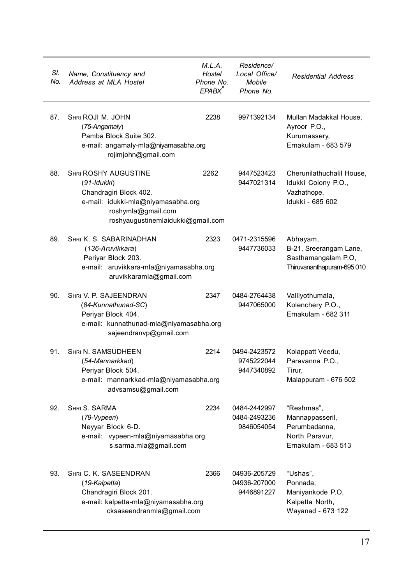| SI.<br>No. | Name, Constituency and<br>Address at MLA Hostel                                                                                                                       | M.L.A.<br>Hostel<br>Phone No.<br>EPABX <sup>^</sup> | Residence/<br>Local Office/<br>Mobile<br>Phone No. | <b>Residential Address</b>                                                              |
|------------|-----------------------------------------------------------------------------------------------------------------------------------------------------------------------|-----------------------------------------------------|----------------------------------------------------|-----------------------------------------------------------------------------------------|
| 87.        | SHRI ROJI M. JOHN<br>(75-Angamaly)<br>Pamba Block Suite 302.<br>e-mail: angamaly-mla@niyamasabha.org<br>rojimjohn@gmail.com                                           | 2238                                                | 9971392134                                         | Mullan Madakkal House,<br>Ayroor P.O.,<br>Kurumassery,<br>Ernakulam - 683 579           |
| 88.        | <b>SHRI ROSHY AUGUSTINE</b><br>(91-Idukki)<br>Chandragiri Block 402.<br>e-mail: idukki-mla@niyamasabha.org<br>roshymla@gmail.com<br>roshyaugustinemlaidukki@gmail.com | 2262                                                | 9447523423<br>9447021314                           | Cherunilathuchalil House,<br>Idukki Colony P.O.,<br>Vazhathope,<br>Idukki - 685 602     |
| 89.        | SHRI K. S. SABARINADHAN<br>(136-Aruvikkara)<br>Periyar Block 203.<br>e-mail: aruvikkara-mla@niyamasabha.org<br>aruvikkaramla@gmail.com                                | 2323                                                | 0471-2315596<br>9447736033                         | Abhayam,<br>B-21, Sreerangam Lane,<br>Sasthamangalam P.O,<br>Thiruvananthapuram-695 010 |
| 90.        | SHRI V. P. SAJEENDRAN<br>(84-Kunnathunad-SC)<br>Periyar Block 404.<br>e-mail: kunnathunad-mla@niyamasabha.org<br>sajeendranvp@gmail.com                               | 2347                                                | 0484-2764438<br>9447065000                         | Valliyothumala,<br>Kolenchery P.O.,<br>Ernakulam - 682 311                              |
| 91.        | <b>SHRI N. SAMSUDHEEN</b><br>(54-Mannarkkad)<br>Periyar Block 504.<br>e-mail: mannarkkad-mla@niyamasabha.org<br>advsamsu@gmail.com                                    | 2214                                                | 0494-2423572<br>9745222044<br>9447340892           | Kolappatt Veedu,<br>Paravanna P.O.,<br>Tirur.<br>Malappuram - 676 502                   |
| 92.        | SHRI S. SARMA<br>(79-Vypeen)<br>Neyyar Block 6-D.<br>e-mail: vypeen-mla@niyamasabha.org<br>s.sarma.mla@gmail.com                                                      | 2234                                                | 0484-2442997<br>0484-2493236<br>9846054054         | "Reshmas",<br>Mannappasseril,<br>Perumbadanna,<br>North Paravur,<br>Ernakulam - 683 513 |
| 93.        | SHRI C. K. SASEENDRAN<br>(19-Kalpetta)<br>Chandragiri Block 201.<br>e-mail: kalpetta-mla@niyamasabha.org<br>cksaseendranmla@gmail.com                                 | 2366                                                | 04936-205729<br>04936-207000<br>9446891227         | "Ushas",<br>Ponnada,<br>Maniyankode P.O,<br>Kalpetta North,<br>Wayanad - 673 122        |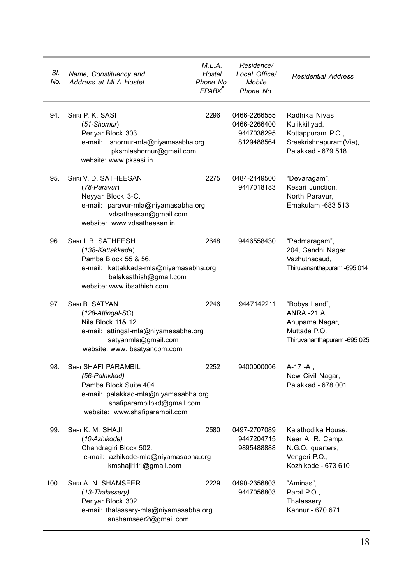| SI.<br>No. | Name, Constituency and<br>Address at MLA Hostel                                                                                                                               | M.L.A.<br>Hostel<br>Phone No.<br>EPABX <sup>®</sup> | Residence/<br>Local Office/<br>Mobile<br>Phone No.       | <b>Residential Address</b>                                                                           |
|------------|-------------------------------------------------------------------------------------------------------------------------------------------------------------------------------|-----------------------------------------------------|----------------------------------------------------------|------------------------------------------------------------------------------------------------------|
| 94.        | SHRI P. K. SASI<br>$(51-Shormur)$<br>Periyar Block 303.<br>e-mail: shornur-mla@niyamasabha.org<br>pksmlashornur@gmail.com<br>website: www.pksasi.in                           | 2296                                                | 0466-2266555<br>0466-2266400<br>9447036295<br>8129488564 | Radhika Nivas,<br>Kulikkiliyad,<br>Kottappuram P.O.,<br>Sreekrishnapuram(Via),<br>Palakkad - 679 518 |
| 95.        | SHRI V. D. SATHEESAN<br>(78-Paravur)<br>Neyyar Block 3-C.<br>e-mail: paravur-mla@niyamasabha.org<br>vdsatheesan@gmail.com<br>website: www.vdsatheesan.in                      | 2275                                                | 0484-2449500<br>9447018183                               | "Devaragam",<br>Kesari Junction,<br>North Paravur,<br>Ernakulam -683 513                             |
| 96.        | SHRI I. B. SATHEESH<br>(138-Kattakkada)<br>Pamba Block 55 & 56.<br>e-mail: kattakkada-mla@niyamasabha.org<br>balaksathish@gmail.com<br>website: www.ibsathish.com             | 2648                                                | 9446558430                                               | "Padmaragam",<br>204, Gandhi Nagar,<br>Vazhuthacaud,<br>Thiruvananthapuram - 695 014                 |
| 97.        | SHRI B. SATYAN<br>$(128-Attingal-SC)$<br>Nila Block 11& 12.<br>e-mail: attingal-mla@niyamasabha.org<br>satyanmla@gmail.com<br>website: www. bsatyancpm.com                    | 2246                                                | 9447142211                                               | "Bobys Land",<br>ANRA -21 A,<br>Anupama Nagar,<br>Muttada P.O.<br>Thiruvananthapuram -695 025        |
| 98.        | <b>SHRI SHAFI PARAMBIL</b><br>(56-Palakkad)<br>Pamba Block Suite 404.<br>e-mail: palakkad-mla@niyamasabha.org<br>shafiparambilpkd@gmail.com<br>website: www.shafiparambil.com | 2252                                                | 9400000006                                               | A-17 -A,<br>New Civil Nagar,<br>Palakkad - 678 001                                                   |
| 99.        | SHRI K. M. SHAJI<br>(10-Azhikode)<br>Chandragiri Block 502.<br>e-mail: azhikode-mla@niyamasabha.org<br>kmshaji111@gmail.com                                                   | 2580                                                | 0497-2707089<br>9447204715<br>9895488888                 | Kalathodika House,<br>Near A. R. Camp,<br>N.G.O. quarters,<br>Vengeri P.O.,<br>Kozhikode - 673 610   |
| 100.       | SHRI A. N. SHAMSEER<br>(13-Thalassery)<br>Periyar Block 302.<br>e-mail: thalassery-mla@niyamasabha.org<br>anshamseer2@gmail.com                                               | 2229                                                | 0490-2356803<br>9447056803                               | "Aminas",<br>Paral P.O.,<br>Thalassery<br>Kannur - 670 671                                           |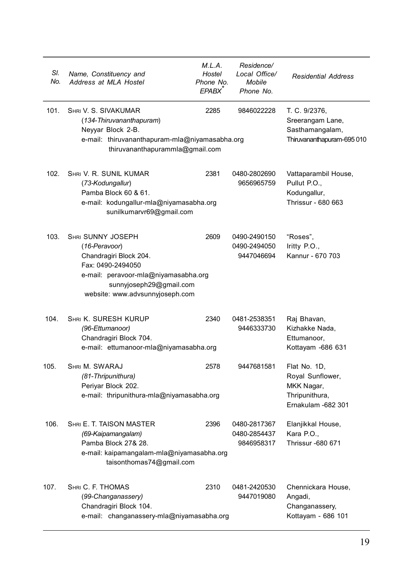| SI.<br>No. | Name, Constituency and<br>Address at MLA Hostel                                                                                                                                                | M.L.A.<br>Hostel<br>Phone No.<br>EPABX <sup>®</sup> | Residence/<br>Local Office/<br>Mobile<br>Phone No. | <b>Residential Address</b>                                                             |
|------------|------------------------------------------------------------------------------------------------------------------------------------------------------------------------------------------------|-----------------------------------------------------|----------------------------------------------------|----------------------------------------------------------------------------------------|
| 101.       | SHRI V. S. SIVAKUMAR<br>(134-Thiruvananthapuram)<br>Neyyar Block 2-B.<br>e-mail: thiruvananthapuram-mla@niyamasabha.org<br>thiruvananthapurammla@gmail.com                                     | 2285                                                | 9846022228                                         | T. C. 9/2376,<br>Sreerangam Lane,<br>Sasthamangalam,<br>Thiruvananthapuram-695 010     |
| 102.       | SHRI V. R. SUNIL KUMAR<br>(73-Kodungallur)<br>Pamba Block 60 & 61.<br>e-mail: kodungallur-mla@niyamasabha.org<br>sunilkumarvr69@gmail.com                                                      | 2381                                                | 0480-2802690<br>9656965759                         | Vattaparambil House,<br>Pullut P.O.,<br>Kodungallur,<br>Thrissur - 680 663             |
| 103.       | <b>SHRI SUNNY JOSEPH</b><br>(16-Peravoor)<br>Chandragiri Block 204.<br>Fax: 0490-2494050<br>e-mail: peravoor-mla@niyamasabha.org<br>sunnyjoseph29@gmail.com<br>website: www.advsunnyjoseph.com | 2609                                                | 0490-2490150<br>0490-2494050<br>9447046694         | "Roses",<br>Iritty $P.O.,$<br>Kannur - 670 703                                         |
| 104.       | SHRI K. SURESH KURUP<br>(96-Ettumanoor)<br>Chandragiri Block 704.<br>e-mail: ettumanoor-mla@niyamasabha.org                                                                                    | 2340                                                | 0481-2538351<br>9446333730                         | Raj Bhavan,<br>Kizhakke Nada,<br>Ettumanoor,<br>Kottayam -686 631                      |
| 105.       | SHRI M. SWARAJ<br>(81-Thripunithura)<br>Periyar Block 202.<br>e-mail: thripunithura-mla@niyamasabha.org                                                                                        | 2578                                                | 9447681581                                         | Flat No. 1D,<br>Royal Sunflower,<br>MKK Nagar,<br>Thripunithura,<br>Ernakulam -682 301 |
| 106.       | SHRI E. T. TAISON MASTER<br>(69-Kaipamangalam)<br>Pamba Block 27& 28.<br>e-mail: kaipamangalam-mla@niyamasabha.org<br>taisonthomas74@gmail.com                                                 | 2396                                                | 0480-2817367<br>0480-2854437<br>9846958317         | Elanjikkal House,<br>Kara P.O<br>Thrissur -680 671                                     |
| 107.       | SHRI C. F. THOMAS<br>(99-Changanassery)<br>Chandragiri Block 104.<br>e-mail: changanassery-mla@niyamasabha.org                                                                                 | 2310                                                | 0481-2420530<br>9447019080                         | Chennickara House,<br>Angadi,<br>Changanassery,<br>Kottayam - 686 101                  |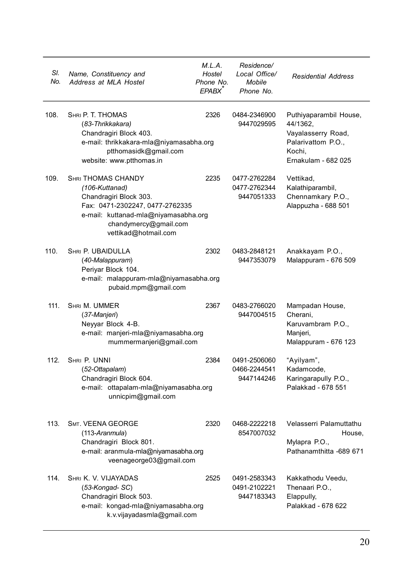| SI.<br>No. | Name, Constituency and<br>Address at MLA Hostel                                                                                                                                                   | M.L.A.<br>Hostel<br>Phone No.<br>EPABX <sup>®</sup> | Residence/<br>Local Office/<br>Mobile<br>Phone No. | <b>Residential Address</b>                                                                                      |
|------------|---------------------------------------------------------------------------------------------------------------------------------------------------------------------------------------------------|-----------------------------------------------------|----------------------------------------------------|-----------------------------------------------------------------------------------------------------------------|
| 108.       | SHRI P. T. THOMAS<br>(83-Thrikkakara)<br>Chandragiri Block 403.<br>e-mail: thrikkakara-mla@niyamasabha.org<br>ptthomasidk@gmail.com<br>website: www.ptthomas.in                                   | 2326                                                | 0484-2346900<br>9447029595                         | Puthiyaparambil House,<br>44/1362,<br>Vayalasserry Road,<br>Palarivattom P.O.,<br>Kochi,<br>Ernakulam - 682 025 |
| 109.       | <b>SHRI THOMAS CHANDY</b><br>(106-Kuttanad)<br>Chandragiri Block 303.<br>Fax: 0471-2302247, 0477-2762335<br>e-mail: kuttanad-mla@niyamasabha.org<br>chandymercy@gmail.com<br>vettikad@hotmail.com | 2235                                                | 0477-2762284<br>0477-2762344<br>9447051333         | Vettikad,<br>Kalathiparambil,<br>Chennamkary P.O.,<br>Alappuzha - 688 501                                       |
| 110.       | SHRI P. UBAIDULLA<br>(40-Malappuram)<br>Periyar Block 104.<br>e-mail: malappuram-mla@niyamasabha.org<br>pubaid.mpm@gmail.com                                                                      | 2302                                                | 0483-2848121<br>9447353079                         | Anakkayam P.O.,<br>Malappuram - 676 509                                                                         |
| 111.       | SHRI M. UMMER<br>(37-Manjeri)<br>Neyyar Block 4-B.<br>e-mail: manjeri-mla@niyamasabha.org<br>mummermanjeri@gmail.com                                                                              | 2367                                                | 0483-2766020<br>9447004515                         | Mampadan House,<br>Cherani.<br>Karuvambram P.O.,<br>Manjeri,<br>Malappuram - 676 123                            |
| 112.       | SHRI P. UNNI<br>(52-Ottapalam)<br>Chandragiri Block 604.<br>e-mail: ottapalam-mla@niyamasabha.org<br>unnicpim@gmail.com                                                                           | 2384                                                | 0491-2506060<br>0466-2244541<br>9447144246         | "Ayilyam",<br>Kadamcode,<br>Karingarapully P.O.,<br>Palakkad - 678 551                                          |
| 113.       | SMT. VEENA GEORGE<br>(113-Aranmula)<br>Chandragiri Block 801.<br>e-mail: aranmula-mla@niyamasabha.org<br>veenageorge03@gmail.com                                                                  | 2320                                                | 0468-2222218<br>8547007032                         | Velasserri Palamuttathu<br>House,<br>Mylapra P.O.,<br>Pathanamthitta -689 671                                   |
| 114.       | SHRI K. V. VIJAYADAS<br>(53-Kongad-SC)<br>Chandragiri Block 503.<br>e-mail: kongad-mla@niyamasabha.org<br>k.v.vijayadasmla@gmail.com                                                              | 2525                                                | 0491-2583343<br>0491-2102221<br>9447183343         | Kakkathodu Veedu,<br>Thenaari P.O.,<br>Elappully,<br>Palakkad - 678 622                                         |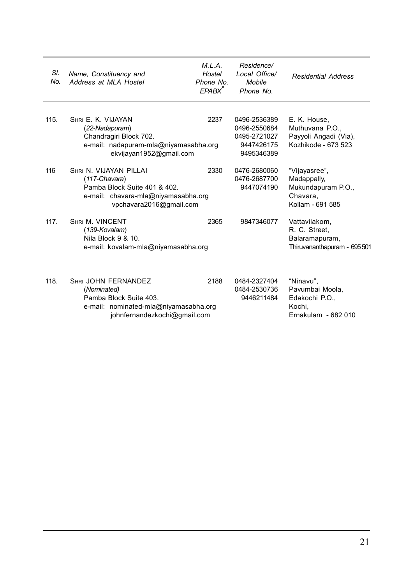| SI.<br>No. | Name, Constituency and<br>Address at MLA Hostel                                                                                              | M.L.A.<br>Hostel<br>Phone No.<br>FPARX <sup>*</sup> | Residence/<br>Local Office/<br>Mobile<br>Phone No                        | <b>Residential Address</b>                                                         |
|------------|----------------------------------------------------------------------------------------------------------------------------------------------|-----------------------------------------------------|--------------------------------------------------------------------------|------------------------------------------------------------------------------------|
| 115.       | SHRI E. K. VIJAYAN<br>(22-Nadapuram)<br>Chandragiri Block 702.<br>e-mail: nadapuram-mla@niyamasabha.org<br>ekvijayan1952@gmail.com           | 2237                                                | 0496-2536389<br>0496-2550684<br>0495-2721027<br>9447426175<br>9495346389 | E. K. House,<br>Muthuvana P.O<br>Payyoli Angadi (Via),<br>Kozhikode - 673 523      |
| 116        | SHRI N. VIJAYAN PILLAI<br>$(117$ -Chavara)<br>Pamba Block Suite 401 & 402.<br>e-mail: chavara-mla@niyamasabha.org<br>vpchavara2016@gmail.com | 2330                                                | 0476-2680060<br>0476-2687700<br>9447074190                               | "Vijayasree",<br>Madappally,<br>Mukundapuram P.O.,<br>Chavara.<br>Kollam - 691 585 |
| 117.       | <b>SHRLM VINCENT</b><br>$(139-Kovalam)$<br>Nila Block 9 & 10.<br>e-mail: kovalam-mla@niyamasabha.org                                         | 2365                                                | 9847346077                                                               | Vattavilakom,<br>R. C. Street.<br>Balaramapuram,<br>Thiruvananthapuram - 695 501   |
| 118.       | <b>SHRI JOHN FERNANDEZ</b><br>(Nominated)<br>Pamba Block Suite 403.<br>e-mail: nominated-mla@niyamasabha.org<br>johnfernandezkochi@gmail.com | 2188                                                | 0484-2327404<br>0484-2530736<br>9446211484                               | "Ninavu",<br>Pavumbai Moola.<br>Edakochi P.O.,<br>Kochi.<br>Ernakulam - 682 010    |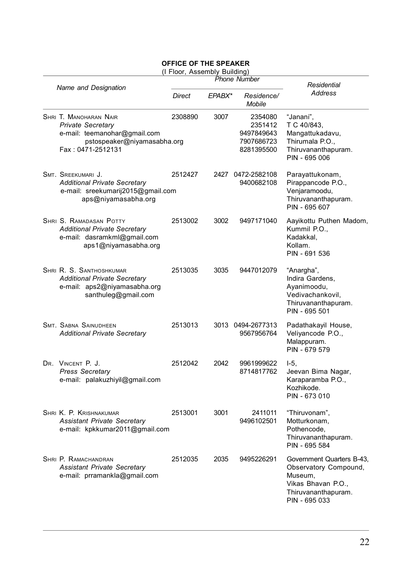## **OFFICE OF THE SPEAKER**

|  |  | (I Floor, Assembly Building) |  |
|--|--|------------------------------|--|
|--|--|------------------------------|--|

|  |                                                                                                                                        | (I FIUUI, ASSEIIIDIY DUIIUIIIY) | <b>Phone Number</b> |                                                              |                                                                                                                           |
|--|----------------------------------------------------------------------------------------------------------------------------------------|---------------------------------|---------------------|--------------------------------------------------------------|---------------------------------------------------------------------------------------------------------------------------|
|  | Name and Designation                                                                                                                   |                                 |                     |                                                              | Residential                                                                                                               |
|  |                                                                                                                                        | <b>Direct</b>                   | EPABX*              | Residence/<br><b>Mobile</b>                                  | Address                                                                                                                   |
|  | SHRI T. MANOHARAN NAIR<br><b>Private Secretary</b><br>e-mail: teemanohar@gmail.com<br>pstospeaker@niyamasabha.org<br>Fax: 0471-2512131 | 2308890                         | 3007                | 2354080<br>2351412<br>9497849643<br>7907686723<br>8281395500 | "Janani",<br>T C 40/843,<br>Mangattukadavu,<br>Thirumala P.O.,<br>Thiruvananthapuram.<br>PIN - 695 006                    |
|  | SMT. SREEKUMARI J.<br><b>Additional Private Secretary</b><br>e-mail: sreekumarij2015@gmail.com<br>aps@niyamasabha.org                  | 2512427                         |                     | 2427 0472-2582108<br>9400682108                              | Parayattukonam,<br>Pirappancode P.O.,<br>Venjaramoodu,<br>Thiruvananthapuram.<br>PIN - 695 607                            |
|  | SHRI S. RAMADASAN POTTY<br><b>Additional Private Secretary</b><br>e-mail: dasramkml@gmail.com<br>aps1@niyamasabha.org                  | 2513002                         | 3002                | 9497171040                                                   | Aayikottu Puthen Madom,<br>Kummil P.O.,<br>Kadakkal.<br>Kollam.<br>PIN - 691 536                                          |
|  | SHRI R. S. SANTHOSHKUMAR<br><b>Additional Private Secretary</b><br>e-mail: aps2@niyamasabha.org<br>santhuleg@gmail.com                 | 2513035                         | 3035                | 9447012079                                                   | "Anargha",<br>Indira Gardens,<br>Ayanimoodu,<br>Vedivachankovil.<br>Thiruvananthapuram.<br>PIN - 695 501                  |
|  | <b>SMT. SABNA SAINUDHEEN</b><br><b>Additional Private Secretary</b>                                                                    | 2513013                         |                     | 3013 0494-2677313<br>9567956764                              | Padathakayil House,<br>Veliyancode P.O.,<br>Malappuram.<br>PIN - 679 579                                                  |
|  | DR. VINCENT P. J.<br><b>Press Secretary</b><br>e-mail: palakuzhiyil@gmail.com                                                          | 2512042                         | 2042                | 9961999622<br>8714817762                                     | $I-5$ .<br>Jeevan Bima Nagar,<br>Karaparamba P.O.,<br>Kozhikode.<br>PIN - 673 010                                         |
|  | SHRI K. P. KRISHNAKUMAR<br><b>Assistant Private Secretary</b><br>e-mail: kpkkumar2011@gmail.com                                        | 2513001                         | 3001                | 2411011<br>9496102501                                        | "Thiruvonam",<br>Motturkonam,<br>Pothencode.<br>Thiruvananthapuram.<br>PIN - 695 584                                      |
|  | SHRI P. RAMACHANDRAN<br><b>Assistant Private Secretary</b><br>e-mail: prramankla@gmail.com                                             | 2512035                         | 2035                | 9495226291                                                   | Government Quarters B-43,<br>Observatory Compound,<br>Museum,<br>Vikas Bhavan P.O<br>Thiruvananthapuram.<br>PIN - 695 033 |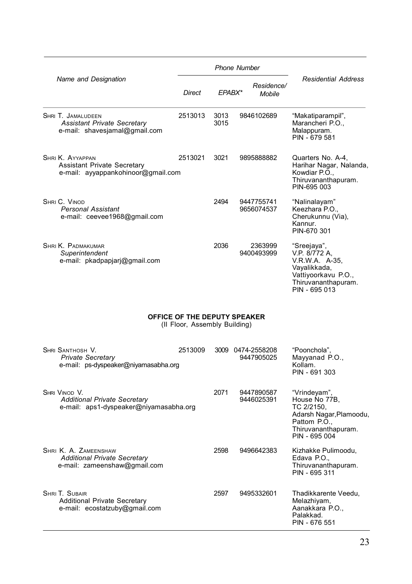|                                                                                                | <b>Phone Number</b>                                           |              |  |                                 |                                                                                                                                |
|------------------------------------------------------------------------------------------------|---------------------------------------------------------------|--------------|--|---------------------------------|--------------------------------------------------------------------------------------------------------------------------------|
| Name and Designation                                                                           | Direct                                                        | EPABX*       |  | Residence/<br>Mobile            | <b>Residential Address</b>                                                                                                     |
| SHRI T. JAMALUDEEN<br><b>Assistant Private Secretary</b><br>e-mail: shavesjamal@gmail.com      | 2513013                                                       | 3013<br>3015 |  | 9846102689                      | "Makatiparampil",<br>Marancheri P.O.,<br>Malappuram.<br>PIN - 679 581                                                          |
| SHRI K. AYYAPPAN<br><b>Assistant Private Secretary</b><br>e-mail: ayyappankohinoor@gmail.com   | 2513021                                                       | 3021         |  | 9895888882                      | Quarters No. A-4,<br>Harihar Nagar, Nalanda,<br>Kowdiar P.O<br>Thiruvananthapuram.<br>PIN-695 003                              |
| SHRI C. VINOD<br><b>Personal Assistant</b><br>e-mail: ceevee1968@gmail.com                     |                                                               | 2494         |  | 9447755741<br>9656074537        | "Nalinalayam"<br>Keezhara P.O.,<br>Cherukunnu (Via),<br>Kannur.<br>PIN-670 301                                                 |
| <b>SHRI K. PADMAKUMAR</b><br>Superintendent<br>e-mail: pkadpapjarj@gmail.com                   |                                                               | 2036         |  | 2363999<br>9400493999           | "Sreejaya",<br>V.P. 8/772 A.<br>V.R.W.A. A-35,<br>Vayalikkada,<br>Vattiyoorkavu P.O.,<br>Thiruvananthapuram.<br>PIN - 695 013  |
|                                                                                                | OFFICE OF THE DEPUTY SPEAKER<br>(II Floor, Assembly Building) |              |  |                                 |                                                                                                                                |
| SHRI SANTHOSH V.<br><b>Private Secretary</b><br>e-mail: ps-dyspeaker@niyamasabha.org           | 2513009                                                       |              |  | 3009 0474-2558208<br>9447905025 | "Poonchola",<br>Mayyanad P.O.,<br>Kollam.<br>PIN - 691 303                                                                     |
| SHRI VINOD V.<br><b>Additional Private Secretary</b><br>e-mail: aps1-dyspeaker@niyamasabha.org |                                                               | 2071         |  | 9447890587<br>9446025391        | "Vrindeyam",<br>House No 77B,<br>TC 2/2150,<br>Adarsh Nagar, Plamoodu,<br>Pattom P.O.,<br>Thiruvananthapuram.<br>PIN - 695 004 |
| SHRI K. A. ZAMEENSHAW<br><b>Additional Private Secretary</b><br>e-mail: zameenshaw@gmail.com   |                                                               | 2598         |  | 9496642383                      | Kizhakke Pulimoodu,<br>Edava P.O.,<br>Thiruvananthapuram.<br>PIN - 695 311                                                     |
| SHRI T. SUBAIR<br><b>Additional Private Secretary</b><br>e-mail: ecostatzuby@gmail.com         |                                                               | 2597         |  | 9495332601                      | Thadikkarente Veedu,<br>Melazhiyam,<br>Aanakkara P.O.,<br>Palakkad.<br>PIN - 676 551                                           |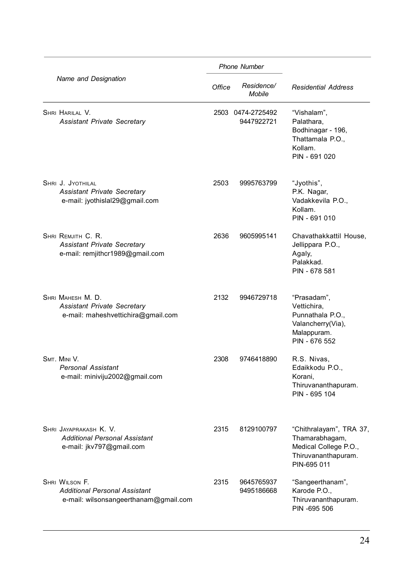|                                                                                               |        | <b>Phone Number</b>             |                                                                                                          |
|-----------------------------------------------------------------------------------------------|--------|---------------------------------|----------------------------------------------------------------------------------------------------------|
| Name and Designation                                                                          | Office | Residence/<br>Mobile            | <b>Residential Address</b>                                                                               |
| SHRI HARILAL V.<br><b>Assistant Private Secretary</b>                                         |        | 2503 0474-2725492<br>9447922721 | "Vishalam",<br>Palathara.<br>Bodhinagar - 196,<br>Thattamala P.O.,<br>Kollam.<br>PIN - 691 020           |
| SHRI J. JYOTHILAL<br><b>Assistant Private Secretary</b><br>e-mail: jyothislal29@gmail.com     | 2503   | 9995763799                      | "Jyothis",<br>P.K. Nagar,<br>Vadakkevila P.O.,<br>Kollam.<br>PIN - 691 010                               |
| SHRI REMJITH C. R.<br><b>Assistant Private Secretary</b><br>e-mail: remjithcr1989@gmail.com   | 2636   | 9605995141                      | Chavathakkattil House,<br>Jellippara P.O.,<br>Agaly,<br>Palakkad.<br>PIN - 678 581                       |
| SHRI MAHESH M. D.<br><b>Assistant Private Secretary</b><br>e-mail: maheshvettichira@gmail.com | 2132   | 9946729718                      | "Prasadam",<br>Vettichira,<br>Punnathala P.O.,<br>Valancherry(Via),<br>Malappuram.<br>PIN - 676 552      |
| SMT. MINI V.<br><b>Personal Assistant</b><br>e-mail: miniviju2002@gmail.com                   | 2308   | 9746418890                      | R.S. Nivas,<br>Edaikkodu P.O.,<br>Korani.<br>Thiruvananthapuram.<br>PIN - 695 104                        |
| SHRI JAYAPRAKASH K. V.<br><b>Additional Personal Assistant</b><br>e-mail: jkv797@gmail.com    | 2315   | 8129100797                      | "Chithralayam", TRA 37,<br>Thamarabhagam,<br>Medical College P.O.,<br>Thiruvananthapuram.<br>PIN-695 011 |
| SHRI WILSON F.<br>Additional Personal Assistant<br>e-mail: wilsonsangeerthanam@gmail.com      | 2315   | 9645765937<br>9495186668        | "Sangeerthanam",<br>Karode P.O.,<br>Thiruvananthapuram.<br>PIN -695 506                                  |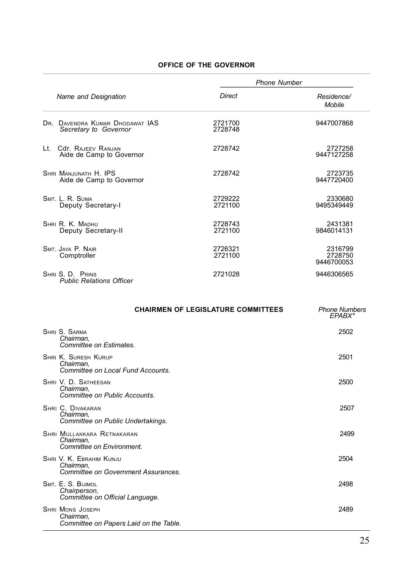## **OFFICE OF THE GOVERNOR**

|     |                                                          | <b>Phone Number</b> |                                  |  |
|-----|----------------------------------------------------------|---------------------|----------------------------------|--|
|     | Name and Designation                                     | Direct              | Residence/<br>Mobile             |  |
|     | DR. DAVENDRA KUMAR DHODAWAT IAS<br>Secretary to Governor | 2721700<br>2728748  | 9447007868                       |  |
| It. | Cdr RAJEEV RANJAN<br>Aide de Camp to Governor            | 2728742             | 2727258<br>9447127258            |  |
|     | SHRI MANJUNATH H. IPS<br>Aide de Camp to Governor        | 2728742             | 2723735<br>9447720400            |  |
|     | SMT I R SUMA<br>Deputy Secretary-I                       | 2729222<br>2721100  | 2330680<br>9495349449            |  |
|     | SHRI R K MADHU<br>Deputy Secretary-II                    | 2728743<br>2721100  | 2431381<br>9846014131            |  |
|     | SMT. JAYA P. NAIR<br>Comptroller                         | 2726321<br>2721100  | 2316799<br>2728750<br>9446700053 |  |
|     | SHRIS D PRINS<br><b>Public Relations Officer</b>         | 2721028             | 9446306565                       |  |

| <b>CHAIRMEN OF LEGISLATURE COMMITTEES</b>                                      | <b>Phone Numbers</b><br>EPABX* |
|--------------------------------------------------------------------------------|--------------------------------|
| SHRI S. SARMA<br>Chairman.<br>Committee on Estimates.                          | 2502                           |
| <b>SHRI K. SURESH KURUP</b><br>Chairman,<br>Committee on Local Fund Accounts.  | 2501                           |
| SHRI V. D. SATHEESAN<br>Chairman.<br>Committée on Public Accounts              | 2500                           |
| SHRI C. DIVAKARAN<br>Chairman.<br>Committee on Public Undertakings.            | 2507                           |
| <b>SHRI MULLAKKARA RETNAKARAN</b><br>Chairman,<br>Committee on Environment.    | 2499                           |
| SHRI V. K. EBRAHIM KUNJU<br>Chairman,<br>Committee on Government Assurances.   | 2504                           |
| SMT. E. S. BIJIMOL<br>Chairperson,<br>Committee on Official Language.          | 2498                           |
| <b>SHRI MONS JOSEPH</b><br>Chairman,<br>Committee on Papers Laid on the Table. | 2489                           |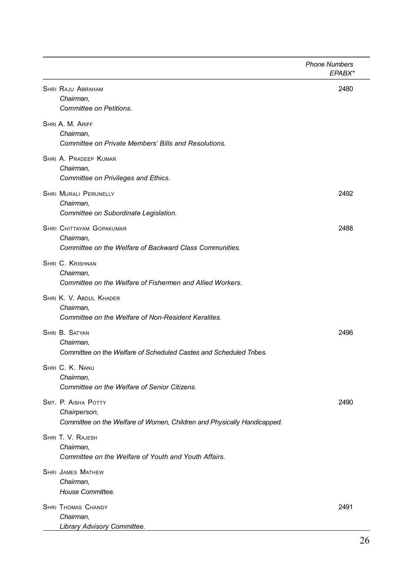|                                                                                                                | <b>Phone Numbers</b><br>EPABX* |
|----------------------------------------------------------------------------------------------------------------|--------------------------------|
| <b>SHRI RAJU ABRAHAM</b><br>Chairman,<br>Committee on Petitions.                                               | 2480                           |
| SHRI A. M. ARIFF<br>Chairman.<br>Committee on Private Members' Bills and Resolutions.                          |                                |
| SHRI A. PRADEEP KUMAR<br>Chairman.<br>Committee on Privileges and Ethics.                                      |                                |
| <b>SHRI MURALI PERUNELLY</b><br>Chairman.<br>Committee on Subordinate Legislation.                             | 2492                           |
| SHRI CHITTAYAM GOPAKUMAR<br>Chairman.<br>Committee on the Welfare of Backward Class Communities.               | 2488                           |
| <b>SHRI C. KRISHNAN</b><br>Chairman.<br>Committee on the Welfare of Fishermen and Allied Workers.              |                                |
| SHRI K. V. ABDUL KHADER<br>Chairman.<br>Committee on the Welfare of Non-Resident Keralites.                    |                                |
| SHRI B. SATYAN<br>Chairman.<br>Committee on the Welfare of Scheduled Castes and Scheduled Tribes.              | 2496                           |
| SHRI C. K. NANU<br>Chairman.<br>Committee on the Welfare of Senior Citizens.                                   |                                |
| SMT. P. AISHA POTTY<br>Chairperson,<br>Committee on the Welfare of Women, Children and Physically Handicapped. | 2490                           |
| SHRI T. V. RAJESH<br>Chairman.<br>Committee on the Welfare of Youth and Youth Affairs.                         |                                |
| <b>SHRI JAMES MATHEW</b><br>Chairman,<br>House Committee.                                                      |                                |
| <b>SHRI THOMAS CHANDY</b><br>Chairman,<br>Library Advisory Committee.                                          | 2491                           |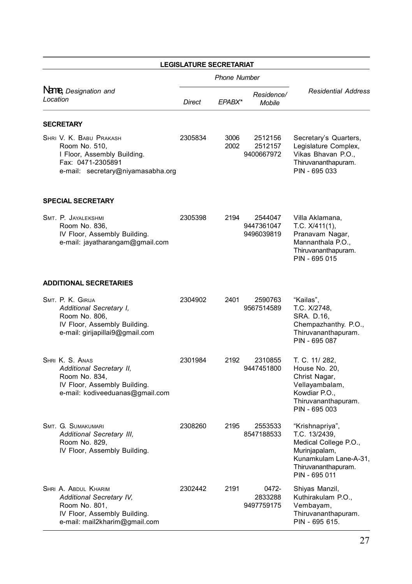|          |                                                                                                                                    | <b>LEGISLATURE SECRETARIAT</b> |                     |                                     |                                                                                                                                             |
|----------|------------------------------------------------------------------------------------------------------------------------------------|--------------------------------|---------------------|-------------------------------------|---------------------------------------------------------------------------------------------------------------------------------------------|
|          |                                                                                                                                    |                                | <b>Phone Number</b> |                                     |                                                                                                                                             |
| Location | Name, Designation and                                                                                                              | Direct                         | EPABX*              | Residence/<br><b>Mobile</b>         | <b>Residential Address</b>                                                                                                                  |
|          | <b>SECRETARY</b>                                                                                                                   |                                |                     |                                     |                                                                                                                                             |
|          | SHRI V. K. BABU PRAKASH<br>Room No. 510,<br>I Floor, Assembly Building.<br>Fax: 0471-2305891<br>e-mail: secretary@niyamasabha.org  | 2305834                        | 3006<br>2002        | 2512156<br>2512157<br>9400667972    | Secretary's Quarters,<br>Legislature Complex,<br>Vikas Bhavan P.O.,<br>Thiruvananthapuram.<br>PIN - 695 033                                 |
|          | <b>SPECIAL SECRETARY</b>                                                                                                           |                                |                     |                                     |                                                                                                                                             |
|          | SMT. P. JAYALEKSHMI<br>Room No. 836,<br>IV Floor, Assembly Building.<br>e-mail: jayatharangam@gmail.com                            | 2305398                        | 2194                | 2544047<br>9447361047<br>9496039819 | Villa Aklamana,<br>T.C. $X/411(1)$ ,<br>Pranavam Nagar,<br>Mannanthala P.O.,<br>Thiruvananthapuram.<br>PIN - 695 015                        |
|          | <b>ADDITIONAL SECRETARIES</b>                                                                                                      |                                |                     |                                     |                                                                                                                                             |
|          | SMT. P. K. GIRIJA<br>Additional Secretary I,<br>Room No. 806,<br>IV Floor, Assembly Building.<br>e-mail: girijapillai9@gmail.com   | 2304902                        | 2401                | 2590763<br>9567514589               | "Kailas",<br>T.C. X/2748,<br>SRA. D.16,<br>Chempazhanthy. P.O.,<br>Thiruvananthapuram.<br>PIN - 695 087                                     |
|          | SHRI K. S. ANAS<br>Additional Secretary II,<br>Room No. 834,<br>IV Floor, Assembly Building.<br>e-mail: kodiveeduanas@gmail.com    | 2301984                        | 2192                | 2310855<br>9447451800               | T. C. 11/ 282,<br>House No. 20,<br>Christ Nagar,<br>Vellayambalam,<br>Kowdiar P.O.,<br>Thiruvananthapuram.<br>PIN - 695 003                 |
|          | SMT. G. SUMAKUMARI<br>Additional Secretary III,<br>Room No. 829,<br>IV Floor, Assembly Building.                                   | 2308260                        | 2195                | 2553533<br>8547188533               | "Krishnapriya",<br>T.C. 13/2439,<br>Medical College P.O.,<br>Murinjapalam,<br>Kunamkulam Lane-A-31,<br>Thiruvananthapuram.<br>PIN - 695 011 |
|          | SHRI A. ABDUL KHARIM<br>Additional Secretary IV,<br>Room No. 801,<br>IV Floor, Assembly Building.<br>e-mail: mail2kharim@gmail.com | 2302442                        | 2191                | 0472-<br>2833288<br>9497759175      | Shiyas Manzil,<br>Kuthirakulam P.O.,<br>Vembayam,<br>Thiruvananthapuram.<br>PIN - 695 615.                                                  |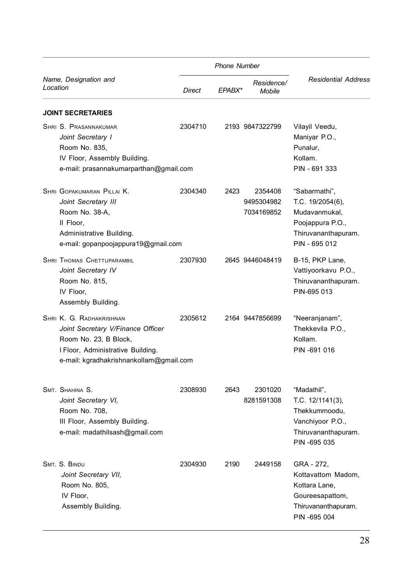|                                                                                                                                                                        |         | <b>Phone Number</b> |                                     |                                                                                                                |
|------------------------------------------------------------------------------------------------------------------------------------------------------------------------|---------|---------------------|-------------------------------------|----------------------------------------------------------------------------------------------------------------|
| Name, Designation and<br>Location                                                                                                                                      | Direct  | EPABX*              | Residence/<br>Mobile                | <b>Residential Address</b>                                                                                     |
| <b>JOINT SECRETARIES</b>                                                                                                                                               |         |                     |                                     |                                                                                                                |
| SHRI S. PRASANNAKUMAR<br>Joint Secretary I<br>Room No. 835,<br>IV Floor, Assembly Building.<br>e-mail: prasannakumarparthan@gmail.com                                  | 2304710 |                     | 2193 9847322799                     | Vilayil Veedu,<br>Maniyar P.O.,<br>Punalur,<br>Kollam.<br>PIN - 691 333                                        |
| SHRI GOPAKUMARAN PILLAI K.<br>Joint Secretary III<br>Room No. 38-A,<br>II Floor.<br>Administrative Building.<br>e-mail: gopanpoojappura19@gmail.com                    | 2304340 | 2423                | 2354408<br>9495304982<br>7034169852 | "Sabarmathi",<br>T.C. 19/2054(6),<br>Mudavanmukal,<br>Poojappura P.O.,<br>Thiruvananthapuram.<br>PIN - 695 012 |
| <b>SHRI THOMAS CHETTUPARAMBIL</b><br>Joint Secretary IV<br>Room No. 815,<br>IV Floor.<br>Assembly Building.                                                            | 2307930 |                     | 2645 9446048419                     | B-15, PKP Lane,<br>Vattiyoorkavu P.O.,<br>Thiruvananthapuram.<br>PIN-695 013                                   |
| SHRI K. G. RADHAKRISHNAN<br>Joint Secretary V/Finance Officer<br>Room No. 23, B Block,<br>I Floor, Administrative Building.<br>e-mail: kgradhakrishnankollam@gmail.com | 2305612 |                     | 2164 9447856699                     | "Neeranjanam",<br>Thekkevila P.O<br>Kollam.<br>PIN-691 016                                                     |
| SMT. SHAHINA S.<br>Joint Secretary VI,<br>Room No. 708,<br>III Floor, Assembly Building.<br>e-mail: madathilsash@gmail.com                                             | 2308930 | 2643                | 2301020<br>8281591308               | "Madathil",<br>T.C. $12/1141(3)$ ,<br>Thekkummoodu,<br>Vanchiyoor P.O.,<br>Thiruvananthapuram.<br>PIN -695 035 |
| SMT. S. BINDU<br>Joint Secretary VII,<br>Room No. 805,<br>IV Floor,<br>Assembly Building.                                                                              | 2304930 | 2190                | 2449158                             | GRA - 272.<br>Kottavattom Madom.<br>Kottara Lane,<br>Goureesapattom,<br>Thiruvananthapuram.<br>PIN -695 004    |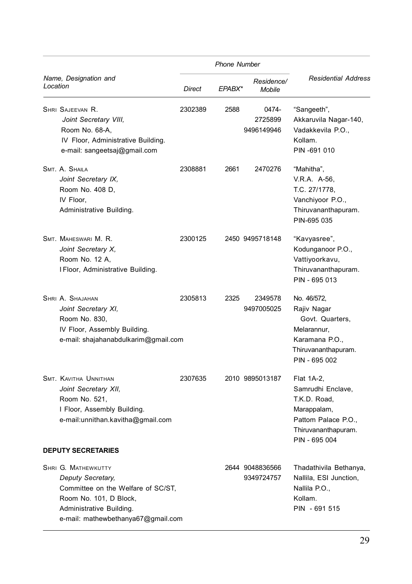|          |                                                                                                                                                                 | <b>Phone Number</b> |        |                                |                                                                                                                               |  |
|----------|-----------------------------------------------------------------------------------------------------------------------------------------------------------------|---------------------|--------|--------------------------------|-------------------------------------------------------------------------------------------------------------------------------|--|
| Location | Name, Designation and                                                                                                                                           | Direct              | EPABX* | Residence/<br>Mobile           | <b>Residential Address</b>                                                                                                    |  |
|          | SHRI SAJEEVAN R.<br>Joint Secretary VIII,<br>Room No. 68-A.<br>IV Floor, Administrative Building.<br>e-mail: sangeetsaj@gmail.com                               | 2302389             | 2588   | 0474-<br>2725899<br>9496149946 | "Sangeeth",<br>Akkaruvila Nagar-140,<br>Vadakkevila P.O.,<br>Kollam.<br>PIN-691 010                                           |  |
|          | SMT. A. SHAILA<br>Joint Secretary IX,<br>Room No. 408 D,<br>IV Floor,<br>Administrative Building.                                                               | 2308881             | 2661   | 2470276                        | "Mahitha",<br>V.R.A. A-56,<br>T.C. 27/1778,<br>Vanchiyoor P.O.,<br>Thiruvananthapuram.<br>PIN-695 035                         |  |
|          | SMT. MAHESWARI M. R.<br>Joint Secretary X,<br>Room No. 12 A,<br>I Floor, Administrative Building.                                                               | 2300125             |        | 2450 9495718148                | "Kavyasree",<br>Kodunganoor P.O.,<br>Vattiyoorkavu,<br>Thiruvananthapuram.<br>PIN - 695 013                                   |  |
|          | SHRI A. SHAJAHAN<br>Joint Secretary XI,<br>Room No. 830,<br>IV Floor, Assembly Building.<br>e-mail: shajahanabdulkarim@gmail.com                                | 2305813             | 2325   | 2349578<br>9497005025          | No. 46/572,<br>Rajiv Nagar<br>Govt. Quarters,<br>Melarannur,<br>Karamana P.O.,<br>Thiruvananthapuram.<br>PIN - 695 002        |  |
|          | SMT. KAVITHA UNNITHAN<br>Joint Secretary XII,<br>Room No. 521,<br>I Floor, Assembly Building.<br>e-mail:unnithan.kavitha@gmail.com<br><b>DEPUTY SECRETARIES</b> | 2307635             |        | 2010 9895013187                | Flat 1A-2,<br>Samrudhi Enclave,<br>T.K.D. Road,<br>Marappalam,<br>Pattom Palace P.O.,<br>Thiruvananthapuram.<br>PIN - 695 004 |  |
|          | SHRI G. MATHEWKUTTY                                                                                                                                             |                     |        | 2644 9048836566                | Thadathivila Bethanya,                                                                                                        |  |
|          | Deputy Secretary,<br>Committee on the Welfare of SC/ST,<br>Room No. 101, D Block,<br>Administrative Building.<br>e-mail: mathewbethanya67@gmail.com             |                     |        | 9349724757                     | Nallila, ESI Junction,<br>Nallila P.O.,<br>Kollam.<br>PIN - 691 515                                                           |  |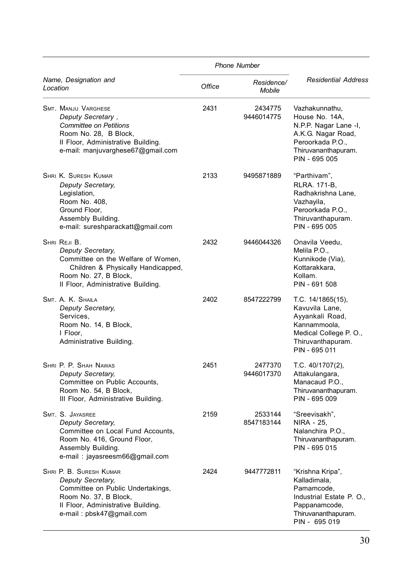|          |                                                                                                                                                                                      |        | <b>Phone Number</b>   |                                                                                                                                             |
|----------|--------------------------------------------------------------------------------------------------------------------------------------------------------------------------------------|--------|-----------------------|---------------------------------------------------------------------------------------------------------------------------------------------|
| Location | Name, Designation and                                                                                                                                                                | Office | Residence/<br>Mobile  | <b>Residential Address</b>                                                                                                                  |
|          | <b>SMT. MANJU VARGHESE</b><br>Deputy Secretary,<br><b>Committee on Petitions</b><br>Room No. 28, B Block,<br>Il Floor, Administrative Building.<br>e-mail: manjuvarghese67@gmail.com | 2431   | 2434775<br>9446014775 | Vazhakunnathu,<br>House No. 14A,<br>N.P.P. Nagar Lane -I,<br>A.K.G. Nagar Road,<br>Peroorkada P.O.,<br>Thiruvananthapuram.<br>PIN - 695 005 |
|          | SHRI K. SURESH KUMAR<br>Deputy Secretary,<br>Legislation,<br>Room No. 408,<br>Ground Floor.<br>Assembly Building.<br>e-mail: sureshparackatt@gmail.com                               | 2133   | 9495871889            | "Parthivam",<br>RLRA. 171-B.<br>Radhakrishna Lane,<br>Vazhayila,<br>Peroorkada P.O.,<br>Thiruvanthapuram.<br>PIN - 695 005                  |
|          | SHRI REJI B.<br>Deputy Secretary,<br>Committee on the Welfare of Women.<br>Children & Physically Handicapped,<br>Room No. 27, B Block,<br>Il Floor, Administrative Building.         | 2432   | 9446044326            | Onavila Veedu,<br>Melila P.O.,<br>Kunnikode (Via),<br>Kottarakkara,<br>Kollam.<br>PIN - 691 508                                             |
|          | SMT. A. K. SHAILA<br>Deputy Secretary,<br>Services,<br>Room No. 14, B Block,<br>I Floor,<br>Administrative Building.                                                                 | 2402   | 8547222799            | T.C. 14/1865(15),<br>Kavuvila Lane,<br>Ayyankali Road,<br>Kannammoola,<br>Medical College P. O.,<br>Thiruvanthapuram.<br>PIN - 695 011      |
|          | SHRI P. P. SHAH NAWAS<br>Deputy Secretary,<br>Committee on Public Accounts,<br>Room No. 54, B Block,<br>III Floor, Administrative Building.                                          | 2451   | 2477370<br>9446017370 | T.C. 40/1707(2),<br>Attakulangara,<br>Manacaud P.O<br>Thiruvananthapuram.<br>PIN - 695 009                                                  |
|          | SMT. S. JAYASREE<br>Deputy Secretary,<br>Committee on Local Fund Accounts,<br>Room No. 416, Ground Floor,<br>Assembly Building.<br>e-mail: jayasreesm66@gmail.com                    | 2159   | 2533144<br>8547183144 | "Sreevisakh",<br>NIRA - 25,<br>Nalanchira P.O.,<br>Thiruvananthapuram.<br>PIN - 695 015                                                     |
|          | SHRI P. B. SURESH KUMAR<br>Deputy Secretary,<br>Committee on Public Undertakings,<br>Room No. 37, B Block,<br>Il Floor, Administrative Building.<br>e-mail: pbsk47@gmail.com         | 2424   | 9447772811            | "Krishna Kripa",<br>Kalladimala,<br>Pamamcode.<br>Industrial Estate P. O.,<br>Pappanamcode,<br>Thiruvananthapuram.<br>PIN - 695 019         |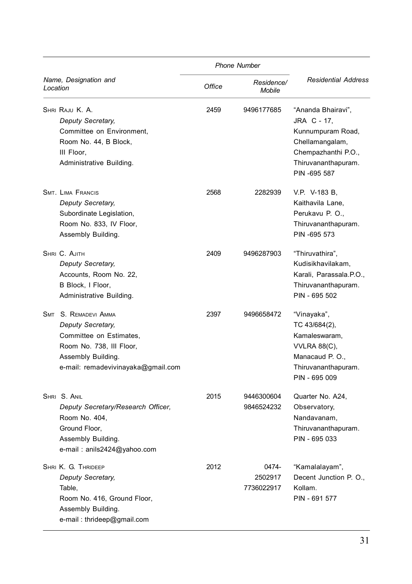|                                                                                                                                                              |        | <b>Phone Number</b>            |                                                                                                                                         |
|--------------------------------------------------------------------------------------------------------------------------------------------------------------|--------|--------------------------------|-----------------------------------------------------------------------------------------------------------------------------------------|
| Name, Designation and<br>Location                                                                                                                            | Office | Residence/<br>Mobile           | <b>Residential Address</b>                                                                                                              |
| SHRI RAJU K. A.<br>Deputy Secretary,<br>Committee on Environment,<br>Room No. 44, B Block,<br>III Floor,<br>Administrative Building.                         | 2459   | 9496177685                     | "Ananda Bhairavi",<br>JRA C - 17.<br>Kunnumpuram Road,<br>Chellamangalam,<br>Chempazhanthi P.O.,<br>Thiruvananthapuram.<br>PIN -695 587 |
| <b>SMT. LIMA FRANCIS</b><br>Deputy Secretary,<br>Subordinate Legislation,<br>Room No. 833, IV Floor,<br>Assembly Building.                                   | 2568   | 2282939                        | V.P. V-183 B.<br>Kaithavila Lane,<br>Perukavu P. O.,<br>Thiruvananthapuram.<br>PIN -695 573                                             |
| SHRI C. AJITH<br>Deputy Secretary,<br>Accounts, Room No. 22,<br>B Block, I Floor,<br>Administrative Building.                                                | 2409   | 9496287903                     | "Thiruvathira",<br>Kudisikhavilakam,<br>Karali, Parassala.P.O.,<br>Thiruvananthapuram.<br>PIN - 695 502                                 |
| SMT S. REMADEVI AMMA<br>Deputy Secretary,<br>Committee on Estimates,<br>Room No. 738, III Floor,<br>Assembly Building.<br>e-mail: remadevivinayaka@gmail.com | 2397   | 9496658472                     | "Vinayaka",<br>TC 43/684(2),<br>Kamaleswaram,<br><b>VVLRA 88(C),</b><br>Manacaud P.O.,<br>Thiruvananthapuram.<br>PIN - 695 009          |
| SHRI S. ANIL<br>Deputy Secretary/Research Officer,<br>Room No. 404.<br>Ground Floor,<br>Assembly Building.<br>e-mail: anils2424@yahoo.com                    | 2015   | 9446300604<br>9846524232       | Quarter No. A24,<br>Observatory,<br>Nandavanam.<br>Thiruvananthapuram.<br>PIN - 695 033                                                 |
| SHRI K. G. THRIDEEP<br>Deputy Secretary,<br>Table,<br>Room No. 416, Ground Floor,<br>Assembly Building.<br>e-mail: thrideep@gmail.com                        | 2012   | 0474-<br>2502917<br>7736022917 | "Kamalalayam",<br>Decent Junction P. O.,<br>Kollam.<br>PIN - 691 577                                                                    |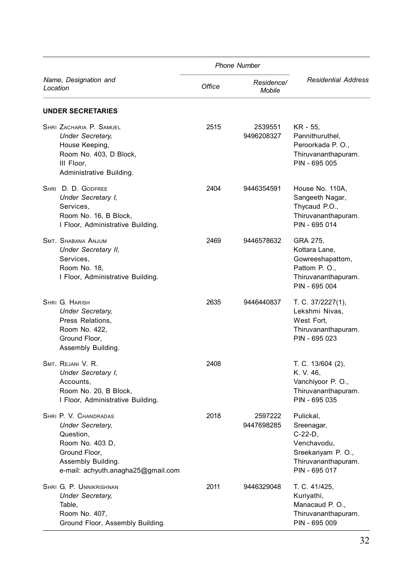| <b>Phone Number</b>                                                                                                                                           |        |                       |                                                                                                                    |
|---------------------------------------------------------------------------------------------------------------------------------------------------------------|--------|-----------------------|--------------------------------------------------------------------------------------------------------------------|
| Name, Designation and<br>Location                                                                                                                             | Office | Residence/<br>Mobile  | <b>Residential Address</b>                                                                                         |
| <b>UNDER SECRETARIES</b>                                                                                                                                      |        |                       |                                                                                                                    |
| SHRI ZACHARIA P. SAMUEL<br><b>Under Secretary.</b><br>House Keeping,<br>Room No. 403, D Block,<br>III Floor,<br>Administrative Building.                      | 2515   | 2539551<br>9496208327 | KR - 55,<br>Pannithuruthel,<br>Peroorkada P.O.,<br>Thiruvananthapuram.<br>PIN - 695 005                            |
| SHRI D. D. GODFREE<br>Under Secretary I,<br>Services,<br>Room No. 16, B Block,<br>I Floor, Administrative Building.                                           | 2404   | 9446354591            | House No. 110A,<br>Sangeeth Nagar,<br>Thycaud P.O.,<br>Thiruvananthapuram.<br>PIN - 695 014                        |
| <b>SMT. SHABANA ANJUM</b><br>Under Secretary II,<br>Services,<br>Room No. 18,<br>I Floor, Administrative Building.                                            | 2469   | 9446578632            | GRA 275.<br>Kottara Lane,<br>Gowreeshapattom,<br>Pattom P. O.,<br>Thiruvananthapuram.<br>PIN - 695 004             |
| SHRI G. HARISH<br><b>Under Secretary,</b><br>Press Relations,<br>Room No. 422,<br>Ground Floor,<br>Assembly Building.                                         | 2635   | 9446440837            | T. C. 37/2227(1),<br>Lekshmi Nivas,<br>West Fort.<br>Thiruvananthapuram.<br>PIN - 695 023                          |
| SMT. REJANI V. R.<br>Under Secretary I,<br>Accounts,<br>Room No. 20, B Block,<br>I Floor, Administrative Building.                                            | 2408   |                       | T. C. 13/604 (2),<br>K. V. 46,<br>Vanchiyoor P. O.,<br>Thiruvananthapuram.<br>PIN - 695 035                        |
| SHRI P. V. CHANDRADAS<br><b>Under Secretary.</b><br>Question,<br>Room No. 403 D,<br>Ground Floor,<br>Assembly Building.<br>e-mail: achyuth.anagha25@gmail.com | 2018   | 2597222<br>9447698285 | Pulickal.<br>Sreenagar,<br>$C-22-D$ ,<br>Venchavodu,<br>Sreekariyam P. O.,<br>Thiruvananthapuram.<br>PIN - 695 017 |
| SHRI G. P. UNNIKRISHNAN<br><b>Under Secretary,</b><br>Table,<br>Room No. 407,<br>Ground Floor, Assembly Building.                                             | 2011   | 9446329048            | T. C. 41/425,<br>Kuriyathi,<br>Manacaud P.O.,<br>Thiruvananthapuram.<br>PIN - 695 009                              |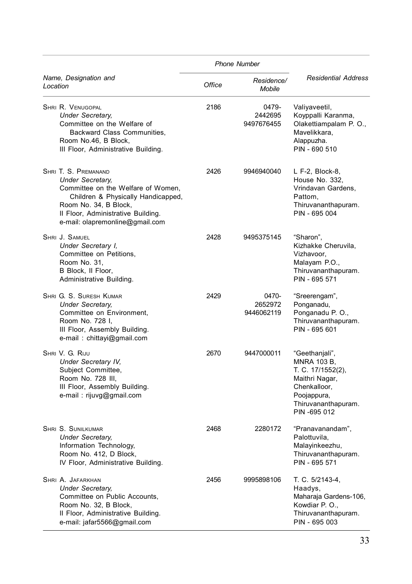|                                                                                                                                                                                                                               |        | <b>Phone Number</b>            |                                                                                                                                            |  |
|-------------------------------------------------------------------------------------------------------------------------------------------------------------------------------------------------------------------------------|--------|--------------------------------|--------------------------------------------------------------------------------------------------------------------------------------------|--|
| Name, Designation and<br>Location                                                                                                                                                                                             | Office | Residence/<br>Mobile           | <b>Residential Address</b>                                                                                                                 |  |
| SHRI R. VENUGOPAL<br><b>Under Secretary.</b><br>Committee on the Welfare of<br>Backward Class Communities,<br>Room No.46, B Block,<br>III Floor, Administrative Building.                                                     | 2186   | 0479-<br>2442695<br>9497676455 | Valiyaveetil,<br>Koyppalli Karanma,<br>Olakettiampalam P. O.,<br>Mavelikkara,<br>Alappuzha.<br>PIN - 690 510                               |  |
| SHRI T. S. PREMANAND<br><b>Under Secretary,</b><br>Committee on the Welfare of Women,<br>Children & Physically Handicapped,<br>Room No. 34, B Block,<br>II Floor, Administrative Building.<br>e-mail: olapremonline@gmail.com | 2426   | 9946940040                     | L F-2, Block-8,<br>House No. 332,<br>Vrindavan Gardens,<br>Pattom.<br>Thiruvananthapuram.<br>PIN - 695 004                                 |  |
| SHRI J. SAMUEL<br>Under Secretary I,<br>Committee on Petitions,<br>Room No. 31,<br>B Block, II Floor,<br>Administrative Building.                                                                                             | 2428   | 9495375145                     | "Sharon",<br>Kizhakke Cheruvila,<br>Vizhavoor,<br>Malayam P.O.,<br>Thiruvananthapuram.<br>PIN - 695 571                                    |  |
| SHRI G. S. SURESH KUMAR<br><b>Under Secretary,</b><br>Committee on Environment,<br>Room No. 728 I,<br>III Floor, Assembly Building.<br>e-mail: chittayi@gmail.com                                                             | 2429   | 0470-<br>2652972<br>9446062119 | "Sreerengam",<br>Ponganadu,<br>Ponganadu P. O.,<br>Thiruvananthapuram.<br>PIN - 695 601                                                    |  |
| SHRI V. G. RIJU<br>Under Secretary IV,<br>Subject Committee,<br>Room No. 728 III,<br>III Floor, Assembly Building.<br>e-mail: rijuvg@gmail.com                                                                                | 2670   | 9447000011                     | "Geethanjali",<br>MNRA 103 B.<br>T. C. 17/1552(2),<br>Maithri Nagar,<br>Chenkalloor,<br>Poojappura,<br>Thiruvananthapuram.<br>PIN -695 012 |  |
| SHRI S. SUNILKUMAR<br><b>Under Secretary,</b><br>Information Technology,<br>Room No. 412, D Block,<br>IV Floor, Administrative Building.                                                                                      | 2468   | 2280172                        | "Pranavanandam",<br>Palottuvila,<br>Malayinkeezhu,<br>Thiruvananthapuram.<br>PIN - 695 571                                                 |  |
| SHRI A. JAFARKHAN<br><b>Under Secretary.</b><br>Committee on Public Accounts,<br>Room No. 32, B Block,<br>II Floor, Administrative Building.<br>e-mail: jafar5566@gmail.com                                                   | 2456   | 9995898106                     | T. C. 5/2143-4,<br>Haadys,<br>Maharaja Gardens-106,<br>Kowdiar P. O.,<br>Thiruvananthapuram.<br>PIN - 695 003                              |  |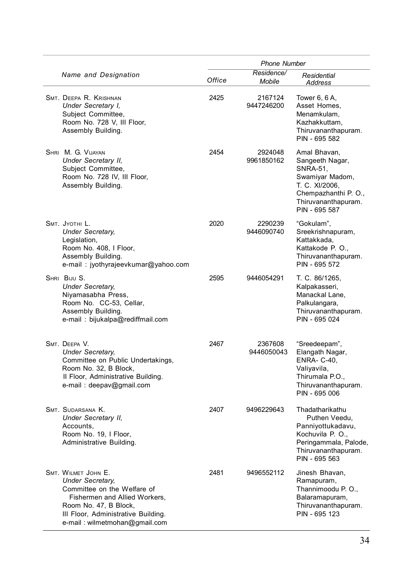|                                                                                                                                                                                                                 | <b>Phone Number</b> |                       |                                                                                                                                                  |
|-----------------------------------------------------------------------------------------------------------------------------------------------------------------------------------------------------------------|---------------------|-----------------------|--------------------------------------------------------------------------------------------------------------------------------------------------|
| Name and Designation                                                                                                                                                                                            | Office              | Residence/<br>Mobile  | Residential<br>Address                                                                                                                           |
| SMT. DEEPA R. KRISHNAN<br>Under Secretary I,<br>Subject Committee,<br>Room No. 728 V, III Floor,<br>Assembly Building.                                                                                          | 2425                | 2167124<br>9447246200 | Tower 6, 6 A,<br>Asset Homes,<br>Menamkulam,<br>Kazhakkuttam,<br>Thiruvananthapuram.<br>PIN - 695 582                                            |
| SHRI M. G. VIJAYAN<br>Under Secretary II,<br>Subject Committee,<br>Room No. 728 IV, III Floor,<br>Assembly Building.                                                                                            | 2454                | 2924048<br>9961850162 | Amal Bhavan,<br>Sangeeth Nagar,<br>SNRA-51,<br>Swamiyar Madom,<br>T. C. XI/2006,<br>Chempazhanthi P. O.,<br>Thiruvananthapuram.<br>PIN - 695 587 |
| SMT. JYOTHI L.<br><b>Under Secretary,</b><br>Legislation,<br>Room No. 408, I Floor,<br>Assembly Building.<br>e-mail: jyothyrajeevkumar@yahoo.com                                                                | 2020                | 2290239<br>9446090740 | "Gokulam",<br>Sreekrishnapuram,<br>Kattakkada,<br>Kattakode P. O.,<br>Thiruvananthapuram.<br>PIN - 695 572                                       |
| SHRI BIJU S.<br><b>Under Secretary.</b><br>Niyamasabha Press,<br>Room No. CC-53, Cellar,<br>Assembly Building.<br>e-mail: bijukalpa@rediffmail.com                                                              | 2595                | 9446054291            | T. C. 86/1265,<br>Kalpakasseri,<br>Manackal Lane,<br>Palkulangara,<br>Thiruvananthapuram.<br>PIN - 695 024                                       |
| SMT. DEEPA V.<br><b>Under Secretary,</b><br>Committee on Public Undertakings,<br>Room No. 32, B Block,<br>Il Floor, Administrative Building.<br>e-mail: deepav@gmail.com                                        | 2467                | 2367608<br>9446050043 | "Sreedeepam",<br>Elangath Nagar,<br><b>ENRA- C-40,</b><br>Valiyavila,<br>Thirumala P.O.,<br>Thiruvananthapuram.<br>PIN - 695 006                 |
| SMT. SUDARSANA K.<br>Under Secretary II,<br>Accounts,<br>Room No. 19, I Floor,<br>Administrative Building.                                                                                                      | 2407                | 9496229643            | Thadatharikathu<br>Puthen Veedu,<br>Panniyottukadavu,<br>Kochuvila P. O.,<br>Peringammala, Palode,<br>Thiruvananthapuram.<br>PIN - 695 563       |
| SMT. WILMET JOHN E.<br><b>Under Secretary,</b><br>Committee on the Welfare of<br>Fishermen and Allied Workers,<br>Room No. 47, B Block,<br>III Floor, Administrative Building.<br>e-mail: wilmetmohan@gmail.com | 2481                | 9496552112            | Jinesh Bhavan,<br>Ramapuram,<br>Thannimoodu P.O.,<br>Balaramapuram,<br>Thiruvananthapuram.<br>PIN - 695 123                                      |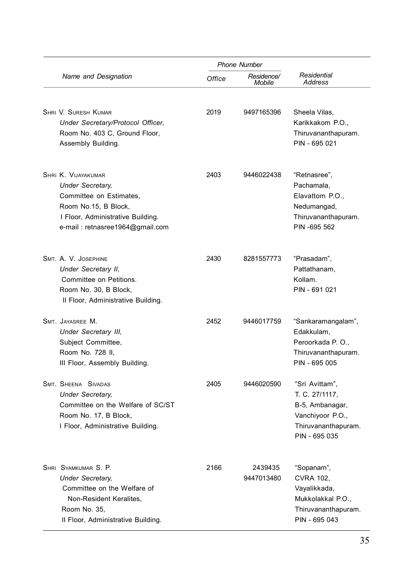|                                                                                                                                                                                  | <b>Phone Number</b> |                             |                                                                                                                 |
|----------------------------------------------------------------------------------------------------------------------------------------------------------------------------------|---------------------|-----------------------------|-----------------------------------------------------------------------------------------------------------------|
| Name and Designation                                                                                                                                                             | Office              | Residence/<br><b>Mobile</b> | Residential<br><b>Address</b>                                                                                   |
| SHRI V. SURESH KUMAR<br>Under Secretary/Protocol Officer,<br>Room No. 403 C, Ground Floor,<br>Assembly Building.                                                                 | 2019                | 9497165396                  | Sheela Vilas,<br>Karikkakom P.O.,<br>Thiruvananthapuram.<br>PIN - 695 021                                       |
| <b>SHRI K. VIJAYAKUMAR</b><br><b>Under Secretary.</b><br>Committee on Estimates,<br>Room No.15, B Block,<br>I Floor, Administrative Building.<br>e-mail: retnasree1964@gmail.com | 2403                | 9446022438                  | "Retnasree",<br>Pachamala,<br>Elavattom P.O.,<br>Nedumangad,<br>Thiruvananthapuram.<br>PIN -695 562             |
| SMT. A. V. JOSEPHINE<br>Under Secretary II,<br>Committee on Petitions.<br>Room No. 30, B Block,<br>II Floor, Administrative Building.                                            | 2430                | 8281557773                  | "Prasadam",<br>Pattathanam,<br>Kollam.<br>PIN - 691 021                                                         |
| SMT. JAYASREE M.<br>Under Secretary III,<br>Subject Committee,<br>Room No. 728 II,<br>III Floor, Assembly Building.                                                              | 2452                | 9446017759                  | "Sankaramangalam",<br>Edakkulam,<br>Peroorkada P.O.,<br>Thiruvananthapuram.<br>PIN - 695 005                    |
| SMT. SHEENA SIVADAS<br><b>Under Secretary,</b><br>Committee on the Welfare of SC/ST<br>Room No. 17, B Block,<br>I Floor, Administrative Building.                                | 2405                | 9446020590                  | "Sri Avittam",<br>T. C. 27/1117,<br>B-5, Ambanagar,<br>Vanchiyoor P.O.,<br>Thiruvananthapuram.<br>PIN - 695 035 |
| SHRI SYAMKUMAR S. P.<br><b>Under Secretary.</b><br>Committee on the Welfare of<br>Non-Resident Keralites,<br>Room No. 35,<br>Il Floor, Administrative Building.                  | 2166                | 2439435<br>9447013480       | "Sopanam",<br><b>CVRA 102,</b><br>Vayalikkada,<br>Mukkolakkal P.O.,<br>Thiruvananthapuram.<br>PIN - 695 043     |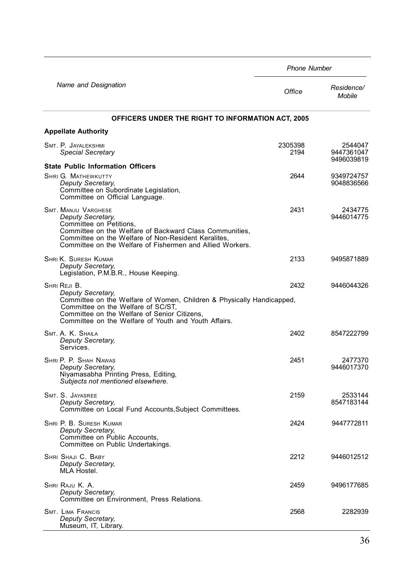|                                                                                                                                                                                                                                                          | <b>Phone Number</b> |                                     |  |
|----------------------------------------------------------------------------------------------------------------------------------------------------------------------------------------------------------------------------------------------------------|---------------------|-------------------------------------|--|
| Name and Designation                                                                                                                                                                                                                                     | Office              | Residence/<br><b>Mobile</b>         |  |
| OFFICERS UNDER THE RIGHT TO INFORMATION ACT, 2005                                                                                                                                                                                                        |                     |                                     |  |
| <b>Appellate Authority</b>                                                                                                                                                                                                                               |                     |                                     |  |
| SMT. P. JAYALEKSHMI<br><b>Special Secretary</b>                                                                                                                                                                                                          | 2305398<br>2194     | 2544047<br>9447361047<br>9496039819 |  |
| <b>State Public Information Officers</b>                                                                                                                                                                                                                 |                     |                                     |  |
| <b>SHRI G. MATHEWKUTTY</b><br>Deputy Secretary,<br>Committee on Subordinate Legislation,<br>Committee on Official Language.                                                                                                                              | 2644                | 9349724757<br>9048836566            |  |
| SMT. MANJU VARGHESE<br>Deputy Secretary,<br>Committee on Petitions,<br>Committee on the Welfare of Backward Class Communities,<br>Committee on the Welfare of Non-Resident Keralites,<br>Committee on the Welfare of Fishermen and Allied Workers.       | 2431                | 2434775<br>9446014775               |  |
| <b>SHRI K. SURESH KUMAR</b><br>Deputy Secretary,<br>Legislation, P.M.B.R., House Keeping.                                                                                                                                                                | 2133                | 9495871889                          |  |
| SHRI REJI B.<br>Deputy Secretary,<br>Committee on the Welfare of Women, Children & Physically Handicapped,<br>Committee on the Welfare of SC/ST,<br>Committee on the Welfare of Senior Citizens,<br>Committee on the Welfare of Youth and Youth Affairs. | 2432                | 9446044326                          |  |
| SMT. A. K. SHAILA<br>Deputy Secretary,<br>Services.                                                                                                                                                                                                      | 2402                | 8547222799                          |  |
| SHRI P. P. SHAH NAWAS<br>Deputy Secretary,<br>Niyamasabha Printing Press, Editing,<br>Subjects not mentioned elsewhere.                                                                                                                                  | 2451                | 2477370<br>9446017370               |  |
| SMT. S. JAYASREE<br>Deputy Secretary,<br>Committee on Local Fund Accounts, Subject Committees.                                                                                                                                                           | 2159                | 2533144<br>8547183144               |  |
| SHRI P. B. SURESH KUMAR<br>Deputy Secretary,<br>Committee on Public Accounts,<br>Committee on Public Undertakings.                                                                                                                                       | 2424                | 9447772811                          |  |
| SHRI SHAJI C. BABY<br>Deputy Secretary,<br>MLA Hostel.                                                                                                                                                                                                   | 2212                | 9446012512                          |  |
| SHRI RAJU K. A.<br>Deputy Secretary,<br>Committee on Environment, Press Relations.                                                                                                                                                                       | 2459                | 9496177685                          |  |
| <b>SMT. LIMA FRANCIS</b><br>Deputy Secretary,<br>Museum, IT, Library.                                                                                                                                                                                    | 2568                | 2282939                             |  |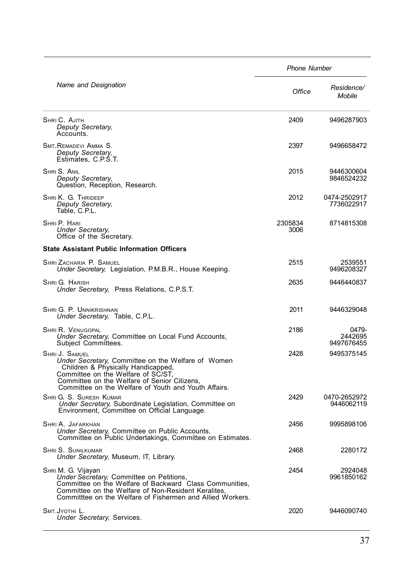|                                                                                                                                                                                                                                                          | <b>Phone Number</b> |                                |  |  |
|----------------------------------------------------------------------------------------------------------------------------------------------------------------------------------------------------------------------------------------------------------|---------------------|--------------------------------|--|--|
| Name and Designation                                                                                                                                                                                                                                     | Office              | Residence/<br>Mobile           |  |  |
| SHRI C. AJITH<br>Deputy Secretary,<br>Accounts.                                                                                                                                                                                                          | 2409                | 9496287903                     |  |  |
| SMT. REMADEVI AMMA S.<br>Deputy Secretary,<br>Estimates, C.P.S.T.                                                                                                                                                                                        | 2397                | 9496658472                     |  |  |
| Shri S. Anil<br>Deputy Secretary,<br>Question, Reception, Research.                                                                                                                                                                                      | 2015                | 9446300604<br>9846524232       |  |  |
| SHRI K. G. THRIDEEP<br>Deputy Secretary,<br>Table, C.P.L.                                                                                                                                                                                                | 2012                | 0474-2502917<br>7736022917     |  |  |
| SHRI P. HARI<br><b>Under Secretary,</b><br>Office of the Secretary.                                                                                                                                                                                      | 2305834<br>3006     | 8714815308                     |  |  |
| <b>State Assistant Public Information Officers</b>                                                                                                                                                                                                       |                     |                                |  |  |
| SHRI ZACHARIA P. SAMUEL<br>Under Secretary, Legislation, P.M.B.R., House Keeping.                                                                                                                                                                        | 2515                | 2539551<br>9496208327          |  |  |
| SHRI G. HARISH<br>Under Secretary, Press Relations, C.P.S.T.                                                                                                                                                                                             | 2635                | 9446440837                     |  |  |
| Shri G. P. Unnikrishnan<br>Under Secretary, Table, C.P.L.                                                                                                                                                                                                | 2011                | 9446329048                     |  |  |
| Shri R. Venugopal<br>Under Secretary, Committee on Local Fund Accounts,<br>Subject Committees.                                                                                                                                                           | 2186                | 0479-<br>2442695<br>9497676455 |  |  |
| SHRI J. SAMUEL<br>Under Secretary, Committee on the Welfare of Women<br>Children & Physically Handicapped,<br>Committee on the Welfare of SC/ST,<br>Committee on the Welfare of Senior Citizens,<br>Committee on the Welfare of Youth and Youth Affairs. | 2428                | 9495375145                     |  |  |
| SHRI G. S. SURESH KUMAR<br>Under Secretary, Subordinate Legislation, Committee on<br>Environment, Committee on Official Language.                                                                                                                        | 2429                | 0470-2652972<br>9446062119     |  |  |
| SHRI A. JAFARKHAN<br>Under Secretary, Committee on Public Accounts,<br>Committee on Public Undertakings, Committee on Estimates.                                                                                                                         | 2456                | 9995898106                     |  |  |
| SHRI S. SUNILKUMAR<br>Under Secretary, Museum, IT, Library.                                                                                                                                                                                              | 2468                | 2280172                        |  |  |
| SHRI M. G. Vijayan<br>Under Secretary, Committee on Petitions,<br>Committee on the Welfare of Backward Class Communities,<br>Committee on the Welfare of Non-Resident Keralites,<br>Committtee on the Welfare of Fishermen and Allied Workers.           | 2454                | 2924048<br>9961850162          |  |  |
| SMT.JYOTHI L.<br>Under Secretary, Services.                                                                                                                                                                                                              | 2020                | 9446090740                     |  |  |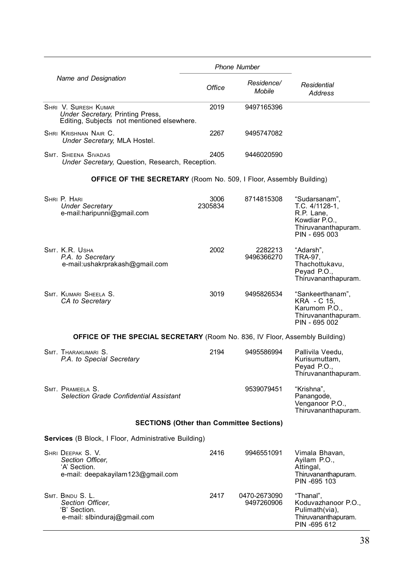|  |                                                                                                        |                 | <b>Phone Number</b>                             |                                                                                                        |
|--|--------------------------------------------------------------------------------------------------------|-----------------|-------------------------------------------------|--------------------------------------------------------------------------------------------------------|
|  | Name and Designation                                                                                   | Office          | Residence/<br>Mobile                            | Residential<br><b>Address</b>                                                                          |
|  | SHRI V. SURESH KUMAR<br>Under Secretary, Printing Press,<br>Editing, Subjects not mentioned elsewhere. | 2019            | 9497165396                                      |                                                                                                        |
|  | SHRI KRISHNAN NAIR C.<br>Under Secretary, MLA Hostel.                                                  | 2267            | 9495747082                                      |                                                                                                        |
|  | <b>SMT. SHEENA SIVADAS</b><br>Under Secretary, Question, Research, Reception.                          | 2405            | 9446020590                                      |                                                                                                        |
|  | <b>OFFICE OF THE SECRETARY</b> (Room No. 509, I Floor, Assembly Building)                              |                 |                                                 |                                                                                                        |
|  | SHRI P. HARI<br><b>Under Secretary</b><br>e-mail:haripunni@gmail.com                                   | 3006<br>2305834 | 8714815308                                      | "Sudarsanam",<br>T.C. 4/1128-1,<br>R.P. Lane,<br>Kowdiar P.O.,<br>Thiruvananthapuram.<br>PIN - 695 003 |
|  | SMT. K.R. USHA<br>P.A. to Secretary<br>e-mail:ushakrprakash@gmail.com                                  | 2002            | 2282213<br>9496366270                           | "Adarsh",<br>TRA-97,<br>Thachottukavu,<br>Peyad P.O.,<br>Thiruvananthapuram.                           |
|  | SMT. KUMARI SHEELA S.<br>CA to Secretary                                                               | 3019            | 9495826534                                      | "Sankeerthanam",<br>KRA - C 15.<br>Karumom P.O.,<br>Thiruvananthapuram.<br>PIN - 695 002               |
|  | <b>OFFICE OF THE SPECIAL SECRETARY</b> (Room No. 836, IV Floor, Assembly Building)                     |                 |                                                 |                                                                                                        |
|  | SMT. THARAKUMARI S.<br>P.A. to Special Secretary                                                       | 2194            | 9495586994                                      | Pallivila Veedu,<br>Kurisumuttam,<br>Peyad P.O.,<br>Thiruvananthapuram.                                |
|  | SMT. PRAMEELA S.<br>Selection Grade Confidential Assistant                                             |                 | 9539079451                                      | "Krishna".<br>Panangode,<br>Venganoor P.O.,<br>Thiruvananthapuram.                                     |
|  |                                                                                                        |                 | <b>SECTIONS (Other than Committee Sections)</b> |                                                                                                        |
|  | Services (B Block, I Floor, Administrative Building)                                                   |                 |                                                 |                                                                                                        |
|  | SHRI DEEPAK S. V.<br>Section Officer.<br>'A' Section.<br>e-mail: deepakayilam123@gmail.com             | 2416            | 9946551091                                      | Vimala Bhavan,<br>Ayilam P.O.,<br>Attingal,<br>Thiruvananthapuram.<br>PIN -695 103                     |
|  | SMT. BINDU S. L.<br>Section Officer,<br>'B' Section.<br>e-mail: slbinduraj@gmail.com                   | 2417            | 0470-2673090<br>9497260906                      | "Thanal",<br>Koduvazhanoor P.O.,<br>Pulimath(via),<br>Thiruvananthapuram.<br>PIN -695 612              |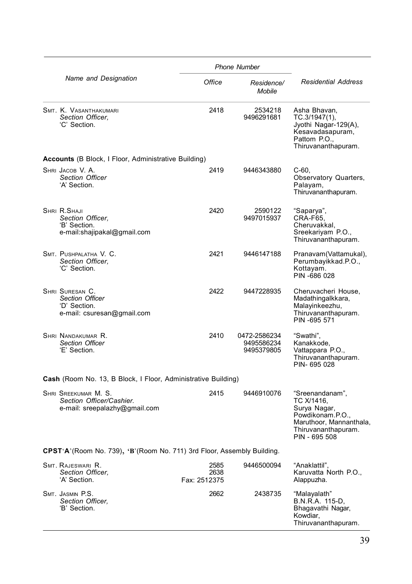|                                                                                   |                              | <b>Phone Number</b>                      |                                                                                                                                      |
|-----------------------------------------------------------------------------------|------------------------------|------------------------------------------|--------------------------------------------------------------------------------------------------------------------------------------|
| Name and Designation                                                              | Office                       | Residence/<br>Mobile                     | <b>Residential Address</b>                                                                                                           |
| SMT. K. VASANTHAKUMARI<br>Section Officer.<br>'C' Section.                        | 2418                         | 2534218<br>9496291681                    | Asha Bhavan,<br>TC.3/1947(1),<br>Jyothi Nagar-129(A),<br>Kesavadasapuram,<br>Pattom P.O.,<br>Thiruvananthapuram.                     |
| <b>Accounts</b> (B Block, I Floor, Administrative Building)                       |                              |                                          |                                                                                                                                      |
| SHRI JACOB V. A.<br><b>Section Officer</b><br>'A' Section.                        | 2419                         | 9446343880                               | C-60.<br>Observatory Quarters,<br>Palavam.<br>Thiruvananthapuram.                                                                    |
| SHRI R.SHAJI<br>Section Officer.<br>'B' Section.<br>e-mail:shajipakal@gmail.com   | 2420                         | 2590122<br>9497015937                    | "Saparya",<br>CRA-F65.<br>Cheruvakkal,<br>Sreekariyam P.O.,<br>Thiruvananthapuram.                                                   |
| SMT. PUSHPALATHA V. C.<br>Section Officer.<br>'C' Section.                        | 2421                         | 9446147188                               | Pranavam(Vattamukal),<br>Perumbayikkad.P.O.,<br>Kottayam.<br>PIN -686 028                                                            |
| SHRI SURESAN C.<br>Section Officer<br>'D' Section.<br>e-mail: csuresan@gmail.com  | 2422                         | 9447228935                               | Cheruvacheri House,<br>Madathingalkkara,<br>Malayinkeezhu,<br>Thiruvananthapuram.<br>PIN -695 571                                    |
| SHRI NANDAKUMAR R.<br>Section Officer<br>'E' Section.                             | 2410                         | 0472-2586234<br>9495586234<br>9495379805 | "Swathi",<br>Kanakkode,<br>Vattappara P.O.,<br>Thiruvananthapuram.<br>PIN-695028                                                     |
| Cash (Room No. 13, B Block, I Floor, Administrative Building)                     |                              |                                          |                                                                                                                                      |
| SHRI SREEKUMAR M. S.<br>Section Officer/Cashier.<br>e-mail: sreepalazhy@gmail.com | 2415                         | 9446910076                               | "Sreenandanam",<br>TC X/1416,<br>Surya Nagar,<br>Powdikonam.P.O.,<br>Maruthoor, Mannanthala,<br>Thiruvananthapuram.<br>PIN - 695 508 |
| CPST'A'(Room No. 739), 'B'(Room No. 711) 3rd Floor, Assembly Building.            |                              |                                          |                                                                                                                                      |
| SMT. RAJESWARI R.<br>Section Officer,<br>'A' Section.                             | 2585<br>2638<br>Fax: 2512375 | 9446500094                               | "Anaklattil",<br>Karuvatta North P.O.,<br>Alappuzha.                                                                                 |
| SMT. JASMIN P.S.<br>Section Officer,<br>'B' Section.                              | 2662                         | 2438735                                  | "Malayalath"<br>B.N.R.A. 115-D.<br>Bhagavathi Nagar,<br>Kowdiar,<br>Thiruvananthapuram.                                              |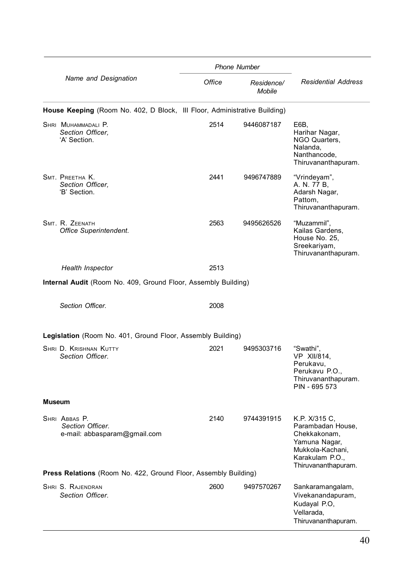|                      |                                                                           |                             | <b>Phone Number</b>        |                                                                                                                                   |
|----------------------|---------------------------------------------------------------------------|-----------------------------|----------------------------|-----------------------------------------------------------------------------------------------------------------------------------|
| Name and Designation | Office                                                                    | Residence/<br><b>Mobile</b> | <b>Residential Address</b> |                                                                                                                                   |
|                      | House Keeping (Room No. 402, D Block, III Floor, Administrative Building) |                             |                            |                                                                                                                                   |
|                      | SHRI MUHAMMADALI P.<br>Section Officer.<br>'A' Section.                   | 2514                        | 9446087187                 | E6B.<br>Harihar Nagar,<br>NGO Quarters,<br>Nalanda,<br>Nanthancode,<br>Thiruvananthapuram.                                        |
|                      | SMT. PREETHA K.<br>Section Officer.<br>'B' Section.                       | 2441                        | 9496747889                 | "Vrindeyam",<br>A. N. 77 B,<br>Adarsh Nagar,<br>Pattom,<br>Thiruvananthapuram.                                                    |
|                      | SMT. R. ZEENATH<br>Office Superintendent.                                 | 2563                        | 9495626526                 | "Muzammil",<br>Kailas Gardens,<br>House No. 25,<br>Sreekariyam,<br>Thiruvananthapuram.                                            |
|                      | <b>Health Inspector</b>                                                   | 2513                        |                            |                                                                                                                                   |
|                      | Internal Audit (Room No. 409, Ground Floor, Assembly Building)            |                             |                            |                                                                                                                                   |
|                      |                                                                           |                             |                            |                                                                                                                                   |
|                      | Section Officer.                                                          | 2008                        |                            |                                                                                                                                   |
|                      | Legislation (Room No. 401, Ground Floor, Assembly Building)               |                             |                            |                                                                                                                                   |
|                      | SHRI D. KRISHNAN KUTTY                                                    | 2021                        | 9495303716                 | "Swathi",                                                                                                                         |
|                      | Section Officer.                                                          |                             |                            | VP XII/814,<br>Perukavu,<br>Perukavu P.O.,<br>Thiruvananthapuram.<br>PIN - 695 573                                                |
| Museum               |                                                                           |                             |                            |                                                                                                                                   |
|                      | SHRI ABBAS P.<br>Section Officer.<br>e-mail: abbasparam@gmail.com         | 2140                        | 9744391915                 | K.P. X/315 C,<br>Parambadan House,<br>Chekkakonam,<br>Yamuna Nagar,<br>Mukkola-Kachani,<br>Karakulam P.O.,<br>Thiruvananthapuram. |
|                      | <b>Press Relations</b> (Room No. 422, Ground Floor, Assembly Building)    |                             |                            |                                                                                                                                   |
|                      | SHRI S. RAJENDRAN<br>Section Officer.                                     | 2600                        | 9497570267                 | Sankaramangalam,<br>Vivekanandapuram,<br>Kudayal P.O,<br>Vellarada,<br>Thiruvananthapuram.                                        |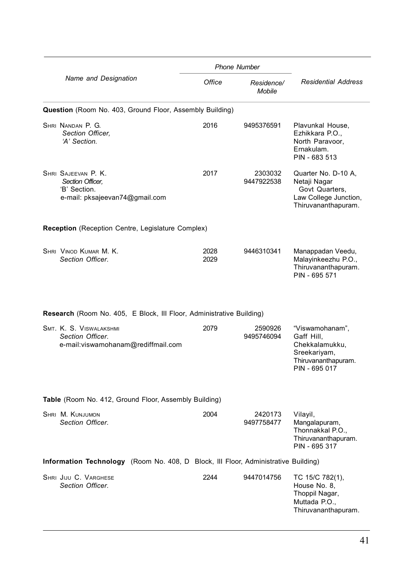|                                                                                           | <b>Phone Number</b> |                             |                                                                                                         |  |
|-------------------------------------------------------------------------------------------|---------------------|-----------------------------|---------------------------------------------------------------------------------------------------------|--|
| Name and Designation                                                                      | Office              | Residence/<br><b>Mobile</b> | <b>Residential Address</b>                                                                              |  |
| Question (Room No. 403, Ground Floor, Assembly Building)                                  |                     |                             |                                                                                                         |  |
| SHRI NANDAN P. G.<br>Section Officer.<br>'A' Section.                                     | 2016                | 9495376591                  | Plavunkal House,<br>Ezhikkara P.O.,<br>North Paravoor.<br>Ernakulam.<br>PIN - 683 513                   |  |
| SHRI SAJEEVAN P. K.<br>Section Officer.<br>'B' Section.<br>e-mail: pksajeevan74@gmail.com | 2017                | 2303032<br>9447922538       | Quarter No. D-10 A.<br>Netaji Nagar<br>Govt Quarters,<br>Law College Junction,<br>Thiruvananthapuram.   |  |
| <b>Reception</b> (Reception Centre, Legislature Complex)                                  |                     |                             |                                                                                                         |  |
| SHRI VINOD KUMAR M. K.<br>Section Officer.                                                | 2028<br>2029        | 9446310341                  | Manappadan Veedu,<br>Malayinkeezhu P.O.,<br>Thiruvananthapuram.<br>PIN - 695 571                        |  |
| <b>Research</b> (Room No. 405, E Block, III Floor, Administrative Building)               |                     |                             |                                                                                                         |  |
| SMT. K. S. VISWALAKSHMI<br>Section Officer.<br>e-mail:viswamohanam@rediffmail.com         | 2079                | 2590926<br>9495746094       | "Viswamohanam",<br>Gaff Hill.<br>Chekkalamukku,<br>Sreekariyam,<br>Thiruvananthapuram.<br>PIN - 695 017 |  |
| Table (Room No. 412, Ground Floor, Assembly Building)                                     |                     |                             |                                                                                                         |  |
| SHRI M. KUNJUMON<br>Section Officer.                                                      | 2004                | 2420173<br>9497758477       | Vilayil,<br>Mangalapuram,<br>Thonnakkal P.O<br>Thiruvananthapuram.<br>PIN - 695 317                     |  |
| Information Technology (Room No. 408, D Block, III Floor, Administrative Building)        |                     |                             |                                                                                                         |  |
| SHRI JIJU C. VARGHESE<br>Section Officer.                                                 | 2244                | 9447014756                  | TC 15/C 782(1),<br>House No. 8,<br>Thoppil Nagar,<br>Muttada P.O.,<br>Thiruvananthapuram.               |  |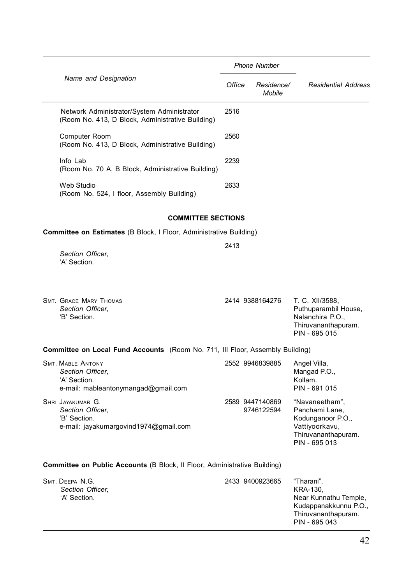|                      |                                                                                                     |        | <b>Phone Number</b>           |                                                                                                                  |
|----------------------|-----------------------------------------------------------------------------------------------------|--------|-------------------------------|------------------------------------------------------------------------------------------------------------------|
| Name and Designation |                                                                                                     | Office | Residence/<br>Mobile          | <b>Residential Address</b>                                                                                       |
|                      | Network Administrator/System Administrator<br>(Room No. 413, D Block, Administrative Building)      | 2516   |                               |                                                                                                                  |
|                      | <b>Computer Room</b><br>(Room No. 413, D Block, Administrative Building)                            | 2560   |                               |                                                                                                                  |
|                      | Info Lab<br>(Room No. 70 A, B Block, Administrative Building)                                       | 2239   |                               |                                                                                                                  |
|                      | Web Studio<br>(Room No. 524, I floor, Assembly Building)                                            | 2633   |                               |                                                                                                                  |
|                      | <b>COMMITTEE SECTIONS</b>                                                                           |        |                               |                                                                                                                  |
|                      | <b>Committee on Estimates (B Block, I Floor, Administrative Building)</b>                           |        |                               |                                                                                                                  |
|                      | Section Officer,<br>'A' Section.                                                                    | 2413   |                               |                                                                                                                  |
|                      | <b>SMT. GRACE MARY THOMAS</b><br>Section Officer,<br>'B' Section.                                   |        | 2414 9388164276               | T. C. XII/3588,<br>Puthuparambil House,<br>Nalanchira P.O.,<br>Thiruvananthapuram.<br>PIN - 695 015              |
|                      | <b>Committee on Local Fund Accounts</b> (Room No. 711, Ill Floor, Assembly Building)                |        |                               |                                                                                                                  |
|                      | <b>SMT. MABLE ANTONY</b><br>Section Officer,<br>'A' Section.<br>e-mail: mableantonymangad@gmail.com |        | 2552 9946839885               | Angel Villa,<br>Mangad P.O.,<br>Kollam.<br>PIN - 691 015                                                         |
|                      | SHRI JAYAKUMAR G.<br>Section Officer.<br>'B' Section.<br>e-mail: jayakumargovind1974@gmail.com      |        | 2589 9447140869<br>9746122594 | "Navaneetham",<br>Panchami Lane,<br>Kodunganoor P.O.,<br>Vattiyoorkavu,<br>Thiruvananthapuram.<br>PIN - 695 013  |
|                      | Committee on Public Accounts (B Block, Il Floor, Administrative Building)                           |        |                               |                                                                                                                  |
|                      | SMT. DEEPA N.G.<br>Section Officer,<br>'A' Section.                                                 |        | 2433 9400923665               | "Tharani",<br>KRA-130,<br>Near Kunnathu Temple,<br>Kudappanakkunnu P.O.,<br>Thiruvananthapuram.<br>PIN - 695 043 |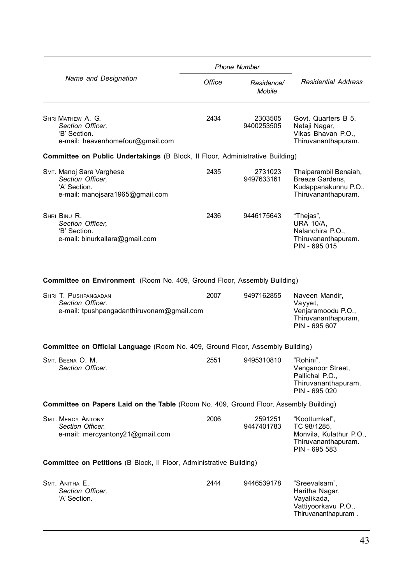|                                                                                                 | <b>Phone Number</b> |                       |                                                                                                 |  |
|-------------------------------------------------------------------------------------------------|---------------------|-----------------------|-------------------------------------------------------------------------------------------------|--|
| Name and Designation                                                                            | Office              | Residence/<br>Mobile  | <b>Residential Address</b>                                                                      |  |
| SHRI MATHEW A. G.<br>Section Officer,<br>'B' Section.<br>e-mail: heavenhomefour@gmail.com       | 2434                | 2303505<br>9400253505 | Govt. Quarters B 5,<br>Netaji Nagar,<br>Vikas Bhavan P.O.,<br>Thiruvananthapuram.               |  |
| Committee on Public Undertakings (B Block, Il Floor, Administrative Building)                   |                     |                       |                                                                                                 |  |
| SMT. Manoj Sara Varghese<br>Section Officer,<br>'A' Section.<br>e-mail: manojsara1965@gmail.com | 2435                | 2731023<br>9497633161 | Thaiparambil Benaiah,<br>Breeze Gardens,<br>Kudappanakunnu P.O.,<br>Thiruvananthapuram.         |  |
| SHRI BINU R.<br>Section Officer.<br>'B' Section.<br>e-mail: binurkallara@gmail.com              | 2436                | 9446175643            | "Thejas",<br><b>URA 10/A,</b><br>Nalanchira P.O.,<br>Thiruvananthapuram.<br>PIN - 695 015       |  |
| Committee on Environment (Room No. 409, Ground Floor, Assembly Building)                        |                     |                       |                                                                                                 |  |
| SHRI T. PUSHPANGADAN<br>Section Officer.<br>e-mail: tpushpangadanthiruvonam@gmail.com           | 2007                | 9497162855            | Naveen Mandir,<br>Vayyet,<br>Venjaramoodu P.O.,<br>Thiruvananthapuram,<br>PIN - 695 607         |  |
| Committee on Official Language (Room No. 409, Ground Floor, Assembly Building)                  |                     |                       |                                                                                                 |  |
| SMT. BEENA O. M.<br>Section Officer.                                                            | 2551                | 9495310810            | "Rohini",<br>Venganoor Street,<br>Pallichal P.O.,<br>Thiruvananthapuram.<br>PIN - 695 020       |  |
| <b>Committee on Papers Laid on the Table</b> (Room No. 409, Ground Floor, Assembly Building)    |                     |                       |                                                                                                 |  |
| <b>SMT. MERCY ANTONY</b><br>Section Officer.<br>e-mail: mercyantony21@gmail.com                 | 2006                | 2591251<br>9447401783 | "Koottumkal",<br>TC 98/1285,<br>Monvila, Kulathur P.O.,<br>Thiruvananthapuram.<br>PIN - 695 583 |  |
| Committee on Petitions (B Block, Il Floor, Administrative Building)                             |                     |                       |                                                                                                 |  |
| SMT. ANITHA E.<br>Section Officer.<br>'A' Section.                                              | 2444                | 9446539178            | "Sreevalsam",<br>Haritha Nagar,<br>Vayalikada,<br>Vattiyoorkavu P.O.,<br>Thiruvananthapuram.    |  |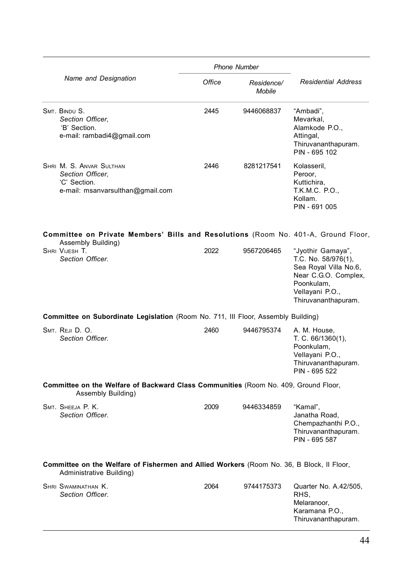|                                                                                                                       | <b>Phone Number</b> |                             |                                                                                                                                                   |
|-----------------------------------------------------------------------------------------------------------------------|---------------------|-----------------------------|---------------------------------------------------------------------------------------------------------------------------------------------------|
| Name and Designation                                                                                                  | Office              | Residence/<br><b>Mobile</b> | <b>Residential Address</b>                                                                                                                        |
| SMT. BINDU S.<br>Section Officer,<br>'B' Section.<br>e-mail: rambadi4@gmail.com                                       | 2445                | 9446068837                  | "Ambadi",<br>Mevarkal,<br>Alamkode P.O.,<br>Attingal,<br>Thiruvananthapuram.<br>PIN - 695 102                                                     |
| SHRI M. S. ANVAR SULTHAN<br>Section Officer,<br>'C' Section.<br>e-mail: msanvarsulthan@gmail.com                      | 2446                | 8281217541                  | Kolasseril,<br>Peroor,<br>Kuttichira,<br>T.K.M.C. P.O.,<br>Kollam.<br>PIN - 691 005                                                               |
| Committee on Private Members' Bills and Resolutions (Room No. 401-A, Ground Floor,<br>Assembly Building)              |                     |                             |                                                                                                                                                   |
| SHRI VIJESH T.<br>Section Officer.                                                                                    | 2022                | 9567206465                  | "Jyothir Gamaya",<br>T.C. No. 58/976(1),<br>Sea Royal Villa No.6,<br>Near C.G.O. Complex,<br>Poonkulam.<br>Vellayani P.O.,<br>Thiruvananthapuram. |
| Committee on Subordinate Legislation (Room No. 711, Ill Floor, Assembly Building)                                     |                     |                             |                                                                                                                                                   |
| SMT. REJI D. O.<br>Section Officer.                                                                                   | 2460                | 9446795374                  | A. M. House,<br>T. C. 66/1360(1),<br>Poonkulam,<br>Vellayani P.O.,<br>Thiruvananthapuram.<br>PIN - 695 522                                        |
| Committee on the Welfare of Backward Class Communities (Room No. 409, Ground Floor,<br>Assembly Building)             |                     |                             |                                                                                                                                                   |
| SMT. SHEEJA P. K.<br>Section Officer.                                                                                 | 2009                | 9446334859                  | "Kamal",<br>Janatha Road,<br>Chempazhanthi P.O.,<br>Thiruvananthapuram.<br>PIN - 695 587                                                          |
| Committee on the Welfare of Fishermen and Allied Workers (Room No. 36, B Block, Il Floor,<br>Administrative Building) |                     |                             |                                                                                                                                                   |
| SHRI SWAMINATHAN K.<br>Section Officer.                                                                               | 2064                | 9744175373                  | Quarter No. A.42/505,<br>RHS.<br>Melaranoor,<br>Karamana P.O.,<br>Thiruvananthapuram.                                                             |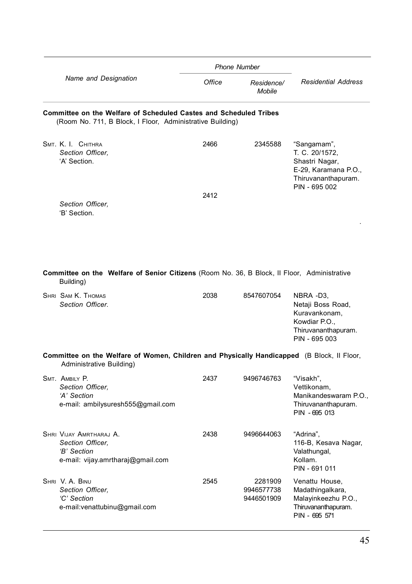|                      |                                                                                                                                |        | <b>Phone Number</b>                 |                                                                                                                 |
|----------------------|--------------------------------------------------------------------------------------------------------------------------------|--------|-------------------------------------|-----------------------------------------------------------------------------------------------------------------|
| Name and Designation |                                                                                                                                | Office | Residence/<br>Mobile                | <b>Residential Address</b>                                                                                      |
|                      | Committee on the Welfare of Scheduled Castes and Scheduled Tribes<br>(Room No. 711, B Block, I Floor, Administrative Building) |        |                                     |                                                                                                                 |
|                      | SMT. K. I. CHITHRA<br>Section Officer.<br>'A' Section.                                                                         | 2466   | 2345588                             | "Sangamam",<br>T. C. 20/1572,<br>Shastri Nagar,<br>E-29, Karamana P.O.,<br>Thiruvananthapuram.<br>PIN - 695 002 |
|                      | Section Officer,<br>'B' Section.                                                                                               | 2412   |                                     |                                                                                                                 |
|                      | <b>Committee on the Welfare of Senior Citizens</b> (Room No. 36, B Block, Il Floor, Administrative                             |        |                                     |                                                                                                                 |
|                      | Building)                                                                                                                      |        |                                     |                                                                                                                 |
|                      | SHRI SAM K. THOMAS<br>Section Officer.                                                                                         | 2038   | 8547607054                          | NBRA -D3,<br>Netaji Boss Road,<br>Kuravankonam,<br>Kowdiar P.O.,<br>Thiruvananthapuram.<br>PIN - 695 003        |
|                      | Committee on the Welfare of Women, Children and Physically Handicapped (B Block, Il Floor,<br>Administrative Building)         |        |                                     |                                                                                                                 |
|                      | SMT. AMBILY P.<br>Section Officer.<br>'A' Section<br>e-mail: ambilysuresh555@gmail.com                                         | 2437   | 9496746763                          | "Visakh",<br>Vettikonam,<br>Manikandeswaram P.O.,<br>Thiruvananthapuram.<br>PIN - 695 013                       |
|                      | SHRI VIJAY AMRTHARAJ A.<br>Section Officer.<br>'B' Section<br>e-mail: vijay.amrtharaj@gmail.com                                | 2438   | 9496644063                          | "Adrina",<br>116-B, Kesava Nagar,<br>Valathungal,<br>Kollam.<br>PIN - 691 011                                   |
|                      | SHRI V. A. BINU<br>Section Officer.<br>'C' Section<br>e-mail:venattubinu@gmail.com                                             | 2545   | 2281909<br>9946577738<br>9446501909 | Venattu House,<br>Madathingalkara,<br>Malayinkeezhu P.O.,<br>Thiruvananthapuram.<br>PIN - 695 571               |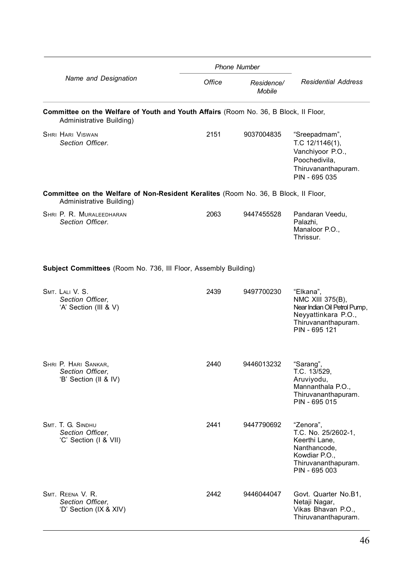|                                                                                                                  |        | <b>Phone Number</b>         |                                                                                                                              |
|------------------------------------------------------------------------------------------------------------------|--------|-----------------------------|------------------------------------------------------------------------------------------------------------------------------|
| Name and Designation                                                                                             | Office | Residence/<br><b>Mobile</b> | <b>Residential Address</b>                                                                                                   |
| Committee on the Welfare of Youth and Youth Affairs (Room No. 36, B Block, Il Floor,<br>Administrative Building) |        |                             |                                                                                                                              |
| <b>SHRI HARI VISWAN</b><br>Section Officer.                                                                      | 2151   | 9037004835                  | "Sreepadmam",<br>T.C. 12/1146(1),<br>Vanchiyoor P.O.,<br>Poochedivila,<br>Thiruvananthapuram.<br>PIN - 695 035               |
| Committee on the Welfare of Non-Resident Keralites (Room No. 36, B Block, Il Floor,<br>Administrative Building)  |        |                             |                                                                                                                              |
| SHRI P. R. MURALEEDHARAN<br>Section Officer.                                                                     | 2063   | 9447455528                  | Pandaran Veedu,<br>Palazhi.<br>Manaloor P.O<br>Thrissur.                                                                     |
| Subject Committees (Room No. 736, III Floor, Assembly Building)                                                  |        |                             |                                                                                                                              |
| SMT. LALI V. S.<br>Section Officer,<br>'A' Section (III & V)                                                     | 2439   | 9497700230                  | "Elkana",<br>NMC XIII 375(B),<br>Near Indian Oil Petrol Pump,<br>Neyyattinkara P.O.,<br>Thiruvananthapuram.<br>PIN - 695 121 |
| SHRI P. HARI SANKAR,<br>Section Officer,<br>'B' Section (II & IV)                                                | 2440   | 9446013232                  | "Sarang",<br>T.C. 13/529,<br>Aruviyodu,<br>Mannanthala P.O.,<br>Thiruvananthapuram.<br>PIN - 695 015                         |
| SMT. T. G. SINDHU<br>Section Officer.<br>'C' Section (I & VII)                                                   | 2441   | 9447790692                  | "Zenora",<br>T.C. No. 25/2602-1.<br>Keerthi Lane,<br>Nanthancode,<br>Kowdiar P.O.,<br>Thiruvananthapuram.<br>PIN - 695 003   |
| SMT. REENA V. R.<br>Section Officer,<br>'D' Section (IX & XIV)                                                   | 2442   | 9446044047                  | Govt. Quarter No.B1,<br>Netaji Nagar,<br>Vikas Bhavan P.O.,<br>Thiruvananthapuram.                                           |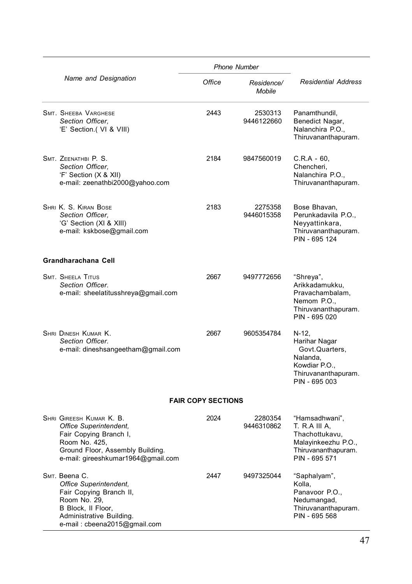|                                                                                                                                                                         | <b>Phone Number</b>       |                             |                                                                                                                  |
|-------------------------------------------------------------------------------------------------------------------------------------------------------------------------|---------------------------|-----------------------------|------------------------------------------------------------------------------------------------------------------|
| Name and Designation                                                                                                                                                    | Office                    | Residence/<br><b>Mobile</b> | <b>Residential Address</b>                                                                                       |
| <b>SMT. SHEEBA VARGHESE</b><br>Section Officer,<br>'E' Section.( VI & VIII)                                                                                             | 2443                      | 2530313<br>9446122660       | Panamthundil,<br>Benedict Nagar,<br>Nalanchira P.O.,<br>Thiruvananthapuram.                                      |
| SMT. ZEENATHBI P. S.<br>Section Officer,<br>'F' Section (X & XII)<br>e-mail: zeenathbi2000@yahoo.com                                                                    | 2184                      | 9847560019                  | $C.R.A - 60,$<br>Chencheri.<br>Nalanchira P.O.,<br>Thiruvananthapuram.                                           |
| SHRI K. S. KIRAN BOSE<br>Section Officer.<br>'G' Section (XI & XIII)<br>e-mail: kskbose@gmail.com                                                                       | 2183                      | 2275358<br>9446015358       | Bose Bhavan.<br>Perunkadavila P.O.,<br>Neyyattinkara,<br>Thiruvananthapuram.<br>PIN - 695 124                    |
| Grandharachana Cell                                                                                                                                                     |                           |                             |                                                                                                                  |
| <b>SMT. SHEELA TITUS</b><br>Section Officer.<br>e-mail: sheelatitusshreya@gmail.com                                                                                     | 2667                      | 9497772656                  | "Shreya",<br>Arikkadamukku,<br>Pravachambalam,<br>Nemom P.O.,<br>Thiruvananthapuram.<br>PIN - 695 020            |
| SHRI DINESH KUMAR K.<br>Section Officer.<br>e-mail: dineshsangeetham@gmail.com                                                                                          | 2667                      | 9605354784                  | N-12,<br>Harihar Nagar<br>Govt.Quarters,<br>Nalanda.<br>Kowdiar P.O.,<br>Thiruvananthapuram.<br>PIN - 695 003    |
|                                                                                                                                                                         | <b>FAIR COPY SECTIONS</b> |                             |                                                                                                                  |
| SHRI GIREESH KUMAR K. B.<br>Office Superintendent.<br>Fair Copying Branch I,<br>Room No. 425,<br>Ground Floor, Assembly Building.<br>e-mail: gireeshkumar1964@gmail.com | 2024                      | 2280354<br>9446310862       | "Hamsadhwani".<br>T. R.A III A.<br>Thachottukavu,<br>Malayinkeezhu P.O.,<br>Thiruvananthapuram.<br>PIN - 695 571 |
| Sмт. Beena C.<br>Office Superintendent,<br>Fair Copying Branch II,<br>Room No. 29,<br>B Block, Il Floor,<br>Administrative Building.<br>e-mail: cbeena2015@gmail.com    | 2447                      | 9497325044                  | "Saphalyam",<br>Kolla.<br>Panavoor P.O.,<br>Nedumangad,<br>Thiruvananthapuram.<br>PIN - 695 568                  |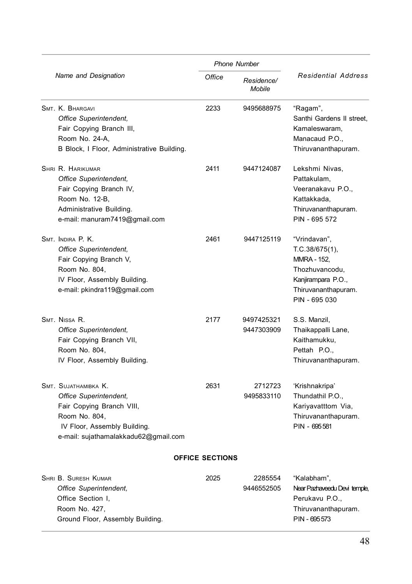|                                                                                                                                                                      | <b>Phone Number</b>    |                          |                                                                                                                                      |
|----------------------------------------------------------------------------------------------------------------------------------------------------------------------|------------------------|--------------------------|--------------------------------------------------------------------------------------------------------------------------------------|
| Name and Designation                                                                                                                                                 | Office                 | Residence/<br>Mobile     | <b>Residential Address</b>                                                                                                           |
| SMT. K. BHARGAVI<br>Office Superintendent.<br>Fair Copying Branch III,<br>Room No. 24-A,<br>B Block, I Floor, Administrative Building.                               | 2233                   | 9495688975               | "Ragam",<br>Santhi Gardens II street,<br>Kamaleswaram.<br>Manacaud P.O.,<br>Thiruvananthapuram.                                      |
| SHRI R. HARIKUMAR<br>Office Superintendent,<br>Fair Copying Branch IV,<br>Room No. 12-B,<br>Administrative Building.<br>e-mail: manuram7419@gmail.com                | 2411                   | 9447124087               | Lekshmi Nivas,<br>Pattakulam,<br>Veeranakavu P.O<br>Kattakkada,<br>Thiruvananthapuram.<br>PIN - 695 572                              |
| SMT. INDIRA P. K.<br>Office Superintendent,<br>Fair Copying Branch V,<br>Room No. 804,<br>IV Floor, Assembly Building.<br>e-mail: pkindra119@gmail.com               | 2461                   | 9447125119               | "Vrindavan",<br>T.C.38/675(1),<br><b>MMRA - 152,</b><br>Thozhuvancodu,<br>Kanjirampara P.O.,<br>Thiruvananthapuram.<br>PIN - 695 030 |
| SMT. NISSA R.<br>Office Superintendent,<br>Fair Copying Branch VII,<br>Room No. 804,<br>IV Floor, Assembly Building.                                                 | 2177                   | 9497425321<br>9447303909 | S.S. Manzil,<br>Thaikappalli Lane,<br>Kaithamukku,<br>Pettah P.O.,<br>Thiruvananthapuram.                                            |
| SMT. SUJATHAMIBKA K.<br>Office Superintendent,<br>Fair Copying Branch VIII,<br>Room No. 804,<br>IV Floor, Assembly Building.<br>e-mail: sujathamalakkadu62@gmail.com | 2631                   | 2712723<br>9495833110    | 'Krishnakripa'<br>Thundathil P.O.,<br>Kariyavatttom Via,<br>Thiruvananthapuram.<br>PIN - 695 581                                     |
|                                                                                                                                                                      | <b>OFFICE SECTIONS</b> |                          |                                                                                                                                      |
| SHRI B. SURESH KUMAR<br>Office Superintendent.                                                                                                                       | 2025                   | 2285554<br>9446552505    | "Kalabham",<br>Near Pazhaveedu Devi temple.                                                                                          |

| Office Superintendent,           | 9446552505 | Near Pazhaveedu Devi temple, |
|----------------------------------|------------|------------------------------|
| Office Section I.                |            | Perukavu P.O                 |
| Room No. 427.                    |            | Thiruvananthapuram.          |
| Ground Floor, Assembly Building. |            | PIN - 695 573                |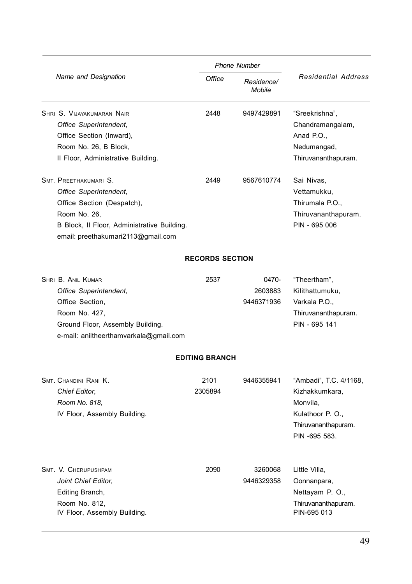|                                                                                                                                                                                    | <b>Phone Number</b>    |                                |                                                                                                                  |
|------------------------------------------------------------------------------------------------------------------------------------------------------------------------------------|------------------------|--------------------------------|------------------------------------------------------------------------------------------------------------------|
| Name and Designation                                                                                                                                                               | Office                 | Residence/<br><b>Mobile</b>    | <b>Residential Address</b>                                                                                       |
| SHRI S. VIJAYAKUMARAN NAIR<br>Office Superintendent,<br>Office Section (Inward),<br>Room No. 26, B Block,<br>II Floor, Administrative Building.                                    | 2448                   | 9497429891                     | "Sreekrishna",<br>Chandramangalam,<br>Anad P.O.,<br>Nedumangad,<br>Thiruvananthapuram.                           |
| SMT. PREETHAKUMARI S.<br>Office Superintendent.<br>Office Section (Despatch),<br>Room No. 26,<br>B Block, Il Floor, Administrative Building.<br>email: preethakumari2113@gmail.com | 2449                   | 9567610774                     | Sai Nivas,<br>Vettamukku,<br>Thirumala P.O.,<br>Thiruvananthapuram.<br>PIN - 695 006                             |
|                                                                                                                                                                                    | <b>RECORDS SECTION</b> |                                |                                                                                                                  |
| SHRI B. ANIL KUMAR<br>Office Superintendent.<br>Office Section,<br>Room No. 427,<br>Ground Floor, Assembly Building.<br>e-mail: aniltheerthamvarkala@gmail.com                     | 2537                   | 0470-<br>2603883<br>9446371936 | "Theertham",<br>Kilithattumuku.<br>Varkala P.O.,<br>Thiruvananthapuram.<br>PIN - 695 141                         |
|                                                                                                                                                                                    | <b>EDITING BRANCH</b>  |                                |                                                                                                                  |
| SMT. CHANDINI RANI K.<br>Chief Editor,<br>Room No. 818,<br>IV Floor, Assembly Building.                                                                                            | 2101<br>2305894        | 9446355941                     | "Ambadi", T.C. 4/1168,<br>Kizhakkumkara,<br>Monvila,<br>Kulathoor P. O.,<br>Thiruvananthapuram.<br>PIN -695 583. |
| SMT. V. CHERUPUSHPAM<br>Joint Chief Editor,<br>Editing Branch,<br>Room No. 812,<br>IV Floor, Assembly Building.                                                                    | 2090                   | 3260068<br>9446329358          | Little Villa,<br>Oonnanpara,<br>Nettayam P. O.,<br>Thiruvananthapuram.<br>PIN-695 013                            |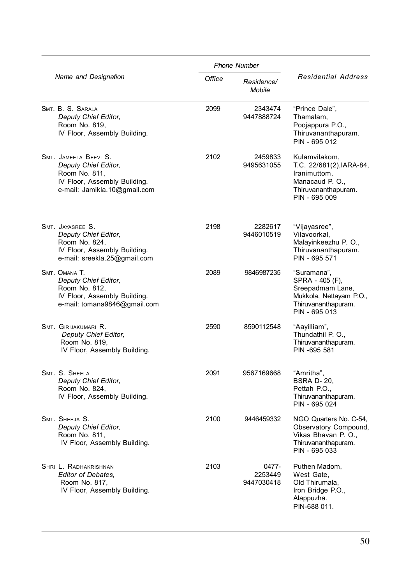|                                                                                                                                | <b>Phone Number</b> |                                |                                                                                                                       |  |
|--------------------------------------------------------------------------------------------------------------------------------|---------------------|--------------------------------|-----------------------------------------------------------------------------------------------------------------------|--|
| Name and Designation                                                                                                           | Office              | Residence/<br>Mobile           | <b>Residential Address</b>                                                                                            |  |
| SMT. B. S. SARALA<br>Deputy Chief Editor,<br>Room No. 819,<br>IV Floor, Assembly Building.                                     | 2099                | 2343474<br>9447888724          | "Prince Dale",<br>Thamalam,<br>Poojappura P.O.,<br>Thiruvananthapuram.<br>PIN - 695 012                               |  |
| SMT. JAMEELA BEEVI S.<br>Deputy Chief Editor,<br>Room No. 811,<br>IV Floor, Assembly Building.<br>e-mail: Jamikla.10@gmail.com | 2102                | 2459833<br>9495631055          | Kulamvilakom,<br>T.C. 22/681(2), IARA-84,<br>Iranimuttom,<br>Manacaud P. O.,<br>Thiruvananthapuram.<br>PIN - 695 009  |  |
| SMT. JAYASREE S.<br>Deputy Chief Editor,<br>Room No. 824,<br>IV Floor, Assembly Building.<br>e-mail: sreekla.25@gmail.com      | 2198                | 2282617<br>9446010519          | "Vijayasree",<br>Vilavoorkal,<br>Malayinkeezhu P. O.,<br>Thiruvananthapuram.<br>PIN - 695 571                         |  |
| SMT. OMANA T.<br>Deputy Chief Editor,<br>Room No. 812,<br>IV Floor, Assembly Building.<br>e-mail: tomana9846@gmail.com         | 2089                | 9846987235                     | "Suramana",<br>SPRA - 405 (F),<br>Sreepadmam Lane,<br>Mukkola, Nettayam P.O.,<br>Thiruvananthapuram.<br>PIN - 695 013 |  |
| SMT. GIRIJAKUMARI R.<br>Deputy Chief Editor,<br>Room No. 819,<br>IV Floor, Assembly Building.                                  | 2590                | 8590112548                     | "Aayilliam",<br>Thundathil P. O.,<br>Thiruvananthapuram.<br>PIN -695 581                                              |  |
| SMT. S. SHEELA<br>Deputy Chief Editor,<br>Room No. 824,<br>IV Floor, Assembly Building.                                        | 2091                | 9567169668                     | "Amritha",<br><b>BSRA D-20,</b><br>Pettah P.O.,<br>Thiruvananthapuram.<br>PIN - 695 024                               |  |
| SMT. SHEEJA S.<br>Deputy Chief Editor,<br>Room No. 811,<br>IV Floor, Assembly Building.                                        | 2100                | 9446459332                     | NGO Quarters No. C-54,<br>Observatory Compound,<br>Vikas Bhavan P. O.,<br>Thiruvananthapuram.<br>PIN - 695 033        |  |
| SHRI L. RADHAKRISHNAN<br>Editor of Debates,<br>Room No. 817,<br>IV Floor, Assembly Building.                                   | 2103                | 0477-<br>2253449<br>9447030418 | Puthen Madom,<br>West Gate.<br>Old Thirumala,<br>Iron Bridge P.O.,<br>Alappuzha.<br>PIN-688 011.                      |  |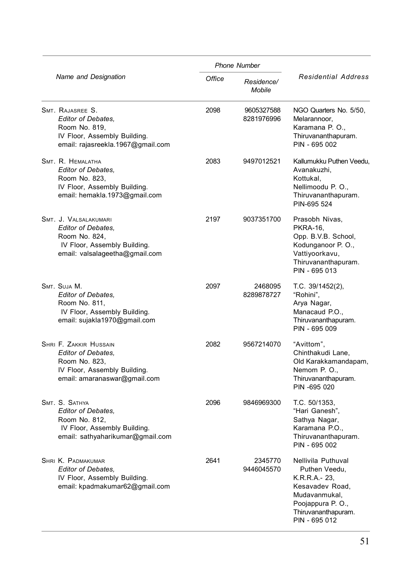|                                                                                                                                             | <b>Phone Number</b> |                          |                                                                                                                                                      |  |
|---------------------------------------------------------------------------------------------------------------------------------------------|---------------------|--------------------------|------------------------------------------------------------------------------------------------------------------------------------------------------|--|
| Name and Designation                                                                                                                        | Office              | Residence/<br>Mobile     | <b>Residential Address</b>                                                                                                                           |  |
| SMT. RAJASREE S.<br><b>Editor of Debates.</b><br>Room No. 819,<br>IV Floor, Assembly Building.<br>email: rajasreekla.1967@gmail.com         | 2098                | 9605327588<br>8281976996 | NGO Quarters No. 5/50,<br>Melarannoor,<br>Karamana P.O.,<br>Thiruvananthapuram.<br>PIN - 695 002                                                     |  |
| SMT. R. HEMALATHA<br><b>Editor of Debates.</b><br>Room No. 823,<br>IV Floor, Assembly Building.<br>email: hemakla.1973@gmail.com            | 2083                | 9497012521               | Kallumukku Puthen Veedu,<br>Avanakuzhi,<br>Kottukal.<br>Nellimoodu P. O.,<br>Thiruvananthapuram.<br>PIN-695 524                                      |  |
| SMT. J. VALSALAKUMARI<br>Editor of Debates,<br>Room No. 824,<br>IV Floor, Assembly Building.<br>email: valsalageetha@gmail.com              | 2197                | 9037351700               | Prasobh Nivas,<br><b>PKRA-16,</b><br>Opp. B.V.B. School,<br>Kodunganoor P.O.,<br>Vattiyoorkavu,<br>Thiruvananthapuram.<br>PIN - 695 013              |  |
| SMT. SUJA M.<br>Editor of Debates,<br>Room No. 811,<br>IV Floor, Assembly Building.<br>email: sujakla1970@gmail.com                         | 2097                | 2468095<br>8289878727    | T.C. 39/1452(2),<br>"Rohini",<br>Arya Nagar,<br>Manacaud P.O.,<br>Thiruvananthapuram.<br>PIN - 695 009                                               |  |
| <b>SHRI F. ZAKKIR HUSSAIN</b><br><b>Editor of Debates,</b><br>Room No. 823,<br>IV Floor, Assembly Building.<br>email: amaranaswar@gmail.com | 2082                | 9567214070               | "Avittom",<br>Chinthakudi Lane,<br>Old Karakkamandapam,<br>Nemom P. O.,<br>Thiruvananthapuram.<br>PIN -695 020                                       |  |
| SMT. S. SATHYA<br>Editor of Debates,<br>Room No. 812,<br>IV Floor, Assembly Building.<br>email: sathyaharikumar@gmail.com                   | 2096                | 9846969300               | T.C. 50/1353,<br>"Hari Ganesh",<br>Sathya Nagar,<br>Karamana P.O.,<br>Thiruvananthapuram.<br>PIN - 695 002                                           |  |
| SHRI K. PADMAKUMAR<br><b>Editor of Debates.</b><br>IV Floor, Assembly Building.<br>email: kpadmakumar62@gmail.com                           | 2641                | 2345770<br>9446045570    | Nellivila Puthuval<br>Puthen Veedu,<br>K.R.R.A.- 23,<br>Kesavadev Road,<br>Mudavanmukal,<br>Poojappura P.O.,<br>Thiruvananthapuram.<br>PIN - 695 012 |  |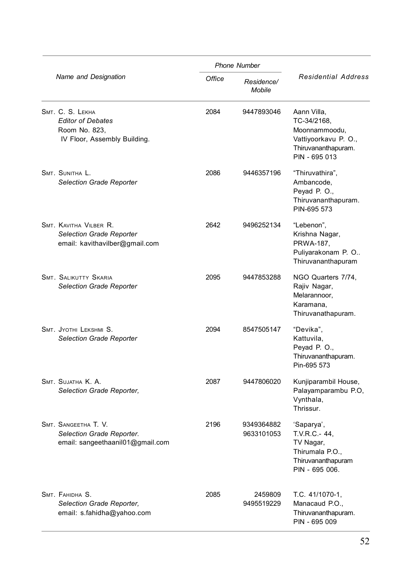|                                                                                               |        | <b>Phone Number</b>      |                                                                                                             |  |
|-----------------------------------------------------------------------------------------------|--------|--------------------------|-------------------------------------------------------------------------------------------------------------|--|
| Name and Designation                                                                          | Office | Residence/<br>Mobile     | <b>Residential Address</b>                                                                                  |  |
| SMT. C. S. LEKHA<br><b>Editor of Debates</b><br>Room No. 823,<br>IV Floor, Assembly Building. | 2084   | 9447893046               | Aann Villa,<br>TC-34/2168,<br>Moonnammoodu,<br>Vattiyoorkavu P. O.,<br>Thiruvananthapuram.<br>PIN - 695 013 |  |
| SMT. SUNITHA L.<br>Selection Grade Reporter                                                   | 2086   | 9446357196               | "Thiruvathira",<br>Ambancode,<br>Peyad P. O.,<br>Thiruvananthapuram.<br>PIN-695 573                         |  |
| SMT. KAVITHA VILBER R.<br>Selection Grade Reporter<br>email: kavithavilber@gmail.com          | 2642   | 9496252134               | "Lebenon",<br>Krishna Nagar,<br>PRWA-187.<br>Puliyarakonam P. O<br>Thiruvananthapuram                       |  |
| SMT. SALIKUTTY SKARIA<br>Selection Grade Reporter                                             | 2095   | 9447853288               | NGO Quarters 7/74,<br>Rajiv Nagar,<br>Melarannoor,<br>Karamana,<br>Thiruvanathapuram.                       |  |
| SMT. JYOTHI LEKSHMI S.<br>Selection Grade Reporter                                            | 2094   | 8547505147               | "Devika",<br>Kattuvila.<br>Peyad P. O.,<br>Thiruvananthapuram.<br>Pin-695 573                               |  |
| SMT. SUJATHA K. A.<br>Selection Grade Reporter,                                               | 2087   | 9447806020               | Kunjiparambil House,<br>Palayamparambu P.O,<br>Vynthala,<br>Thrissur.                                       |  |
| SMT. SANGEETHA T. V.<br>Selection Grade Reporter.<br>email: sangeethaanil01@gmail.com         | 2196   | 9349364882<br>9633101053 | 'Saparya',<br>T.V.R.C. - 44,<br>TV Nagar,<br>Thirumala P.O.,<br>Thiruvananthapuram<br>PIN - 695 006.        |  |
| SMT. FAHIDHA S.<br>Selection Grade Reporter,<br>email: s.fahidha@yahoo.com                    | 2085   | 2459809<br>9495519229    | T.C. 41/1070-1,<br>Manacaud P.O.,<br>Thiruvananthapuram.<br>PIN - 695 009                                   |  |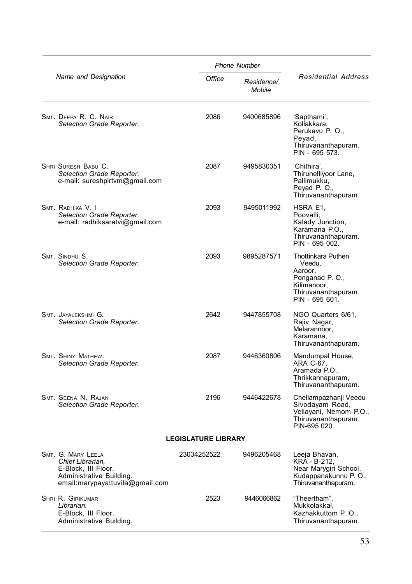|                                                                                                                              |                            | <b>Phone Number</b>  |                                                                                                                          |
|------------------------------------------------------------------------------------------------------------------------------|----------------------------|----------------------|--------------------------------------------------------------------------------------------------------------------------|
| Name and Designation                                                                                                         | Office                     | Residence/<br>Mobile | <b>Residential Address</b>                                                                                               |
| SMT. DEEPA R. C. NAIR<br>Selection Grade Reporter.                                                                           | 2086                       | 9400685896           | 'Sapthami',<br>Kollakkara,<br>Perukavu P. O.,<br>Peyad,<br>Thiruvananthapuram.<br>PIN - 695 573.                         |
| SHRI SURESH BABU C.<br>Selection Grade Reporter.<br>e-mail: sureshplrtvm@gmail.com                                           | 2087                       | 9495830351           | 'Chithira'.<br>Thirunelliyoor Lane,<br>Pallimukku,<br>Peyad P. O.,<br>Thiruvananthapuram.                                |
| SMT. RADHIKA V. I<br>Selection Grade Reporter.<br>e-mail: radhiksaratvi@gmail.com                                            | 2093                       | 9495011992           | HSRA E1.<br>Poovalli,<br>Kalady Junction,<br>Karamana P.O.,<br>Thiruvananthapuram.<br>PIN - 695 002.                     |
| SMT. SINDHU S.<br>Selection Grade Reporter.                                                                                  | 2093                       | 9895287571           | <b>Thottinkara Puthen</b><br>Veedu.<br>Aaroor,<br>Ponganad P.O.,<br>Kilimanoor,<br>Thiruvananthapuram.<br>PIN - 695 601. |
| SMT. JAYALEKSHMI G.<br>Selection Grade Reporter.                                                                             | 2642                       | 9447855708           | NGO Quarters 6/61,<br>Rajiv Nagar,<br>Melarannoor,<br>Karamana.<br>Thiruvananthapuram.                                   |
| SMT. SHINY MATHEW.<br>Selection Grade Reporter.                                                                              | 2087                       | 9446360806           | Mandumpal House,<br>ARA C-67,<br>Aramada P.O.,<br>Thrikkannapuram,<br>Thiruvananthapuram.                                |
| SMT. SEENA N. RAJAN<br>Selection Grade Reporter.                                                                             | 2196                       | 9446422678           | Chellampazhanji Veedu<br>Sivodayam Road,<br>Vellayani, Nemom P.O.,<br>Thiruvananthapuram.<br>PIN-695 020                 |
|                                                                                                                              | <b>LEGISLATURE LIBRARY</b> |                      |                                                                                                                          |
| SMT. G. MARY LEELA<br>Chief Librarian,<br>E-Block, III Floor,<br>Administrative Building.<br>email:marypayattuvila@gmail.com | 23034252522                | 9496205468           | Leeja Bhavan,<br>KRA - B-212,<br>Near Marygiri School,<br>Kudappanakunnu P. O.,<br>Thiruvananthapuram.                   |
| SHRI R. GIRIKUMAR<br>Librarian.<br>E-Block, III Floor,<br>Administrative Building.                                           | 2523                       | 9446066862           | "Theertham".<br>Mukkolakkal.<br>Kazhakkuttom P. O.,<br>Thiruvananthapuram.                                               |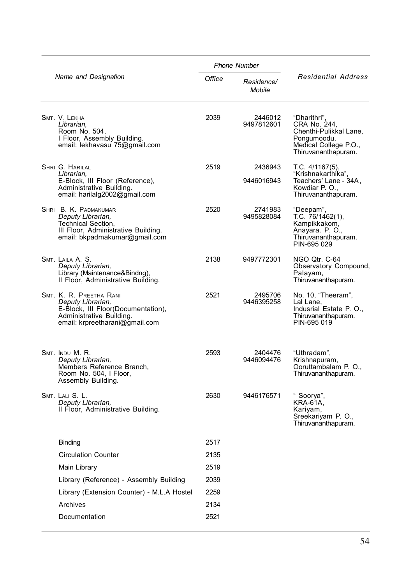| <b>Phone Number</b>                                                                                                                              |        |                       |                                                                                                                       |
|--------------------------------------------------------------------------------------------------------------------------------------------------|--------|-----------------------|-----------------------------------------------------------------------------------------------------------------------|
| Name and Designation                                                                                                                             | Office | Residence/<br>Mobile  | <b>Residential Address</b>                                                                                            |
| SMT. V. LEKHA<br>Librarian.<br>Room No. 504,<br>I Floor, Assembly Building.<br>email: lekhavasu 75@gmail.com                                     | 2039   | 2446012<br>9497812601 | "Dharithri",<br>CRA No. 244.<br>Chenthi-Pulikkal Lane,<br>Pongumoodu,<br>Medical College P.O.,<br>Thiruvananthapuram. |
| SHRI G. HARILAL<br>Librarian,<br>E-Block, III Floor (Reference),<br>Administrative Building.<br>email: harilalg2002@gmail.com                    | 2519   | 2436943<br>9446016943 | T.C. 4/1167(5),<br>"Krishnakarthika"<br>Teachers' Lane - 34A,<br>Kowdiar P. O.,<br>Thiruvananthapuram.                |
| SHRI B. K. PADMAKUMAR<br>Deputy Librarian,<br>Technical Section,<br>III Floor, Administrative Building.<br>email: bkpadmakumar@gmail.com         | 2520   | 2741983<br>9495828084 | "Deepam"<br>T.C. 76/1462(1),<br>Kampikkakom,<br>Anayara. P. O.,<br>Thiruvananthapuram.<br>PIN-695 029                 |
| SMT. LAILA A. S.<br>Deputy Librarian,<br>Library (Maintenance&Bindng),<br>Il Floor, Administrative Building.                                     | 2138   | 9497772301            | NGO Qtr. C-64<br>Observatory Compound,<br>Palayam,<br>Thiruvananthapuram.                                             |
| SMT. K. R. PREETHA RANI<br>Deputy Librarian,<br>E-Block, III Floor(Documentation),<br>Administrative Building.<br>email: krpreetharani@gmail.com | 2521   | 2495706<br>9446395258 | No. 10, "Theeram",<br>Lal Lane,<br>Indusrial Estate P. O.,<br>Thiruvananthapuram.<br>PIN-695 019                      |
| Smt. Indu M. R.<br>Deputy Librarian,<br>Members Reference Branch,<br>Room No. 504, I Floor,<br>Assembly Building.                                | 2593   | 2404476<br>9446094476 | "Uthradam",<br>Krishnapuram,<br>Ooruttambalam P. O.,<br>Thiruvananthapuram.                                           |
| Smt. Lali S. L.<br>Deputy Librarian,<br>Il Floor, Administrative Building.                                                                       | 2630   | 9446176571            | " Soorya",<br>KRA-61A,<br>Kariyam,<br>Sreekariyam P. O.,<br>Thiruvananthapuram.                                       |
| Binding                                                                                                                                          | 2517   |                       |                                                                                                                       |
| <b>Circulation Counter</b>                                                                                                                       | 2135   |                       |                                                                                                                       |
| Main Library                                                                                                                                     | 2519   |                       |                                                                                                                       |
| Library (Reference) - Assembly Building                                                                                                          | 2039   |                       |                                                                                                                       |
| Library (Extension Counter) - M.L.A Hostel                                                                                                       | 2259   |                       |                                                                                                                       |
| Archives                                                                                                                                         | 2134   |                       |                                                                                                                       |
| Documentation                                                                                                                                    | 2521   |                       |                                                                                                                       |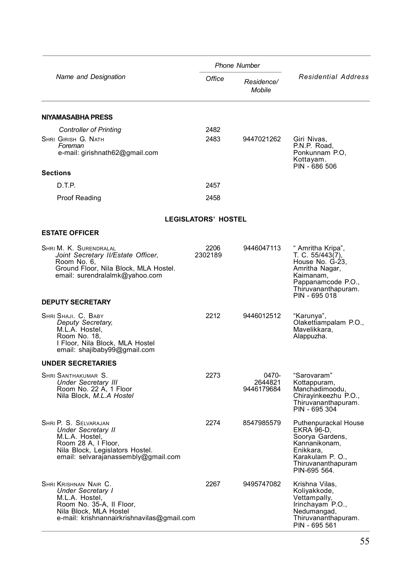|                                                                                                                                                                         |                            | <b>Phone Number</b>            |                                                                                                                                                       |  |
|-------------------------------------------------------------------------------------------------------------------------------------------------------------------------|----------------------------|--------------------------------|-------------------------------------------------------------------------------------------------------------------------------------------------------|--|
| Name and Designation                                                                                                                                                    | Office                     | Residence/<br>Mobile           | <b>Residential Address</b>                                                                                                                            |  |
| NIYAMASABHA PRESS                                                                                                                                                       |                            |                                |                                                                                                                                                       |  |
| <b>Controller of Printing</b>                                                                                                                                           | 2482                       |                                |                                                                                                                                                       |  |
| SHRI GIRISH G. NATH<br>Foreman<br>e-mail: girishnath62@gmail.com                                                                                                        | 2483                       | 9447021262                     | Giri Nivas,<br>P.N.P. Road,<br>Ponkunnam P.O.<br>Kottayam.<br>PIN - 686 506                                                                           |  |
| <b>Sections</b>                                                                                                                                                         |                            |                                |                                                                                                                                                       |  |
| D.T.P.                                                                                                                                                                  | 2457                       |                                |                                                                                                                                                       |  |
| Proof Reading                                                                                                                                                           | 2458                       |                                |                                                                                                                                                       |  |
|                                                                                                                                                                         | <b>LEGISLATORS' HOSTEL</b> |                                |                                                                                                                                                       |  |
| <b>ESTATE OFFICER</b>                                                                                                                                                   |                            |                                |                                                                                                                                                       |  |
| Shri M. K. Surendralal<br>Joint Secretary II/Estate Officer,<br>Room No. 6,<br>Ground Floor, Nila Block, MLA Hostel.<br>email: surendralalmk@yahoo.com                  | 2206<br>2302189            | 9446047113                     | " Amritha Kripa",<br>T. C. 55/443(7),<br>House No. G-23,<br>Amritha Nagar,<br>Kaimanam,<br>Pappanamcode P.O.,<br>Thiruvananthapuram.<br>PIN - 695 018 |  |
| <b>DEPUTY SECRETARY</b>                                                                                                                                                 |                            |                                |                                                                                                                                                       |  |
| SHRI SHAJI. C. BABY<br>Deputy Secretary,<br>M.L.A. Hostel,<br>Room No. 18,<br>I Floor, Nila Block, MLA Hostel<br>email: shajibaby99@gmail.com                           | 2212                       | 9446012512                     | "Karunya"<br>Olakettiampalam P.O.,<br>Mavelikkara,<br>Alappuzha.                                                                                      |  |
| <b>UNDER SECRETARIES</b>                                                                                                                                                |                            |                                |                                                                                                                                                       |  |
| SHRI SANTHAKUMAR S.<br><b>Under Secretary III</b><br>Room No. 22 A, 1 Floor<br>Nila Block, M.L.A Hostel                                                                 | 2273                       | 0470-<br>2644821<br>9446179684 | "Sarovaram"<br>Kottappuram,<br>Manchadimoodu,<br>Chirayinkeezhu P.O.,<br>Thiruvananthapuram.<br>PIN - 695 304                                         |  |
| SHRI P. S. SELVARAJAN<br>Under Secretary II<br>M.L.A. Hostel,<br>Room 28 A, I Floor,<br>Nila Block, Legislators Hostel.<br>email: selvarajanassembly@gmail.com          | 2274                       | 8547985579                     | Puthenpurackal House<br>EKRA 96-D.<br>Soorya Gardens,<br>Kannanikonam,<br>Enikkara,<br>Karakulam P. O.,<br>Thiruvananthapuram<br>PIN-695 564.         |  |
| SHRI KRISHNAN NAIR C.<br><b>Under Secretary I</b><br>M.L.A. Hostel,<br>Room No. 35-A, Il Floor,<br>Nila Block, MLA Hostel<br>e-mail: krishnannairkrishnavilas@gmail.com | 2267                       | 9495747082                     | Krishna Vilas,<br>Koliyakkode,<br>Vettampally,<br>Irinchayam P.O.,<br>Nedumangad,<br>Thiruvananthapuram.<br>PIN - 695 561                             |  |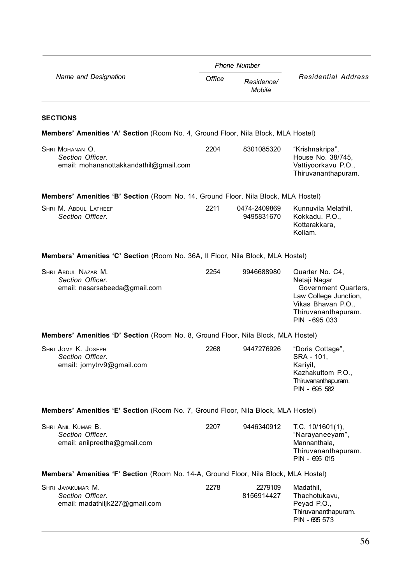|                                                                                      |        | <b>Phone Number</b>         |                                                                                                                                                |  |
|--------------------------------------------------------------------------------------|--------|-----------------------------|------------------------------------------------------------------------------------------------------------------------------------------------|--|
| Name and Designation                                                                 | Office | Residence/<br><b>Mobile</b> | <b>Residential Address</b>                                                                                                                     |  |
| <b>SECTIONS</b>                                                                      |        |                             |                                                                                                                                                |  |
| Members' Amenities 'A' Section (Room No. 4, Ground Floor, Nila Block, MLA Hostel)    |        |                             |                                                                                                                                                |  |
| SHRI MOHANAN O.<br>Section Officer.<br>email: mohananottakkandathil@gmail.com        | 2204   | 8301085320                  | "Krishnakripa",<br>House No. 38/745,<br>Vattiyoorkavu P.O.,<br>Thiruvananthapuram.                                                             |  |
| Members' Amenities 'B' Section (Room No. 14, Ground Floor, Nila Block, MLA Hostel)   |        |                             |                                                                                                                                                |  |
| SHRI M. ABDUL LATHEEF<br>Section Officer.                                            | 2211   | 0474-2409869<br>9495831670  | Kunnuvila Melathil,<br>Kokkadu. P.O.,<br>Kottarakkara,<br>Kollam.                                                                              |  |
| Members' Amenities 'C' Section (Room No. 36A, Il Floor, Nila Block, MLA Hostel)      |        |                             |                                                                                                                                                |  |
| SHRI ABDUL NAZAR M.<br>Section Officer.<br>email: nasarsabeeda@gmail.com             | 2254   | 9946688980                  | Quarter No. C4,<br>Netaji Nagar<br>Government Quarters,<br>Law College Junction,<br>Vikas Bhavan P.O.,<br>Thiruvananthapuram.<br>PIN - 695 033 |  |
| Members' Amenities 'D' Section (Room No. 8, Ground Floor, Nila Block, MLA Hostel)    |        |                             |                                                                                                                                                |  |
| SHRI JOMY K. JOSEPH<br>Section Officer.<br>email: jomytrv9@gmail.com                 | 2268   | 9447276926                  | "Doris Cottage",<br>SRA - 101.<br>Kariyil,<br>Kazhakuttom P.O.,<br>Thiruvananthapuram.<br>PIN - 695 582                                        |  |
| Members' Amenities 'E' Section (Room No. 7, Ground Floor, Nila Block, MLA Hostel)    |        |                             |                                                                                                                                                |  |
| SHRI ANIL KUMAR B.<br>Section Officer.<br>email: anilpreetha@gmail.com               | 2207   | 9446340912                  | T.C. 10/1601(1),<br>"Narayaneeyam",<br>Mannanthala,<br>Thiruvananthapuram.<br>PIN - 695 015                                                    |  |
| Members' Amenities 'F' Section (Room No. 14-A, Ground Floor, Nila Block, MLA Hostel) |        |                             |                                                                                                                                                |  |
| SHRI JAYAKUMAR M.<br>Section Officer.<br>email: madathiljk227@gmail.com              | 2278   | 2279109<br>8156914427       | Madathil,<br>Thachotukavu,<br>Peyad P.O.,<br>Thiruvananthapuram.<br>PIN - 695 573                                                              |  |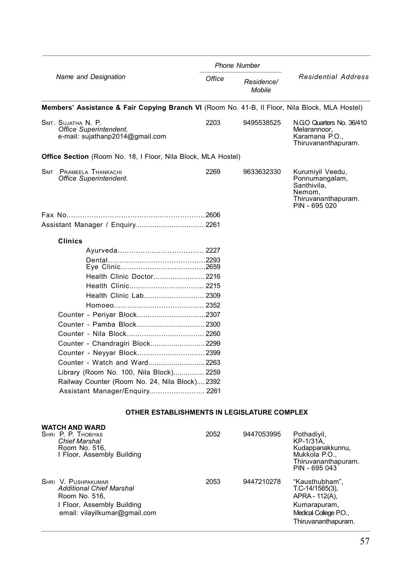|                                                                                                                     |      | <b>Phone Number</b>  |                                                                                                       |
|---------------------------------------------------------------------------------------------------------------------|------|----------------------|-------------------------------------------------------------------------------------------------------|
| Name and Designation                                                                                                |      | Residence/<br>Mobile | <b>Residential Address</b>                                                                            |
| Members' Assistance & Fair Copying Branch VI (Room No. 41-B, II Floor, Nila Block, MLA Hostel)                      |      |                      |                                                                                                       |
| SMT. SUJATHA N. P.<br>Office Superintendent.<br>e-mail: sujathanp2014@gmail.com                                     | 2203 | 9495538525           | N.GO Quarters No. 36/410<br>Melarannoor.<br>Karamana P.O.,<br>Thiruvananthapuram.                     |
| <b>Office Section</b> (Room No. 18, I Floor, Nila Block, MLA Hostel)                                                |      |                      |                                                                                                       |
| SMT PRAMEELA THANKACHI<br>Office Superintendent.                                                                    | 2269 | 9633632330           | Kurumiyil Veedu,<br>Ponnumangalam,<br>Santhivila,<br>Nemom.<br>Thiruvananthapuram.<br>PIN - 695 020   |
|                                                                                                                     |      |                      |                                                                                                       |
| Assistant Manager / Enquiry 2261                                                                                    |      |                      |                                                                                                       |
| Clinics                                                                                                             |      |                      |                                                                                                       |
|                                                                                                                     |      |                      |                                                                                                       |
|                                                                                                                     |      |                      |                                                                                                       |
|                                                                                                                     |      |                      |                                                                                                       |
| Health Clinic Doctor 2216                                                                                           |      |                      |                                                                                                       |
|                                                                                                                     |      |                      |                                                                                                       |
|                                                                                                                     |      |                      |                                                                                                       |
|                                                                                                                     |      |                      |                                                                                                       |
|                                                                                                                     |      |                      |                                                                                                       |
|                                                                                                                     |      |                      |                                                                                                       |
|                                                                                                                     |      |                      |                                                                                                       |
| Counter - Chandragiri Block 2299                                                                                    |      |                      |                                                                                                       |
|                                                                                                                     |      |                      |                                                                                                       |
| Counter - Watch and Ward2263                                                                                        |      |                      |                                                                                                       |
| Library (Room No. 100, Nila Block) 2259                                                                             |      |                      |                                                                                                       |
| Railway Counter (Room No. 24, Nila Block) 2392                                                                      |      |                      |                                                                                                       |
| Assistant Manager/Enguiry 2261                                                                                      |      |                      |                                                                                                       |
|                                                                                                                     |      |                      |                                                                                                       |
| OTHER ESTABLISHMENTS IN LEGISLATURE COMPLEX                                                                         |      |                      |                                                                                                       |
| <b>WATCH AND WARD</b><br>SHRI P. P. THOBIYAS<br><b>Chief Marshal</b><br>Room No. 516,<br>I Floor, Assembly Building | 2052 | 9447053995           | Pothadivil,<br>KP-1/31A.<br>Kudappanakkunnu,<br>Mukkola P.O.,<br>Thiruvananthapuram.<br>PIN - 695 043 |

SHRI V. PUSHPAKUMAR 2053 9447210278 "Kausthubham", *Additional Chief Marshal* T.C-14/1585(3), Room No. 516, New York 1999, Noom No. 516, New York 112(A), New York 112(A), New York 112(A), New York 112(A),<br>1 Floor, Assembly Building 1999, New York 112(A), New York 112(A), New York 112(A), New York 112(A), New York 1 I Floor, Assembly Building and the state of the Kumarapuram, Kumarapuram, Communist College P.O., and the State of the State of the Medical College P.O., and the State of the State of the State of the Medical College P.O., email: vilayilkumar@gmail.com Thiruvananthapuram.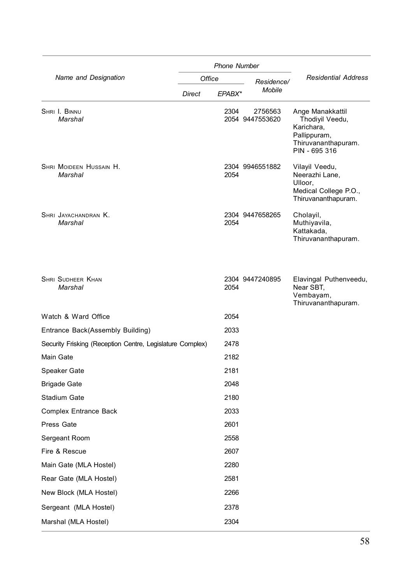|                                                           |               | <b>Phone Number</b> |                            |                                                                                                           |
|-----------------------------------------------------------|---------------|---------------------|----------------------------|-----------------------------------------------------------------------------------------------------------|
| Name and Designation                                      | Office        |                     | Residence/                 | <b>Residential Address</b>                                                                                |
|                                                           | <b>Direct</b> | EPABX*              | Mobile                     |                                                                                                           |
| SHRI I. BINNU<br>Marshal                                  |               | 2304                | 2756563<br>2054 9447553620 | Ange Manakkattil<br>Thodiyil Veedu,<br>Karichara,<br>Pallippuram,<br>Thiruvananthapuram.<br>PIN - 695 316 |
| SHRI MOIDEEN HUSSAIN H.<br>Marshal                        |               | 2054                | 2304 9946551882            | Vilayil Veedu,<br>Neerazhi Lane,<br>Ulloor.<br>Medical College P.O.,<br>Thiruvananthapuram.               |
| SHRI JAYACHANDRAN K.<br>Marshal                           |               | 2054                | 2304 9447658265            | Cholayil,<br>Muthiyavila,<br>Kattakada,<br>Thiruvananthapuram.                                            |
| <b>SHRI SUDHEER KHAN</b><br>Marshal                       |               | 2054                | 2304 9447240895            | Elavingal Puthenveedu,<br>Near SBT,<br>Vembayam,<br>Thiruvananthapuram.                                   |
| Watch & Ward Office                                       |               | 2054                |                            |                                                                                                           |
| Entrance Back(Assembly Building)                          |               | 2033                |                            |                                                                                                           |
| Security Frisking (Reception Centre, Legislature Complex) |               | 2478                |                            |                                                                                                           |
| Main Gate                                                 |               | 2182                |                            |                                                                                                           |
| Speaker Gate                                              |               | 2181                |                            |                                                                                                           |
| <b>Brigade Gate</b>                                       |               | 2048                |                            |                                                                                                           |
| Stadium Gate                                              |               | 2180                |                            |                                                                                                           |
| <b>Complex Entrance Back</b>                              |               | 2033                |                            |                                                                                                           |
| Press Gate                                                |               | 2601                |                            |                                                                                                           |
| Sergeant Room                                             |               | 2558                |                            |                                                                                                           |
| Fire & Rescue                                             |               | 2607                |                            |                                                                                                           |
| Main Gate (MLA Hostel)                                    |               | 2280                |                            |                                                                                                           |
| Rear Gate (MLA Hostel)                                    |               | 2581                |                            |                                                                                                           |
| New Block (MLA Hostel)                                    |               | 2266                |                            |                                                                                                           |
| Sergeant (MLA Hostel)                                     |               | 2378                |                            |                                                                                                           |
| Marshal (MLA Hostel)                                      |               | 2304                |                            |                                                                                                           |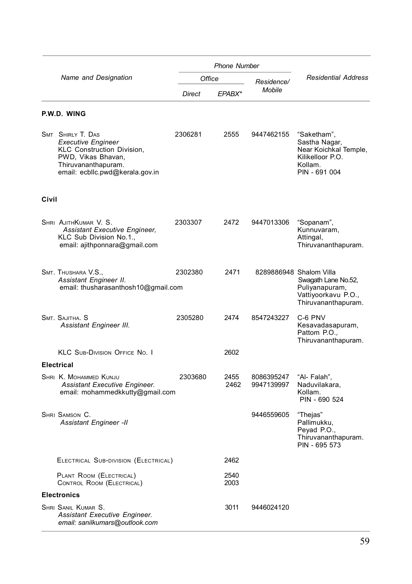|       |                                                                                                                                                                     |         | <b>Phone Number</b> |                          |                                                                                                                |
|-------|---------------------------------------------------------------------------------------------------------------------------------------------------------------------|---------|---------------------|--------------------------|----------------------------------------------------------------------------------------------------------------|
|       | Name and Designation                                                                                                                                                | Office  |                     | Residence/               | Residential Address                                                                                            |
|       |                                                                                                                                                                     | Direct  | EPABX*              | Mobile                   |                                                                                                                |
|       | P.W.D. WING                                                                                                                                                         |         |                     |                          |                                                                                                                |
|       | <b>SMT SHIRLY T. DAS</b><br><b>Executive Engineer</b><br>KLC Construction Division,<br>PWD, Vikas Bhavan,<br>Thiruvananthapuram.<br>email: ecbllc.pwd@kerala.gov.in | 2306281 | 2555                | 9447462155               | "Saketham",<br>Sastha Nagar,<br>Near Koichkal Temple,<br>Kilikelloor P.O.<br>Kollam.<br>PIN - 691 004          |
| Civil |                                                                                                                                                                     |         |                     |                          |                                                                                                                |
|       | SHRI AJITHKUMAR V. S.<br>Assistant Executive Engineer,<br>KLC Sub Division No.1.,<br>email: ajithponnara@gmail.com                                                  | 2303307 | 2472                | 9447013306               | "Sopanam",<br>Kunnuvaram,<br>Attingal,<br>Thiruvananthapuram.                                                  |
|       | SMT. THUSHARA V.S.,<br>Assistant Engineer II.<br>email: thusharasanthosh10@gmail.com                                                                                | 2302380 | 2471                |                          | 8289886948 Shalom Villa<br>Swagath Lane No.52,<br>Puliyanapuram,<br>Vattiyoorkavu P.O.,<br>Thiruvananthapuram. |
|       | SMT. SAJITHA, S<br>Assistant Engineer III.                                                                                                                          | 2305280 | 2474                | 8547243227               | C-6 PNV<br>Kesavadasapuram,<br>Pattom P.O.,<br>Thiruvananthapuram.                                             |
|       | KLC SUB-DIVISION OFFICE No. I                                                                                                                                       |         | 2602                |                          |                                                                                                                |
|       | <b>Electrical</b>                                                                                                                                                   |         |                     |                          |                                                                                                                |
|       | SHRI K. MOHAMMED KUNJU<br>Assistant Executive Engineer.<br>email: mohammedkkutty@gmail.com                                                                          | 2303680 | 2455<br>2462        | 8086395247<br>9947139997 | "Al- Falah",<br>Naduvilakara,<br>Kollam.<br>PIN - 690 524                                                      |
|       | SHRI SAMSON C.<br><b>Assistant Engineer -II</b>                                                                                                                     |         |                     | 9446559605               | "Thejas"<br>Pallimukku,<br>Peyad P.O.,<br>Thiruvananthapuram.<br>PIN - 695 573                                 |
|       | ELECTRICAL SUB-DIVISION (ELECTRICAL)                                                                                                                                |         | 2462                |                          |                                                                                                                |
|       | PLANT ROOM (ELECTRICAL)<br>CONTROL ROOM (ELECTRICAL)                                                                                                                |         | 2540<br>2003        |                          |                                                                                                                |
|       | <b>Electronics</b>                                                                                                                                                  |         |                     |                          |                                                                                                                |
|       | SHRI SANIL KUMAR S.<br>Assistant Executive Engineer.<br>email: sanilkumars@outlook.com                                                                              |         | 3011                | 9446024120               |                                                                                                                |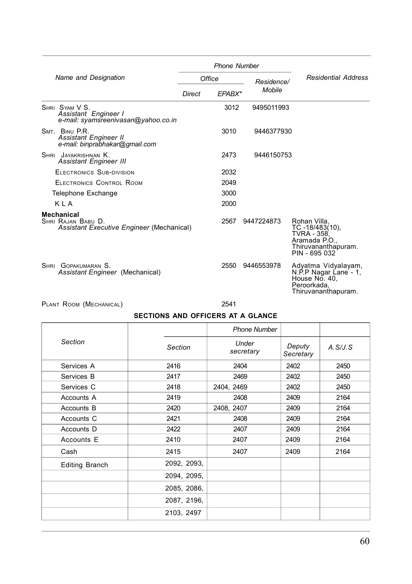|                                                                                  |        | <b>Phone Number</b> |            |                                                                                                        |
|----------------------------------------------------------------------------------|--------|---------------------|------------|--------------------------------------------------------------------------------------------------------|
| Name and Designation                                                             |        | Office              | Residence/ | <b>Residential Address</b>                                                                             |
|                                                                                  | Direct | EPABX*              | Mobile     |                                                                                                        |
| SHRI SYAM V S.<br>Assistant Engineer I<br>e-mail: syamsreenivasan@yahoo.co.in    |        | 3012                | 9495011993 |                                                                                                        |
| SMT. BINU P.R.<br><b>Assistant Engineer II</b><br>e-mail: binprabhakar@gmail.com |        | 3010                | 9446377930 |                                                                                                        |
| SHRI JAYAKRISHNAN K.<br><b>Assistant Engineer III</b>                            |        | 2473                | 9446150753 |                                                                                                        |
| ELECTRONICS SUB-DIVISION                                                         |        | 2032                |            |                                                                                                        |
| ELECTRONICS CONTROL ROOM                                                         |        | 2049                |            |                                                                                                        |
| Telephone Exchange                                                               |        | 3000                |            |                                                                                                        |
| KI A                                                                             |        | 2000                |            |                                                                                                        |
| Mechanical<br>SHRI RAJAN BABU D.<br>Assistant Executive Engineer (Mechanical)    |        | 2567                | 9447224873 | Rohan Villa,<br>TC-18/483(10),<br>TVRA - 358.<br>Aramada P.O.,<br>Thiruvananthapuram.<br>PIN - 695 032 |
| SHRI GOPAKUMARAN S.<br>Assistant Engineer (Mechanical)                           |        | 2550                | 9446553978 | Adyatma Vidyalayam,<br>N.P.P Nagar Lane - 1,<br>Peroorkada,<br>Thiruvananthapuram.                     |

PLANT ROOM (MECHANICAL) 2541

### **SECTIONS AND OFFICERS AT A GLANCE**

|                       |             | <b>Phone Number</b> |                     |         |
|-----------------------|-------------|---------------------|---------------------|---------|
| Section               | Section     | Under<br>secretary  | Deputy<br>Secretary | A.S/J.S |
| Services A            | 2416        | 2404                | 2402                | 2450    |
| Services B            | 2417        | 2469                | 2402                | 2450    |
| Services C            | 2418        | 2404, 2469          | 2402                | 2450    |
| Accounts A            | 2419        | 2408                | 2409                | 2164    |
| Accounts B            | 2420        | 2408, 2407          | 2409                | 2164    |
| Accounts C            | 2421        | 2408                | 2409                | 2164    |
| Accounts D            | 2422        | 2407                | 2409                | 2164    |
| Accounts E            | 2410        | 2407                | 2409                | 2164    |
| Cash                  | 2415        | 2407                | 2409                | 2164    |
| <b>Editing Branch</b> | 2092, 2093, |                     |                     |         |
|                       | 2094, 2095, |                     |                     |         |
|                       | 2085, 2086, |                     |                     |         |
|                       | 2087, 2196, |                     |                     |         |
|                       | 2103, 2497  |                     |                     |         |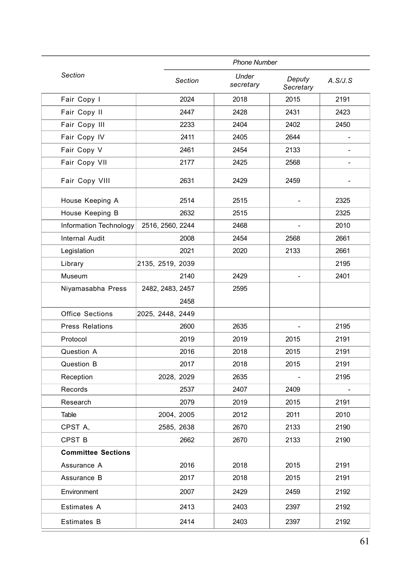|                           |                  | <b>Phone Number</b> |                    |                     |         |
|---------------------------|------------------|---------------------|--------------------|---------------------|---------|
| Section                   |                  | Section             | Under<br>secretary | Deputy<br>Secretary | A.S/J.S |
| Fair Copy I               |                  | 2024                | 2018               | 2015                | 2191    |
| Fair Copy II              |                  | 2447                | 2428               | 2431                | 2423    |
| Fair Copy III             |                  | 2233                | 2404               | 2402                | 2450    |
| Fair Copy IV              |                  | 2411                | 2405               | 2644                |         |
| Fair Copy V               |                  | 2461                | 2454               | 2133                |         |
| Fair Copy VII             |                  | 2177                | 2425               | 2568                |         |
| Fair Copy VIII            |                  | 2631                | 2429               | 2459                |         |
| House Keeping A           |                  | 2514                | 2515               |                     | 2325    |
| House Keeping B           |                  | 2632                | 2515               |                     | 2325    |
| Information Technology    | 2516, 2560, 2244 |                     | 2468               |                     | 2010    |
| <b>Internal Audit</b>     |                  | 2008                | 2454               | 2568                | 2661    |
| Legislation               |                  | 2021                | 2020               | 2133                | 2661    |
| Library                   | 2135, 2519, 2039 |                     |                    |                     | 2195    |
| Museum                    |                  | 2140                | 2429               |                     | 2401    |
| Niyamasabha Press         | 2482, 2483, 2457 |                     | 2595               |                     |         |
|                           |                  | 2458                |                    |                     |         |
| <b>Office Sections</b>    | 2025, 2448, 2449 |                     |                    |                     |         |
| <b>Press Relations</b>    |                  | 2600                | 2635               |                     | 2195    |
| Protocol                  |                  | 2019                | 2019               | 2015                | 2191    |
| Question A                |                  | 2016                | 2018               | 2015                | 2191    |
| Question B                |                  | 2017                | 2018               | 2015                | 2191    |
| Reception                 | 2028, 2029       |                     | 2635               |                     | 2195    |
| Records                   |                  | 2537                | 2407               | 2409                |         |
| Research                  |                  | 2079                | 2019               | 2015                | 2191    |
| Table                     | 2004, 2005       |                     | 2012               | 2011                | 2010    |
| CPST A,                   | 2585, 2638       |                     | 2670               | 2133                | 2190    |
| CPST <sub>B</sub>         |                  | 2662                | 2670               | 2133                | 2190    |
| <b>Committee Sections</b> |                  |                     |                    |                     |         |
| Assurance A               |                  | 2016                | 2018               | 2015                | 2191    |
| Assurance B               |                  | 2017                | 2018               | 2015                | 2191    |
| Environment               |                  | 2007                | 2429               | 2459                | 2192    |
| Estimates A               |                  | 2413                | 2403               | 2397                | 2192    |
| Estimates B               |                  | 2414                | 2403               | 2397                | 2192    |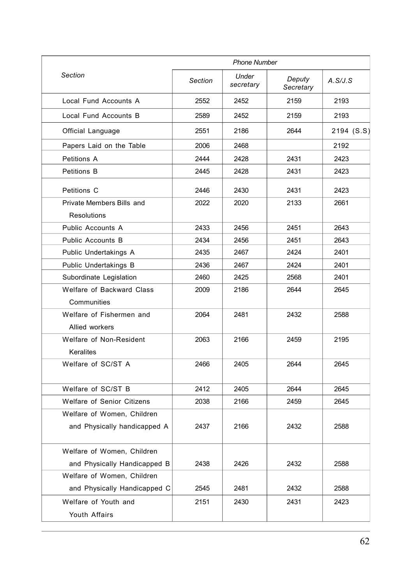|                                                            |         | <b>Phone Number</b> |                     |            |
|------------------------------------------------------------|---------|---------------------|---------------------|------------|
| Section                                                    | Section | Under<br>secretary  | Deputy<br>Secretary | A.S/J.S    |
| Local Fund Accounts A                                      | 2552    | 2452                | 2159                | 2193       |
| Local Fund Accounts B                                      | 2589    | 2452                | 2159                | 2193       |
| Official Language                                          | 2551    | 2186                | 2644                | 2194 (S.S) |
| Papers Laid on the Table                                   | 2006    | 2468                |                     | 2192       |
| Petitions A                                                | 2444    | 2428                | 2431                | 2423       |
| Petitions B                                                | 2445    | 2428                | 2431                | 2423       |
| Petitions C                                                | 2446    | 2430                | 2431                | 2423       |
| Private Members Bills and<br><b>Resolutions</b>            | 2022    | 2020                | 2133                | 2661       |
| Public Accounts A                                          | 2433    | 2456                | 2451                | 2643       |
| Public Accounts B                                          | 2434    | 2456                | 2451                | 2643       |
| Public Undertakings A                                      | 2435    | 2467                | 2424                | 2401       |
| Public Undertakings B                                      | 2436    | 2467                | 2424                | 2401       |
| Subordinate Legislation                                    | 2460    | 2425                | 2568                | 2401       |
| Welfare of Backward Class<br>Communities                   | 2009    | 2186                | 2644                | 2645       |
| Welfare of Fishermen and<br>Allied workers                 | 2064    | 2481                | 2432                | 2588       |
| Welfare of Non-Resident<br>Keralites                       | 2063    | 2166                | 2459                | 2195       |
| Welfare of SC/ST A                                         | 2466    | 2405                | 2644                | 2645       |
| Welfare of SC/ST B                                         | 2412    | 2405                | 2644                | 2645       |
| Welfare of Senior Citizens                                 | 2038    | 2166                | 2459                | 2645       |
| Welfare of Women, Children                                 |         |                     |                     |            |
| and Physically handicapped A                               | 2437    | 2166                | 2432                | 2588       |
| Welfare of Women, Children                                 | 2438    | 2426                | 2432                | 2588       |
| and Physically Handicapped B<br>Welfare of Women, Children |         |                     |                     |            |
| and Physically Handicapped C                               | 2545    | 2481                | 2432                | 2588       |
| Welfare of Youth and<br>Youth Affairs                      | 2151    | 2430                | 2431                | 2423       |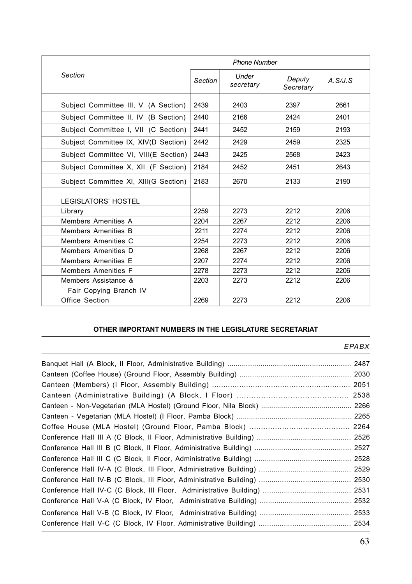| <b>Phone Number</b>                            |         |                    |                     |         |
|------------------------------------------------|---------|--------------------|---------------------|---------|
| Section                                        | Section | Under<br>secretary | Deputy<br>Secretary | A.S/J.S |
| Subject Committee III, V (A Section)           | 2439    | 2403               | 2397                | 2661    |
| Subject Committee II, IV (B Section)           | 2440    | 2166               | 2424                | 2401    |
| Subject Committee I, VII (C Section)           | 2441    | 2452               | 2159                | 2193    |
| Subject Committee IX, XIV(D Section)           | 2442    | 2429               | 2459                | 2325    |
| Subject Committee VI, VIII(E Section)          | 2443    | 2425               | 2568                | 2423    |
| Subject Committee X, XII (F Section)           | 2184    | 2452               | 2451                | 2643    |
| Subject Committee XI, XIII(G Section)          | 2183    | 2670               | 2133                | 2190    |
| <b>LEGISLATORS' HOSTEL</b>                     |         |                    |                     |         |
| Library                                        | 2259    | 2273               | 2212                | 2206    |
| Members Amenities A                            | 2204    | 2267               | 2212                | 2206    |
| Members Amenities B                            | 2211    | 2274               | 2212                | 2206    |
| Members Amenities C                            | 2254    | 2273               | 2212                | 2206    |
| Members Amenities D                            | 2268    | 2267               | 2212                | 2206    |
| Members Amenities E                            | 2207    | 2274               | 2212                | 2206    |
| Members Amenities F                            | 2278    | 2273               | 2212                | 2206    |
| Members Assistance &<br>Fair Copying Branch IV | 2203    | 2273               | 2212                | 2206    |
| Office Section                                 | 2269    | 2273               | 2212                | 2206    |

#### **OTHER IMPORTANT NUMBERS IN THE LEGISLATURE SECRETARIAT**

#### *EPABX*

| 2538 |
|------|
|      |
|      |
|      |
|      |
|      |
|      |
|      |
|      |
|      |
|      |
|      |
|      |
|      |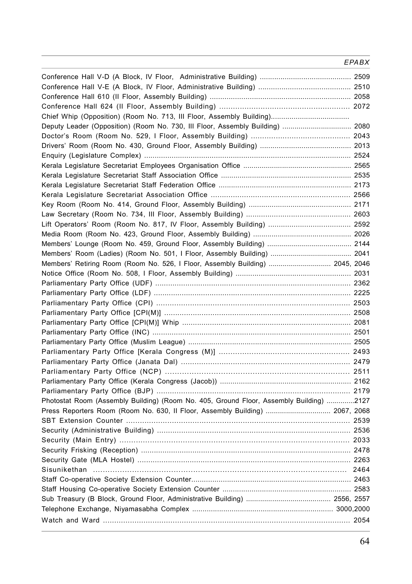#### *EPABX*

| Deputy Leader (Opposition) (Room No. 730, III Floor, Assembly Building)  2080           |  |
|-----------------------------------------------------------------------------------------|--|
|                                                                                         |  |
|                                                                                         |  |
|                                                                                         |  |
|                                                                                         |  |
|                                                                                         |  |
|                                                                                         |  |
|                                                                                         |  |
|                                                                                         |  |
|                                                                                         |  |
|                                                                                         |  |
|                                                                                         |  |
|                                                                                         |  |
|                                                                                         |  |
| Members' Retiring Room (Room No. 526, I Floor, Assembly Building)  2045, 2046           |  |
|                                                                                         |  |
|                                                                                         |  |
|                                                                                         |  |
|                                                                                         |  |
|                                                                                         |  |
|                                                                                         |  |
|                                                                                         |  |
|                                                                                         |  |
|                                                                                         |  |
|                                                                                         |  |
|                                                                                         |  |
|                                                                                         |  |
|                                                                                         |  |
| Photostat Room (Assembly Building) (Room No. 405, Ground Floor, Assembly Building) 2127 |  |
| Press Reporters Room (Room No. 630, Il Floor, Assembly Building)  2067, 2068            |  |
|                                                                                         |  |
|                                                                                         |  |
|                                                                                         |  |
|                                                                                         |  |
|                                                                                         |  |
|                                                                                         |  |
|                                                                                         |  |
|                                                                                         |  |
|                                                                                         |  |
|                                                                                         |  |
|                                                                                         |  |
|                                                                                         |  |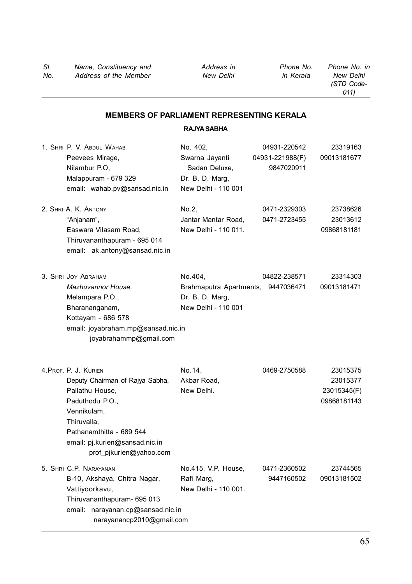*(STD Code-011)*

# **MEMBERS OF PARLIAMENT REPRESENTING KERALA**

## **RAJYA SABHA**

| 1. SHRI P. V. ABDUL WAHAB<br>Peevees Mirage,<br>Nilambur P.O.<br>Malappuram - 679 329<br>email: wahab.pv@sansad.nic.in<br>2. SHRI A. K. ANTONY                                                                        | No. 402,<br>Swarna Jayanti<br>Sadan Deluxe,<br>Dr. B. D. Marq.<br>New Delhi - 110 001<br>No.2, | 04931-220542<br>04931-221988(F)<br>9847020911<br>0471-2329303 | 23319163<br>09013181677<br>23738626                |
|-----------------------------------------------------------------------------------------------------------------------------------------------------------------------------------------------------------------------|------------------------------------------------------------------------------------------------|---------------------------------------------------------------|----------------------------------------------------|
| "Anjanam",<br>Easwara Vilasam Road,<br>Thiruvananthapuram - 695 014<br>email: ak.antony@sansad.nic.in                                                                                                                 | Jantar Mantar Road,<br>New Delhi - 110 011.                                                    | 0471-2723455                                                  | 23013612<br>09868181181                            |
| 3. SHRI JOY ABRAHAM<br>Mazhuvannor House,<br>Melampara P.O.,<br>Bharananganam,<br>Kottayam - 686 578<br>email: joyabraham.mp@sansad.nic.in<br>joyabrahammp@gmail.com                                                  | No.404,<br>Brahmaputra Apartments, 9447036471<br>Dr. B. D. Marq.<br>New Delhi - 110 001        | 04822-238571                                                  | 23314303<br>09013181471                            |
| 4. PROF. P. J. KURIEN<br>Deputy Chairman of Rajya Sabha,<br>Pallathu House,<br>Paduthodu P.O.,<br>Vennikulam,<br>Thiruvalla,<br>Pathanamthitta - 689 544<br>email: pj.kurien@sansad.nic.in<br>prof pjkurien@yahoo.com | No.14,<br>Akbar Road,<br>New Delhi.                                                            | 0469-2750588                                                  | 23015375<br>23015377<br>23015345(F)<br>09868181143 |
| 5. SHRI C.P. NARAYANAN<br>B-10, Akshaya, Chitra Nagar,<br>Vattiyoorkavu,<br>Thiruvananthapuram- 695 013<br>email: narayanan.cp@sansad.nic.in<br>narayanancp2010@gmail.com                                             | No.415, V.P. House,<br>Rafi Marg,<br>New Delhi - 110 001.                                      | 0471-2360502<br>9447160502                                    | 23744565<br>09013181502                            |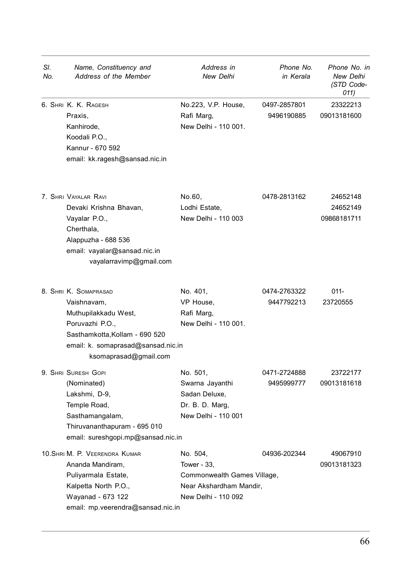| SI.<br>No. | Name, Constituency and<br>Address of the Member                                                                                                                                  | Address in<br>New Delhi                                                                                  | Phone No.<br>in Kerala     | Phone No. in<br>New Delhi<br>(STD Code-<br>011) |
|------------|----------------------------------------------------------------------------------------------------------------------------------------------------------------------------------|----------------------------------------------------------------------------------------------------------|----------------------------|-------------------------------------------------|
|            | 6. SHRI K. K. RAGESH<br>Praxis,<br>Kanhirode,<br>Koodali P.O.,<br>Kannur - 670 592<br>email: kk.ragesh@sansad.nic.in                                                             | No.223, V.P. House,<br>Rafi Marg,<br>New Delhi - 110 001.                                                | 0497-2857801<br>9496190885 | 23322213<br>09013181600                         |
|            | 7. SHRI VAYALAR RAVI<br>Devaki Krishna Bhavan,<br>Vayalar P.O.,<br>Cherthala,<br>Alappuzha - 688 536<br>email: vayalar@sansad.nic.in<br>vayalarravimp@gmail.com                  | No.60.<br>Lodhi Estate,<br>New Delhi - 110 003                                                           | 0478-2813162               | 24652148<br>24652149<br>09868181711             |
|            | 8. SHRI K. SOMAPRASAD<br>Vaishnavam,<br>Muthupilakkadu West,<br>Poruvazhi P.O.,<br>Sasthamkotta, Kollam - 690 520<br>email: k. somaprasad@sansad.nic.in<br>ksomaprasad@gmail.com | No. 401,<br>VP House,<br>Rafi Marg,<br>New Delhi - 110 001.                                              | 0474-2763322<br>9447792213 | $011 -$<br>23720555                             |
|            | 9. SHRI SURESH GOPI<br>(Nominated)<br>Lakshmi, D-9,<br>Temple Road,<br>Sasthamangalam,<br>Thiruvananthapuram - 695 010<br>email: sureshgopi.mp@sansad.nic.in                     | No. 501,<br>Swarna Jayanthi<br>Sadan Deluxe,<br>Dr. B. D. Marg.<br>New Delhi - 110 001                   | 0471-2724888<br>9495999777 | 23722177<br>09013181618                         |
|            | 10. SHRI M. P. VEERENDRA KUMAR<br>Ananda Mandiram.<br>Puliyarmala Estate,<br>Kalpetta North P.O.,<br>Wayanad - 673 122<br>email: mp.veerendra@sansad.nic.in                      | No. 504,<br>Tower - 33,<br>Commonwealth Games Village,<br>Near Akshardham Mandir,<br>New Delhi - 110 092 | 04936-202344               | 49067910<br>09013181323                         |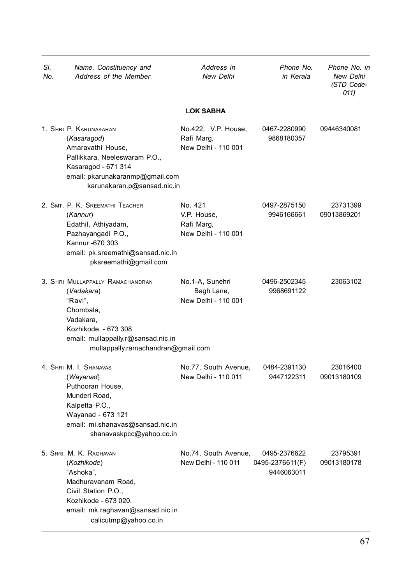| SI.<br>No. | Name, Constituency and<br>Address of the Member                                                                                                                                         | Address in<br>New Delhi                                     | Phone No.<br>in Kerala                        | Phone No. in<br>New Delhi<br>(STD Code-<br>011) |
|------------|-----------------------------------------------------------------------------------------------------------------------------------------------------------------------------------------|-------------------------------------------------------------|-----------------------------------------------|-------------------------------------------------|
|            |                                                                                                                                                                                         | <b>LOK SABHA</b>                                            |                                               |                                                 |
|            | 1. SHRI P. KARUNAKARAN<br>(Kasaragod)<br>Amaravathi House,<br>Pallikkara, Neeleswaram P.O.,<br>Kasaragod - 671 314<br>email: pkarunakaranmp@gmail.com<br>karunakaran.p@sansad.nic.in    | No.422, V.P. House,<br>Rafi Marg,<br>New Delhi - 110 001    | 0467-2280990<br>9868180357                    | 09446340081                                     |
|            | 2. SMT. P. K. SREEMATHI TEACHER<br>(Kannur)<br>Edathil, Athiyadam,<br>Pazhayangadi P.O.,<br>Kannur - 670 303<br>email: pk.sreemathi@sansad.nic.in<br>pksreemathi@gmail.com              | No. 421<br>V.P. House,<br>Rafi Marg,<br>New Delhi - 110 001 | 0497-2875150<br>9946166661                    | 23731399<br>09013869201                         |
|            | 3. SHRI MULLAPPALLY RAMACHANDRAN<br>(Vadakara)<br>"Ravi",<br>Chombala,<br>Vadakara,<br>Kozhikode. - 673 308<br>email: mullappally.r@sansad.nic.in<br>mullappally.ramachandran@gmail.com | No.1-A, Sunehri<br>Bagh Lane,<br>New Delhi - 110 001        | 0496-2502345<br>9968691122                    | 23063102                                        |
|            | 4. SHRI M. I. SHANAVAS<br>(Wayanad)<br>Puthooran House,<br>Munderi Road,<br>Kalpetta P.O.,<br>Wayanad - 673 121<br>email: mi.shanavas@sansad.nic.in<br>shanavaskpcc@yahoo.co.in         | No.77, South Avenue,<br>New Delhi - 110 011                 | 0484-2391130<br>9447122311                    | 23016400<br>09013180109                         |
|            | 5. SHRI M. K. RAGHAVAN<br>(Kozhikode)<br>"Ashoka",<br>Madhuravanam Road,<br>Civil Station P.O<br>Kozhikode - 673 020.<br>email: mk.raghavan@sansad.nic.in<br>calicutmp@yahoo.co.in      | No.74, South Avenue,<br>New Delhi - 110 011                 | 0495-2376622<br>0495-2376611(F)<br>9446063011 | 23795391<br>09013180178                         |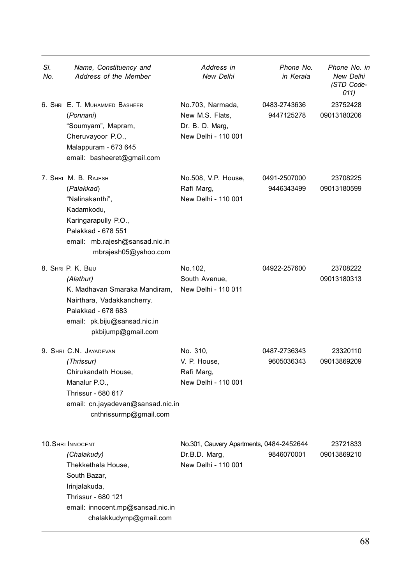| SI.<br>No. | Name, Constituency and<br>Address of the Member                                                                                                                                    | Address in<br><b>New Delhi</b>                                                   | Phone No.<br>in Kerala     | Phone No. in<br>New Delhi<br>(STD Code-<br>011) |
|------------|------------------------------------------------------------------------------------------------------------------------------------------------------------------------------------|----------------------------------------------------------------------------------|----------------------------|-------------------------------------------------|
|            | 6. SHRI E. T. MUHAMMED BASHEER<br>(Ponnani)<br>"Soumyam", Mapram,<br>Cheruvayoor P.O.,<br>Malappuram - 673 645<br>email: basheeret@gmail.com                                       | No.703, Narmada,<br>New M.S. Flats,<br>Dr. B. D. Marg.<br>New Delhi - 110 001    | 0483-2743636<br>9447125278 | 23752428<br>09013180206                         |
|            | 7. SHRI M. B. RAJESH<br>(Palakkad)<br>"Nalinakanthi",<br>Kadamkodu,<br>Karingarapully P.O.,<br>Palakkad - 678 551<br>email: mb.rajesh@sansad.nic.in<br>mbrajesh05@yahoo.com        | No.508, V.P. House,<br>Rafi Marg,<br>New Delhi - 110 001                         | 0491-2507000<br>9446343499 | 23708225<br>09013180599                         |
|            | 8. SHRI P. K. BIJU<br>(Alathur)<br>K. Madhavan Smaraka Mandiram,<br>Nairthara, Vadakkancherry,<br>Palakkad - 678 683<br>email: pk.biju@sansad.nic.in<br>pkbijump@gmail.com         | No.102,<br>South Avenue,<br>New Delhi - 110 011                                  | 04922-257600               | 23708222<br>09013180313                         |
|            | 9. SHRI C.N. JAYADEVAN<br>(Thrissur)<br>Chirukandath House,<br>Manalur P.O.,<br>Thrissur - 680 617<br>email: cn.jayadevan@sansad.nic.in<br>cnthrissurmp@gmail.com                  | No. 310,<br>V. P. House,<br>Rafi Marg,<br>New Delhi - 110 001                    | 0487-2736343<br>9605036343 | 23320110<br>09013869209                         |
|            | <b>10. SHRI INNOCENT</b><br>(Chalakudy)<br>Thekkethala House,<br>South Bazar,<br>Irinjalakuda,<br>Thrissur - 680 121<br>email: innocent.mp@sansad.nic.in<br>chalakkudymp@gmail.com | No.301, Cauvery Apartments, 0484-2452644<br>Dr.B.D. Marg,<br>New Delhi - 110 001 | 9846070001                 | 23721833<br>09013869210                         |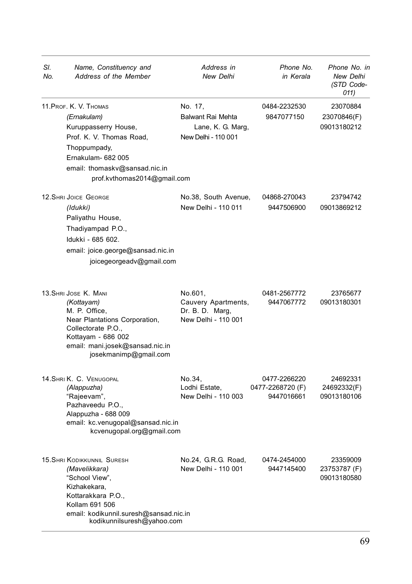| SI.<br>No. | Name, Constituency and<br>Address of the Member                                                                                                                                                       | Address in<br>New Delhi                                                  | Phone No.<br>in Kerala                         | Phone No. in<br>New Delhi<br>(STD Code-<br>011) |
|------------|-------------------------------------------------------------------------------------------------------------------------------------------------------------------------------------------------------|--------------------------------------------------------------------------|------------------------------------------------|-------------------------------------------------|
|            | 11. PROF. K. V. THOMAS<br>(Ernakulam)<br>Kuruppasserry House,<br>Prof. K. V. Thomas Road,<br>Thoppumpady,<br>Ernakulam- 682 005<br>email: thomaskv@sansad.nic.in<br>prof.kvthomas2014@gmail.com       | No. 17,<br>Balwant Rai Mehta<br>Lane, K. G. Marg,<br>New Delhi - 110 001 | 0484-2232530<br>9847077150                     | 23070884<br>23070846(F)<br>09013180212          |
|            | 12. SHRI JOICE GEORGE<br>(Idukki)<br>Paliyathu House,<br>Thadiyampad P.O.,<br>Idukki - 685 602.<br>email: joice.george@sansad.nic.in<br>joicegeorgeadv@gmail.com                                      | No.38, South Avenue,<br>New Delhi - 110 011                              | 04868-270043<br>9447506900                     | 23794742<br>09013869212                         |
|            | 13. SHRI JOSE K. MANI<br>(Kottayam)<br>M. P. Office,<br>Near Plantations Corporation,<br>Collectorate P.O.,<br>Kottayam - 686 002<br>email: mani.josek@sansad.nic.in<br>josekmanimp@gmail.com         | No.601,<br>Cauvery Apartments,<br>Dr. B. D. Marq,<br>New Delhi - 110 001 | 0481-2567772<br>9447067772                     | 23765677<br>09013180301                         |
|            | 14. SHRI K. C. VENUGOPAL<br>(Alappuzha)<br>"Rajeevam",<br>Pazhaveedu P.O.,<br>Alappuzha - 688 009<br>email: kc.venugopal@sansad.nic.in<br>kcvenugopal.org@gmail.com                                   | No.34,<br>Lodhi Estate,<br>New Delhi - 110 003                           | 0477-2266220<br>0477-2268720 (F)<br>9447016661 | 24692331<br>24692332(F)<br>09013180106          |
|            | <b>15. SHRI KODIKKUNNIL SURESH</b><br>(Mavelikkara)<br>"School View",<br>Kizhakekara,<br>Kottarakkara P.O.,<br>Kollam 691 506<br>email: kodikunnil.suresh@sansad.nic.in<br>kodikunnilsuresh@yahoo.com | No.24, G.R.G. Road,<br>New Delhi - 110 001                               | 0474-2454000<br>9447145400                     | 23359009<br>23753787 (F)<br>09013180580         |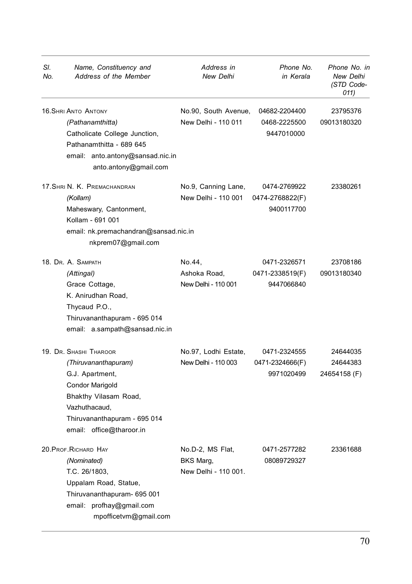| SI.<br>No. | Name, Constituency and<br>Address of the Member                                                                                                                                                   | Address in<br>New Delhi                               | Phone No.<br>in Kerala                        | Phone No. in<br>New Delhi<br>(STD Code-<br>011) |
|------------|---------------------------------------------------------------------------------------------------------------------------------------------------------------------------------------------------|-------------------------------------------------------|-----------------------------------------------|-------------------------------------------------|
|            | <b>16. SHRI ANTO ANTONY</b><br>(Pathanamthitta)<br>Catholicate College Junction,<br>Pathanamthitta - 689 645<br>email: anto.antony@sansad.nic.in<br>anto.antony@gmail.com                         | No.90, South Avenue,<br>New Delhi - 110 011           | 04682-2204400<br>0468-2225500<br>9447010000   | 23795376<br>09013180320                         |
|            | 17. SHRI N. K. PREMACHANDRAN<br>(Kollam)<br>Maheswary, Cantonment,<br>Kollam - 691 001<br>email: nk.premachandran@sansad.nic.in<br>nkprem07@gmail.com                                             | No.9, Canning Lane,<br>New Delhi - 110 001            | 0474-2769922<br>0474-2768822(F)<br>9400117700 | 23380261                                        |
|            | 18. Dr. A. SAMPATH<br>(Attingal)<br>Grace Cottage,<br>K. Anirudhan Road,<br>Thycaud P.O.,<br>Thiruvananthapuram - 695 014<br>email: a.sampath@sansad.nic.in                                       | No.44,<br>Ashoka Road,<br>New Delhi - 110 001         | 0471-2326571<br>0471-2338519(F)<br>9447066840 | 23708186<br>09013180340                         |
|            | 19. Dr. SHASHI THAROOR<br>(Thiruvananthapuram)<br>G.J. Apartment,<br><b>Condor Marigold</b><br>Bhakthy Vilasam Road,<br>Vazhuthacaud,<br>Thiruvananthapuram - 695 014<br>email: office@tharoor.in | No.97, Lodhi Estate,<br>New Delhi - 110 003           | 0471-2324555<br>0471-2324666(F)<br>9971020499 | 24644035<br>24644383<br>24654158 (F)            |
|            | 20. PROF. RICHARD HAY<br>(Nominated)<br>T.C. 26/1803,<br>Uppalam Road, Statue,<br>Thiruvananthapuram- 695 001<br>email: profhay@gmail.com<br>mpofficetvm@gmail.com                                | No.D-2, MS Flat,<br>BKS Marg,<br>New Delhi - 110 001. | 0471-2577282<br>08089729327                   | 23361688                                        |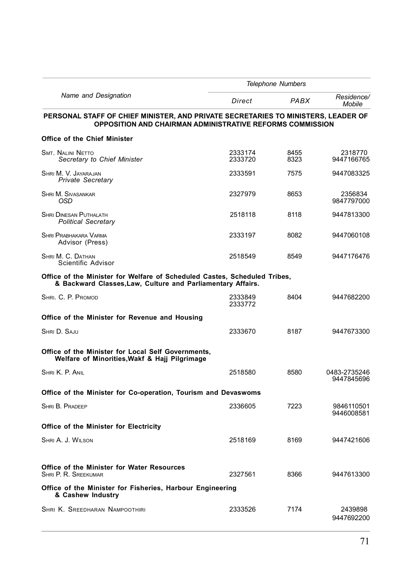|                                                                                                                                                | <b>Telephone Numbers</b> |              |                            |
|------------------------------------------------------------------------------------------------------------------------------------------------|--------------------------|--------------|----------------------------|
| Name and Designation                                                                                                                           | Direct                   | PABX         | Residence/<br>Mobile       |
| PERSONAL STAFF OF CHIEF MINISTER, AND PRIVATE SECRETARIES TO MINISTERS, LEADER OF<br>OPPOSITION AND CHAIRMAN ADMINISTRATIVE REFORMS COMMISSION |                          |              |                            |
| <b>Office of the Chief Minister</b>                                                                                                            |                          |              |                            |
| <b>SMT. NALINI NETTO</b><br>Secretary to Chief Minister                                                                                        | 2333174<br>2333720       | 8455<br>8323 | 2318770<br>9447166765      |
| SHRI M. V. JAYARAJAN<br><b>Private Secretary</b>                                                                                               | 2333591                  | 7575         | 9447083325                 |
| <b>SHRI M. SIVASANKAR</b><br>OSD                                                                                                               | 2327979                  | 8653         | 2356834<br>9847797000      |
| <b>SHRI DINESAN PUTHALATH</b><br><b>Political Secretary</b>                                                                                    | 2518118                  | 8118         | 9447813300                 |
| SHRI PRABHAKARA VARMA<br>Advisor (Press)                                                                                                       | 2333197                  | 8082         | 9447060108                 |
| SHRI M. C. DATHAN<br>Scientific Advisor                                                                                                        | 2518549                  | 8549         | 9447176476                 |
| Office of the Minister for Welfare of Scheduled Castes, Scheduled Tribes,<br>& Backward Classes, Law, Culture and Parliamentary Affairs.       |                          |              |                            |
| SHRI. C. P. PROMOD                                                                                                                             | 2333849<br>2333772       | 8404         | 9447682200                 |
| Office of the Minister for Revenue and Housing                                                                                                 |                          |              |                            |
| SHRI D. SAJU                                                                                                                                   | 2333670                  | 8187         | 9447673300                 |
| Office of the Minister for Local Self Governments,<br>Welfare of Minorities, Wakf & Hajj Pilgrimage                                            |                          |              |                            |
| SHRI K. P. ANIL                                                                                                                                | 2518580                  | 8580         | 0483-2735246<br>9447845696 |
| Office of the Minister for Co-operation, Tourism and Devaswoms                                                                                 |                          |              |                            |
| SHRI B. PRADEEP                                                                                                                                | 2336605                  | 7223         | 9846110501<br>9446008581   |
| Office of the Minister for Electricity                                                                                                         |                          |              |                            |
| SHRI A. J. WILSON                                                                                                                              | 2518169                  | 8169         | 9447421606                 |
| Office of the Minister for Water Resources<br>SHRI P. R. SREEKUMAR                                                                             | 2327561                  | 8366         | 9447613300                 |
| Office of the Minister for Fisheries, Harbour Engineering<br>& Cashew Industry                                                                 |                          |              |                            |
| SHRI K. SREEDHARAN NAMPOOTHIRI                                                                                                                 | 2333526                  | 7174         | 2439898<br>9447692200      |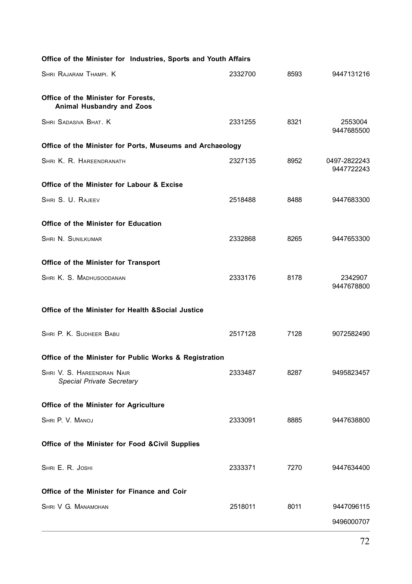| Office of the Minister for Industries, Sports and Youth Affairs  |         |      |                            |
|------------------------------------------------------------------|---------|------|----------------------------|
| SHRI RAJARAM THAMPI. K                                           | 2332700 | 8593 | 9447131216                 |
| Office of the Minister for Forests,<br>Animal Husbandry and Zoos |         |      |                            |
| SHRI SADASIVA BHAT. K                                            | 2331255 | 8321 | 2553004<br>9447685500      |
| Office of the Minister for Ports, Museums and Archaeology        |         |      |                            |
| SHRI K. R. HAREENDRANATH                                         | 2327135 | 8952 | 0497-2822243<br>9447722243 |
| Office of the Minister for Labour & Excise                       |         |      |                            |
| SHRI S. U. RAJEEV                                                | 2518488 | 8488 | 9447683300                 |
| Office of the Minister for Education                             |         |      |                            |
| <b>SHRI N. SUNILKUMAR</b>                                        | 2332868 | 8265 | 9447653300                 |
| Office of the Minister for Transport                             |         |      |                            |
| SHRI K. S. MADHUSOODANAN                                         | 2333176 | 8178 | 2342907<br>9447678800      |
| Office of the Minister for Health & Social Justice               |         |      |                            |
| SHRI P. K. SUDHEER BABU                                          | 2517128 | 7128 | 9072582490                 |
| Office of the Minister for Public Works & Registration           |         |      |                            |
| SHRI V. S. HAREENDRAN NAIR<br><b>Special Private Secretary</b>   | 2333487 | 8287 | 9495823457                 |
| Office of the Minister for Agriculture                           |         |      |                            |
| SHRI P. V. MANOJ                                                 | 2333091 | 8885 | 9447638800                 |
| Office of the Minister for Food & Civil Supplies                 |         |      |                            |
| SHRI E. R. JOSHI                                                 | 2333371 | 7270 | 9447634400                 |
| Office of the Minister for Finance and Coir                      |         |      |                            |
| SHRI V G. MANAMOHAN                                              | 2518011 | 8011 | 9447096115                 |
|                                                                  |         |      | 9496000707                 |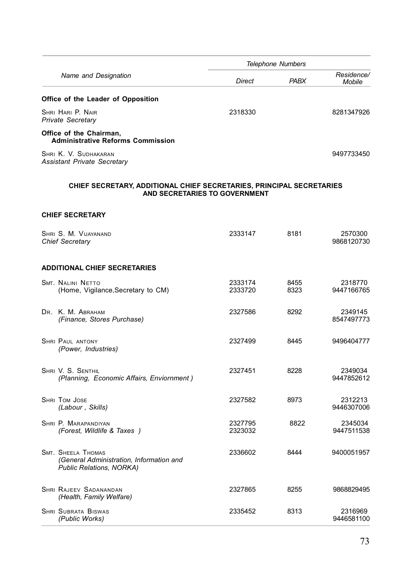|                      |                                                                                                       |                    | Telephone Numbers |                             |
|----------------------|-------------------------------------------------------------------------------------------------------|--------------------|-------------------|-----------------------------|
|                      | Name and Designation                                                                                  | <b>Direct</b>      | PABX              | Residence/<br><b>Mobile</b> |
|                      | Office of the Leader of Opposition                                                                    |                    |                   |                             |
|                      | SHRI HARI P. NAIR<br><b>Private Secretary</b>                                                         | 2318330            |                   | 8281347926                  |
|                      | Office of the Chairman,<br><b>Administrative Reforms Commission</b>                                   |                    |                   |                             |
|                      | SHRI K. V. SUDHAKARAN<br><b>Assistant Private Secretary</b>                                           |                    |                   | 9497733450                  |
|                      | CHIEF SECRETARY, ADDITIONAL CHIEF SECRETARIES, PRINCIPAL SECRETARIES<br>AND SECRETARIES TO GOVERNMENT |                    |                   |                             |
|                      | <b>CHIEF SECRETARY</b>                                                                                |                    |                   |                             |
|                      | SHRI S. M. VIJAYANAND<br><b>Chief Secretary</b>                                                       | 2333147            | 8181              | 2570300<br>9868120730       |
|                      | <b>ADDITIONAL CHIEF SECRETARIES</b>                                                                   |                    |                   |                             |
|                      | <b>SMT. NALINI NETTO</b><br>(Home, Vigilance, Secretary to CM)                                        | 2333174<br>2333720 | 8455<br>8323      | 2318770<br>9447166765       |
|                      | DR. K. M. ABRAHAM<br>(Finance, Stores Purchase)                                                       | 2327586            | 8292              | 2349145<br>8547497773       |
|                      | <b>SHRI PAUL ANTONY</b><br>(Power, Industries)                                                        | 2327499            | 8445              | 9496404777                  |
|                      | SHRI V. S. SENTHIL<br>(Planning, Economic Affairs, Enviornment)                                       | 2327451            | 8228              | 2349034<br>9447852612       |
| <b>SHRI TOM JOSE</b> | (Labour, Skills)                                                                                      | 2327582            | 8973              | 2312213<br>9446307006       |
|                      | SHRI P. MARAPANDIYAN<br>(Forest, Wildlife & Taxes)                                                    | 2327795<br>2323032 | 8822              | 2345034<br>9447511538       |
|                      | <b>SMT. SHEELA THOMAS</b><br>(General Administration, Information and<br>Public Relations, NORKA)     | 2336602            | 8444              | 9400051957                  |
|                      | <b>SHRI RAJEEV SADANANDAN</b><br>(Health, Family Welfare)                                             | 2327865            | 8255              | 9868829495                  |
|                      | <b>SHRI SUBRATA BISWAS</b><br>(Public Works)                                                          | 2335452            | 8313              | 2316969<br>9446581100       |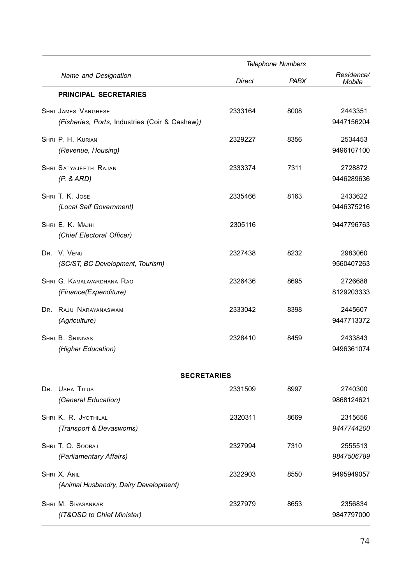|                                                                       | Telephone Numbers |      |                             |  |
|-----------------------------------------------------------------------|-------------------|------|-----------------------------|--|
| Name and Designation                                                  | <b>Direct</b>     | PABX | Residence/<br><b>Mobile</b> |  |
| <b>PRINCIPAL SECRETARIES</b>                                          |                   |      |                             |  |
| SHRI JAMES VARGHESE<br>(Fisheries, Ports, Industries (Coir & Cashew)) | 2333164           | 8008 | 2443351<br>9447156204       |  |
| SHRI P. H. KURIAN<br>(Revenue, Housing)                               | 2329227           | 8356 | 2534453<br>9496107100       |  |
| SHRI SATYAJEETH RAJAN<br>(P. & ARD)                                   | 2333374           | 7311 | 2728872<br>9446289636       |  |
| SHRI T. K. JOSE<br>(Local Self Government)                            | 2335466           | 8163 | 2433622<br>9446375216       |  |
| SHRI E. K. MAJHI<br>(Chief Electoral Officer)                         | 2305116           |      | 9447796763                  |  |
| DR. V. VENU<br>(SC/ST, BC Development, Tourism)                       | 2327438           | 8232 | 2983060<br>9560407263       |  |
| SHRI G. KAMALAVARDHANA RAO<br>(Finance(Expenditure)                   | 2326436           | 8695 | 2726688<br>8129203333       |  |
| DR. RAJU NARAYANASWAMI<br>(Agriculture)                               | 2333042           | 8398 | 2445607<br>9447713372       |  |
| SHRI B. SRINIVAS<br>(Higher Education)                                | 2328410           | 8459 | 2433843<br>9496361074       |  |
| <b>SECRETARIES</b>                                                    |                   |      |                             |  |
| DR. USHA TITUS<br>(General Education)                                 | 2331509           | 8997 | 2740300<br>9868124621       |  |
| SHRI K. R. JYOTHILAL<br>(Transport & Devaswoms)                       | 2320311           | 8669 | 2315656<br>9447744200       |  |
| SHRI T. O. SOORAJ<br>(Parliamentary Affairs)                          | 2327994           | 7310 | 2555513<br>9847506789       |  |
| SHRI X. ANIL<br>(Animal Husbandry, Dairy Development)                 | 2322903           | 8550 | 9495949057                  |  |
| <b>SHRI M. SIVASANKAR</b><br>(IT&OSD to Chief Minister)               | 2327979           | 8653 | 2356834<br>9847797000       |  |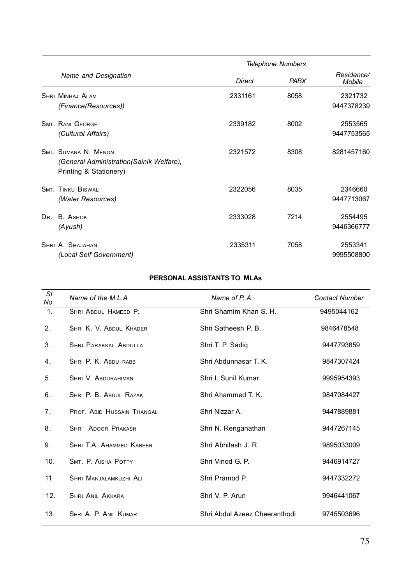|                |                                                                                            | <b>Telephone Numbers</b> |      |                       |
|----------------|--------------------------------------------------------------------------------------------|--------------------------|------|-----------------------|
|                | Name and Designation                                                                       | <b>Direct</b>            | PABX | Residence/<br>Mobile  |
|                | SHRI MINHAI ALAM<br>(Finance(Resources))                                                   | 2331161                  | 8058 | 2321732<br>9447378239 |
|                | <b>SMT RANI GEORGE</b><br>(Cultural Affairs)                                               | 2339182                  | 8002 | 2553565<br>9447753565 |
|                | SMT. SUMANA N. MENON<br>(General Administration(Sainik Welfare),<br>Printing & Stationery) | 2321572                  | 8308 | 8281457160            |
|                | <b>SMT TINKLI BISWAL</b><br>(Water Resources)                                              | 2322056                  | 8035 | 2346660<br>9447713067 |
| D <sub>R</sub> | R ASHOK<br>(Ayush)                                                                         | 2333028                  | 7214 | 2554495<br>9446366777 |
|                | SHRI A SHAJAHAN<br>(Local Self Government)                                                 | 2335311                  | 7058 | 2553341<br>9995508800 |

# **PERSONAL ASSISTANTS TO MLAs**

| SI.<br>No. | Name of the M <sub>1</sub> A | Name of P A                   | <b>Contact Number</b> |
|------------|------------------------------|-------------------------------|-----------------------|
| 1.         | SHRI ABDUL HAMEED P.         | Shri Shamim Khan S. H.        | 9495044162            |
| 2.         | SHRI K V ARDUI KHADER        | Shri Satheesh P B             | 9846478548            |
| 3.         | <b>SHRI PARAKKAL ABDULLA</b> | Shri T. P. Sadiq              | 9447793859            |
| 4.         | SHRI P. K. ABDU RABB         | Shri Abdunnasar T. K.         | 9847307424            |
| 5.         | SHRI V. ABDURAHIMAN          | Shri I. Sunil Kumar           | 9995954393            |
| 6.         | SHRI P B ARDUI RAZAK         | Shri Ahammed T K              | 9847084427            |
| 7.         | PROF. ABID HUSSAIN THANGAL   | Shri Nizzar A.                | 9447889881            |
| 8.         | SHRI ADOOR PRAKASH           | Shri N. Renganathan           | 9447267145            |
| 9.         | SHRI TA AHAMMED KAREER       | Shri Abhilash J. R.           | 9895033009            |
| 10.        | SMT. P. AISHA POTTY          | Shri Vinod G. P.              | 9446914727            |
| 11.        | SHRI MANJALAMKUZHI ALI       | Shri Pramod P.                | 9447332272            |
| 12.        | <b>SHRI ANIL AKKARA</b>      | Shri V. P. Arun               | 9946441067            |
| 13.        | SHRI A. P. ANIL KUMAR        | Shri Abdul Azeez Cheeranthodi | 9745503696            |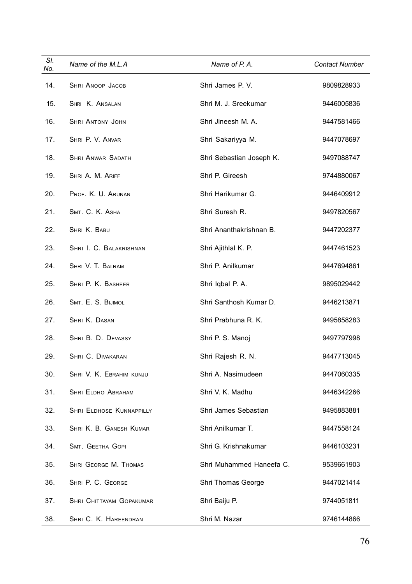| SI.<br>No. | Name of the M.L.A               | Name of P.A.             | <b>Contact Number</b> |
|------------|---------------------------------|--------------------------|-----------------------|
| 14.        | SHRI ANOOP JACOB                | Shri James P.V.          | 9809828933            |
| 15.        | SHRI K. ANSALAN                 | Shri M. J. Sreekumar     | 9446005836            |
| 16.        | <b>SHRI ANTONY JOHN</b>         | Shri Jineesh M. A.       | 9447581466            |
| 17.        | SHRI P. V. ANVAR                | Shri Sakariyya M.        | 9447078697            |
| 18.        | SHRI ANWAR SADATH               | Shri Sebastian Joseph K. | 9497088747            |
| 19.        | SHRI A. M. ARIFF                | Shri P. Gireesh          | 9744880067            |
| 20.        | PROF. K. U. ARUNAN              | Shri Harikumar G.        | 9446409912            |
| 21.        | SMT. C. K. ASHA                 | Shri Suresh R.           | 9497820567            |
| 22.        | SHRI K. BABU                    | Shri Ananthakrishnan B.  | 9447202377            |
| 23.        | SHRI I. C. BALAKRISHNAN         | Shri Ajithlal K. P.      | 9447461523            |
| 24.        | SHRI V. T. BALRAM               | Shri P. Anilkumar        | 9447694861            |
| 25.        | SHRI P. K. BASHEER              | Shri Iqbal P.A.          | 9895029442            |
| 26.        | SMT. E. S. BIJIMOL              | Shri Santhosh Kumar D.   | 9446213871            |
| 27.        | SHRI K. DASAN                   | Shri Prabhuna R. K.      | 9495858283            |
| 28.        | SHRI B. D. DEVASSY              | Shri P. S. Manoj         | 9497797998            |
| 29.        | SHRI C. DIVAKARAN               | Shri Rajesh R. N.        | 9447713045            |
| 30.        | SHRI V. K. EBRAHIM KUNJU        | Shri A. Nasimudeen       | 9447060335            |
| 31.        | SHRI ELDHO ABRAHAM              | Shri V. K. Madhu         | 9446342266            |
| 32.        | <b>SHRI ELDHOSE KUNNAPPILLY</b> | Shri James Sebastian     | 9495883881            |
| 33.        | SHRI K. B. GANESH KUMAR         | Shri Anilkumar T.        | 9447558124            |
| 34.        | SMT. GEETHA GOPI                | Shri G. Krishnakumar     | 9446103231            |
| 35.        | SHRI GEORGE M. THOMAS           | Shri Muhammed Haneefa C. | 9539661903            |
| 36.        | SHRI P. C. GEORGE               | Shri Thomas George       | 9447021414            |
| 37.        | SHRI CHITTAYAM GOPAKUMAR        | Shri Baiju P.            | 9744051811            |
| 38.        | SHRI C. K. HAREENDRAN           | Shri M. Nazar            | 9746144866            |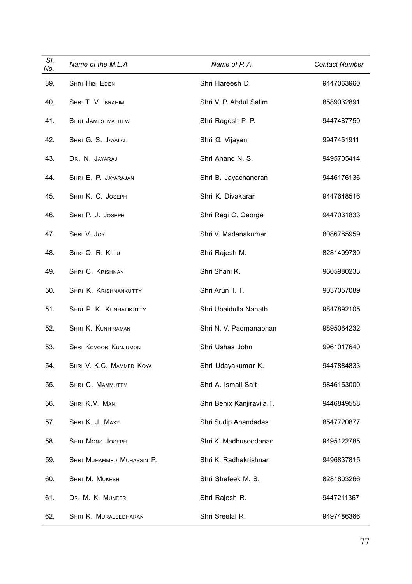| SI.<br>No. | Name of the M.L.A         | Name of P.A.              | <b>Contact Number</b> |
|------------|---------------------------|---------------------------|-----------------------|
| 39.        | SHRI HIBI EDEN            | Shri Hareesh D.           | 9447063960            |
| 40.        | SHRI T. V. IBRAHIM        | Shri V. P. Abdul Salim    | 8589032891            |
| 41.        | SHRI JAMES MATHEW         | Shri Ragesh P. P.         | 9447487750            |
| 42.        | SHRI G. S. JAYALAL        | Shri G. Vijayan           | 9947451911            |
| 43.        | DR. N. JAYARAJ            | Shri Anand N. S.          | 9495705414            |
| 44.        | SHRI E. P. JAYARAJAN      | Shri B. Jayachandran      | 9446176136            |
| 45.        | SHRI K. C. JOSEPH         | Shri K. Divakaran         | 9447648516            |
| 46.        | SHRI P. J. JOSEPH         | Shri Regi C. George       | 9447031833            |
| 47.        | SHRI V. JOY               | Shri V. Madanakumar       | 8086785959            |
| 48.        | SHRI O. R. KELU           | Shri Rajesh M.            | 8281409730            |
| 49.        | SHRI C. KRISHNAN          | Shri Shani K.             | 9605980233            |
| 50.        | SHRI K. KRISHNANKUTTY     | Shri Arun T. T.           | 9037057089            |
| 51.        | SHRI P. K. KUNHALIKUTTY   | Shri Ubaidulla Nanath     | 9847892105            |
| 52.        | SHRI K. KUNHIRAMAN        | Shri N. V. Padmanabhan    | 9895064232            |
| 53.        | SHRI KOVOOR KUNJUMON      | Shri Ushas John           | 9961017640            |
| 54.        | SHRI V. K.C. MAMMED KOYA  | Shri Udayakumar K.        | 9447884833            |
| 55.        | SHRI C. MAMMUTTY          | Shri A. Ismail Sait       | 9846153000            |
| 56.        | SHRI K.M. MANI            | Shri Benix Kanjiravila T. | 9446849558            |
| 57.        | SHRI K. J. MAXY           | Shri Sudip Anandadas      | 8547720877            |
| 58.        | SHRI MONS JOSEPH          | Shri K. Madhusoodanan     | 9495122785            |
| 59.        | SHRI MUHAMMED MUHASSIN P. | Shri K. Radhakrishnan     | 9496837815            |
| 60.        | SHRI M. MUKESH            | Shri Shefeek M. S.        | 8281803266            |
| 61.        | DR. M. K. MUNEER          | Shri Rajesh R.            | 9447211367            |
| 62.        | SHRI K. MURALEEDHARAN     | Shri Sreelal R.           | 9497486366            |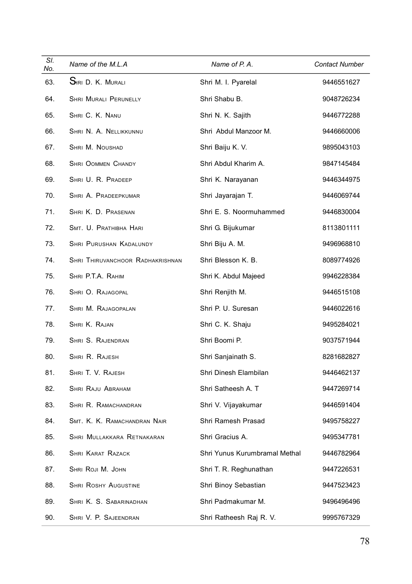| SI.<br>No. | Name of the M.L.A                       | Name of P.A.                  | <b>Contact Number</b> |
|------------|-----------------------------------------|-------------------------------|-----------------------|
| 63.        | SIRI D. K. MURALI                       | Shri M. I. Pyarelal           | 9446551627            |
| 64.        | <b>SHRI MURALI PERUNELLY</b>            | Shri Shabu B.                 | 9048726234            |
| 65.        | SHRI C. K. NANU                         | Shri N. K. Sajith             | 9446772288            |
| 66.        | SHRI N. A. NELLIKKUNNU                  | Shri Abdul Manzoor M.         | 9446660006            |
| 67.        | SHRI M. NOUSHAD                         | Shri Baiju K. V.              | 9895043103            |
| 68.        | <b>SHRI OOMMEN CHANDY</b>               | Shri Abdul Kharim A.          | 9847145484            |
| 69.        | SHRI U. R. PRADEEP                      | Shri K. Narayanan             | 9446344975            |
| 70.        | SHRI A. PRADEEPKUMAR                    | Shri Jayarajan T.             | 9446069744            |
| 71.        | SHRI K. D. PRASENAN                     | Shri E. S. Noormuhammed       | 9446830004            |
| 72.        | SMT. U. PRATHIBHA HARI                  | Shri G. Bijukumar             | 8113801111            |
| 73.        | SHRI PURUSHAN KADALUNDY                 | Shri Biju A. M.               | 9496968810            |
| 74.        | <b>SHRI THIRUVANCHOOR RADHAKRISHNAN</b> | Shri Blesson K. B.            | 8089774926            |
| 75.        | SHRI P.T.A. RAHIM                       | Shri K. Abdul Majeed          | 9946228384            |
| 76.        | SHRI O. RAJAGOPAL                       | Shri Renjith M.               | 9446515108            |
| 77.        | SHRI M. RAJAGOPALAN                     | Shri P. U. Suresan            | 9446022616            |
| 78.        | SHRI K. RAJAN                           | Shri C. K. Shaju              | 9495284021            |
| 79.        | SHRI S. RAJENDRAN                       | Shri Boomi P.                 | 9037571944            |
| 80.        | SHRI R. RAJESH                          | Shri Sanjainath S.            | 8281682827            |
| 81.        | SHRI T. V. RAJESH                       | Shri Dinesh Elambilan         | 9446462137            |
| 82.        | SHRI RAJU ABRAHAM                       | Shri Satheesh A. T            | 9447269714            |
| 83.        | SHRI R. RAMACHANDRAN                    | Shri V. Vijayakumar           | 9446591404            |
| 84.        | SMT. K. K. RAMACHANDRAN NAIR            | Shri Ramesh Prasad            | 9495758227            |
| 85.        | SHRI MULLAKKARA RETNAKARAN              | Shri Gracius A.               | 9495347781            |
| 86.        | <b>SHRI KARAT RAZACK</b>                | Shri Yunus Kurumbramal Methal | 9446782964            |
| 87.        | SHRI ROJI M. JOHN                       | Shri T. R. Reghunathan        | 9447226531            |
| 88.        | <b>SHRI ROSHY AUGUSTINE</b>             | Shri Binoy Sebastian          | 9447523423            |
| 89.        | SHRI K. S. SABARINADHAN                 | Shri Padmakumar M.            | 9496496496            |
| 90.        | SHRI V. P. SAJEENDRAN                   | Shri Ratheesh Raj R. V.       | 9995767329            |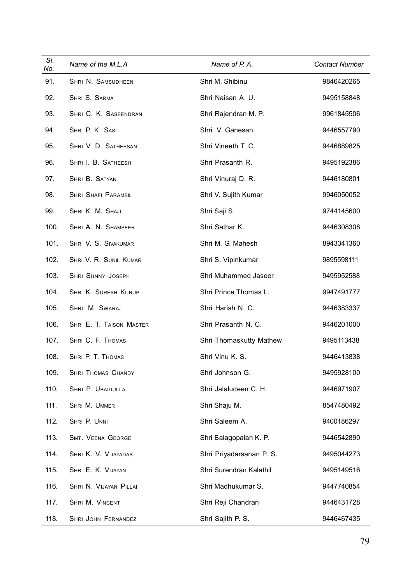| SI.<br>No. | Name of the M.L.A          | Name of P.A.             | <b>Contact Number</b> |
|------------|----------------------------|--------------------------|-----------------------|
| 91.        | SHRI N. SAMSUDHEEN         | Shri M. Shibinu          | 9846420265            |
| 92.        | SHRI S. SARMA              | Shri Naisan A. U.        | 9495158848            |
| 93.        | SHRI C. K. SASEENDRAN      | Shri Rajendran M. P.     | 9961845506            |
| 94.        | SHRI P. K. SASI            | Shri V. Ganesan          | 9446557790            |
| 95.        | SHRI V. D. SATHEESAN       | Shri Vineeth T. C.       | 9446889825            |
| 96.        | SHRI I. B. SATHEESH        | Shri Prasanth R.         | 9495192386            |
| 97.        | SHRI B. SATYAN             | Shri Vinuraj D. R.       | 9446180801            |
| 98.        | <b>SHRI SHAFI PARAMBIL</b> | Shri V. Sujith Kumar     | 9946050052            |
| 99.        | SHRI K. M. SHAJI           | Shri Saji S.             | 9744145600            |
| 100.       | SHRI A. N. SHAMSEER        | Shri Sathar K.           | 9446308308            |
| 101.       | SHRI V. S. SIVAKUMAR       | Shri M. G. Mahesh        | 8943341360            |
| 102.       | SHRI V. R. SUNIL KUMAR     | Shri S. Vipinkumar       | 9895598111            |
| 103.       | <b>SHRI SUNNY JOSEPH</b>   | Shri Muhammed Jaseer     | 9495952588            |
| 104.       | SHRI K. SURESH KURUP       | Shri Prince Thomas L.    | 9947491777            |
| 105.       | SHRI. M. SWARAJ            | Shri Harish N. C.        | 9446383337            |
| 106.       | SHRI E. T. TAISON MASTER   | Shri Prasanth N. C.      | 9446201000            |
| 107.       | SHRI C. F. THOMAS          | Shri Thomaskutty Mathew  | 9495113438            |
| 108.       | SHRI P. T. THOMAS          | Shri Vinu K. S.          | 9446413838            |
| 109.       | <b>SHRI THOMAS CHANDY</b>  | Shri Johnson G.          | 9495928100            |
| 110.       | SHRI P. UBAIDULLA          | Shri Jalaludeen C. H.    | 9446971907            |
| 111.       | SHRI M. UMMER              | Shri Shaju M.            | 8547480492            |
| 112.       | SHRI P. UNNI               | Shri Saleem A.           | 9400186297            |
| 113.       | <b>SMT. VEENA GEORGE</b>   | Shri Balagopalan K. P.   | 9446542890            |
| 114.       | SHRI K. V. VIJAYADAS       | Shri Priyadarsanan P. S. | 9495044273            |
| 115.       | SHRI E. K. VIJAYAN         | Shri Surendran Kalathil  | 9495149516            |
| 116.       | SHRI N. VIJAYAN PILLAI     | Shri Madhukumar S.       | 9447740854            |
| 117.       | SHRI M. VINCENT            | Shri Reji Chandran       | 9446431728            |
| 118.       | SHRI JOHN FERNANDEZ        | Shri Sajith P. S.        | 9446467435            |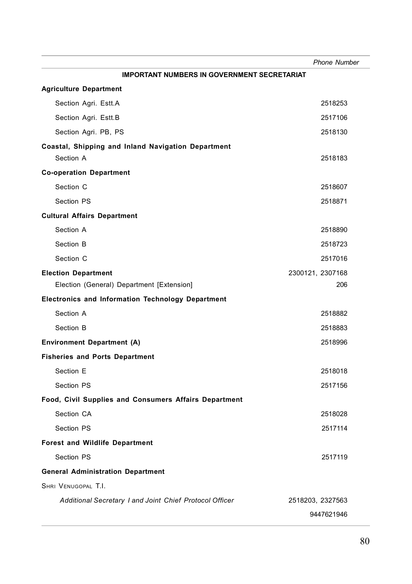|                                                          | <b>Phone Number</b> |
|----------------------------------------------------------|---------------------|
| <b>IMPORTANT NUMBERS IN GOVERNMENT SECRETARIAT</b>       |                     |
| <b>Agriculture Department</b>                            |                     |
| Section Agri. Estt.A                                     | 2518253             |
| Section Agri. Estt.B                                     | 2517106             |
| Section Agri. PB, PS                                     | 2518130             |
| Coastal, Shipping and Inland Navigation Department       |                     |
| Section A                                                | 2518183             |
| <b>Co-operation Department</b>                           |                     |
| Section C                                                | 2518607             |
| Section PS                                               | 2518871             |
| <b>Cultural Affairs Department</b>                       |                     |
| Section A                                                | 2518890             |
| Section B                                                | 2518723             |
| Section C                                                | 2517016             |
| <b>Election Department</b>                               | 2300121, 2307168    |
| Election (General) Department [Extension]                | 206                 |
| <b>Electronics and Information Technology Department</b> |                     |
| Section A                                                | 2518882             |
| Section B                                                | 2518883             |
| <b>Environment Department (A)</b>                        | 2518996             |
| <b>Fisheries and Ports Department</b>                    |                     |
| Section E                                                | 2518018             |
| Section PS                                               | 2517156             |
| Food, Civil Supplies and Consumers Affairs Department    |                     |
| Section CA                                               | 2518028             |
| Section PS                                               | 2517114             |
| <b>Forest and Wildlife Department</b>                    |                     |
| Section PS                                               | 2517119             |
| <b>General Administration Department</b>                 |                     |
| SHRI VENUGOPAL T.I.                                      |                     |
| Additional Secretary I and Joint Chief Protocol Officer  | 2518203, 2327563    |
|                                                          | 9447621946          |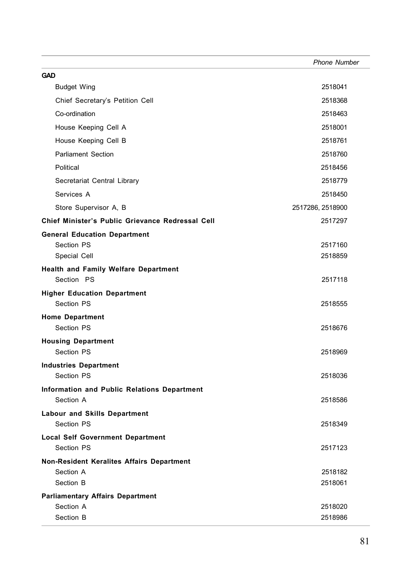|                                                      | <b>Phone Number</b> |
|------------------------------------------------------|---------------------|
| <b>GAD</b>                                           |                     |
| <b>Budget Wing</b>                                   | 2518041             |
| Chief Secretary's Petition Cell                      | 2518368             |
| Co-ordination                                        | 2518463             |
| House Keeping Cell A                                 | 2518001             |
| House Keeping Cell B                                 | 2518761             |
| <b>Parliament Section</b>                            | 2518760             |
| Political                                            | 2518456             |
| Secretariat Central Library                          | 2518779             |
| Services A                                           | 2518450             |
| Store Supervisor A, B                                | 2517286, 2518900    |
| Chief Minister's Public Grievance Redressal Cell     | 2517297             |
| <b>General Education Department</b>                  |                     |
| Section PS                                           | 2517160             |
| Special Cell                                         | 2518859             |
| Health and Family Welfare Department                 |                     |
| Section PS                                           | 2517118             |
| <b>Higher Education Department</b><br>Section PS     |                     |
|                                                      | 2518555             |
| <b>Home Department</b><br>Section PS                 | 2518676             |
| <b>Housing Department</b>                            |                     |
| Section PS                                           | 2518969             |
| <b>Industries Department</b>                         |                     |
| Section PS                                           | 2518036             |
| Information and Public Relations Department          |                     |
| Section A                                            | 2518586             |
| Labour and Skills Department                         |                     |
| Section PS                                           | 2518349             |
| <b>Local Self Government Department</b>              |                     |
| Section PS                                           | 2517123             |
| Non-Resident Keralites Affairs Department            |                     |
| Section A<br>Section B                               | 2518182<br>2518061  |
|                                                      |                     |
| <b>Parliamentary Affairs Department</b><br>Section A | 2518020             |
| Section B                                            | 2518986             |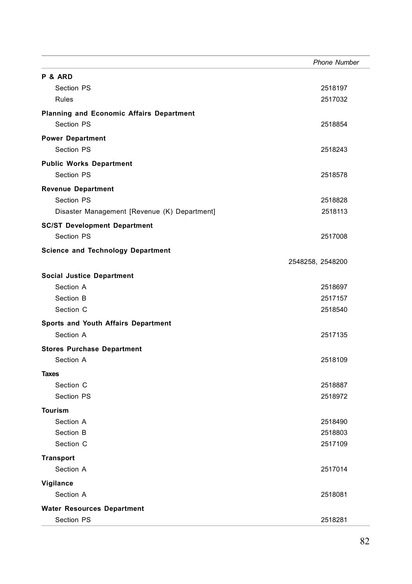|                                                 | <b>Phone Number</b> |
|-------------------------------------------------|---------------------|
| P & ARD                                         |                     |
| Section PS                                      | 2518197             |
| <b>Rules</b>                                    | 2517032             |
| <b>Planning and Economic Affairs Department</b> |                     |
| Section PS                                      | 2518854             |
| <b>Power Department</b>                         |                     |
| Section PS                                      | 2518243             |
| <b>Public Works Department</b>                  |                     |
| Section PS                                      | 2518578             |
| <b>Revenue Department</b>                       |                     |
| Section PS                                      | 2518828             |
| Disaster Management [Revenue (K) Department]    | 2518113             |
| <b>SC/ST Development Department</b>             |                     |
| Section PS                                      | 2517008             |
| <b>Science and Technology Department</b>        |                     |
|                                                 | 2548258, 2548200    |
| Social Justice Department                       |                     |
| Section A                                       | 2518697             |
| Section B                                       | 2517157             |
| Section C                                       | 2518540             |
| Sports and Youth Affairs Department             |                     |
| Section A                                       | 2517135             |
| <b>Stores Purchase Department</b>               |                     |
| Section A                                       | 2518109             |
| <b>Taxes</b>                                    |                     |
| Section C                                       | 2518887             |
| Section PS                                      | 2518972             |
| <b>Tourism</b>                                  |                     |
| Section A                                       | 2518490             |
| Section B                                       | 2518803             |
| Section C                                       | 2517109             |
| <b>Transport</b>                                |                     |
| Section A                                       | 2517014             |
| Vigilance                                       |                     |
| Section A                                       | 2518081             |
| <b>Water Resources Department</b>               |                     |
| Section PS                                      | 2518281             |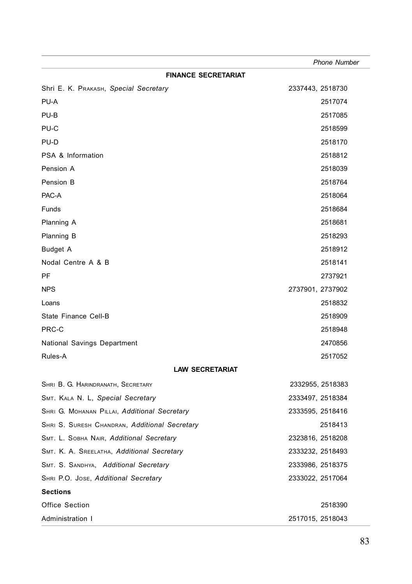|                                               | <b>Phone Number</b> |
|-----------------------------------------------|---------------------|
| <b>FINANCE SECRETARIAT</b>                    |                     |
| Shri E. K. PRAKASH, Special Secretary         | 2337443, 2518730    |
| PU-A                                          | 2517074             |
| PU-B                                          | 2517085             |
| PU-C                                          | 2518599             |
| PU-D                                          | 2518170             |
| PSA & Information                             | 2518812             |
| Pension A                                     | 2518039             |
| Pension B                                     | 2518764             |
| PAC-A                                         | 2518064             |
| Funds                                         | 2518684             |
| Planning A                                    | 2518681             |
| Planning B                                    | 2518293             |
| <b>Budget A</b>                               | 2518912             |
| Nodal Centre A & B                            | 2518141             |
| PF                                            | 2737921             |
| <b>NPS</b>                                    | 2737901, 2737902    |
| Loans                                         | 2518832             |
| State Finance Cell-B                          | 2518909             |
| PRC-C                                         | 2518948             |
| National Savings Department                   | 2470856             |
| Rules-A                                       | 2517052             |
| <b>LAW SECRETARIAT</b>                        |                     |
| SHRI B. G. HARINDRANATH, SECRETARY            | 2332955, 2518383    |
| SMT. KALA N. L, Special Secretary             | 2333497, 2518384    |
| SHRI G. MOHANAN PILLAI, Additional Secretary  | 2333595, 2518416    |
| SHRI S. SURESH CHANDRAN, Additional Secretary | 2518413             |
| SMT. L. SOBHA NAIR, Additional Secretary      | 2323816, 2518208    |
| SMT. K. A. SREELATHA, Additional Secretary    | 2333232, 2518493    |
| SMT. S. SANDHYA, Additional Secretary         | 2333986, 2518375    |
| SHRI P.O. JOSE, Additional Secretary          | 2333022, 2517064    |
| <b>Sections</b>                               |                     |
| Office Section                                | 2518390             |
| Administration I                              | 2517015, 2518043    |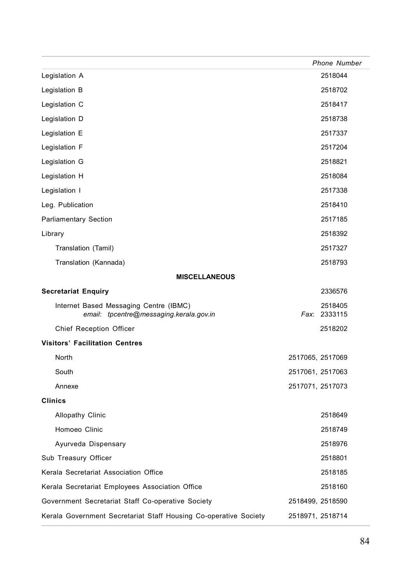|                                                                                   | <b>Phone Number</b>     |
|-----------------------------------------------------------------------------------|-------------------------|
| Legislation A                                                                     | 2518044                 |
| Legislation B                                                                     | 2518702                 |
| Legislation C                                                                     | 2518417                 |
| Legislation D                                                                     | 2518738                 |
| Legislation E                                                                     | 2517337                 |
| Legislation F                                                                     | 2517204                 |
| Legislation G                                                                     | 2518821                 |
| Legislation H                                                                     | 2518084                 |
| Legislation I                                                                     | 2517338                 |
| Leg. Publication                                                                  | 2518410                 |
| <b>Parliamentary Section</b>                                                      | 2517185                 |
| Library                                                                           | 2518392                 |
| Translation (Tamil)                                                               | 2517327                 |
| Translation (Kannada)                                                             | 2518793                 |
| <b>MISCELLANEOUS</b>                                                              |                         |
| <b>Secretariat Enquiry</b>                                                        | 2336576                 |
| Internet Based Messaging Centre (IBMC)<br>email: tpcentre@messaging.kerala.gov.in | 2518405<br>Fax: 2333115 |
| <b>Chief Reception Officer</b>                                                    | 2518202                 |
| <b>Visitors' Facilitation Centres</b>                                             |                         |
| North                                                                             | 2517065, 2517069        |
| South                                                                             | 2517061, 2517063        |
| Annexe                                                                            | 2517071, 2517073        |
| <b>Clinics</b>                                                                    |                         |
| Allopathy Clinic                                                                  | 2518649                 |
| Homoeo Clinic                                                                     | 2518749                 |
| Ayurveda Dispensary                                                               | 2518976                 |
| Sub Treasury Officer                                                              | 2518801                 |
| Kerala Secretariat Association Office                                             | 2518185                 |
| Kerala Secretariat Employees Association Office                                   | 2518160                 |
| Government Secretariat Staff Co-operative Society                                 | 2518499, 2518590        |
| Kerala Government Secretariat Staff Housing Co-operative Society                  | 2518971, 2518714        |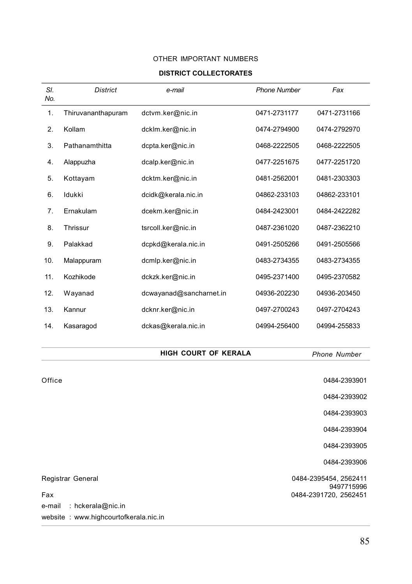## OTHER IMPORTANT NUMBERS

### **DISTRICT COLLECTORATES**

| SI.<br>No.           | <b>District</b>    | e-mail                  | <b>Phone Number</b> | Fax                 |
|----------------------|--------------------|-------------------------|---------------------|---------------------|
| 1.                   | Thiruvananthapuram | dctvm.ker@nic.in        | 0471-2731177        | 0471-2731166        |
| 2.                   | Kollam             | dcklm.ker@nic.in        | 0474-2794900        | 0474-2792970        |
| 3.                   | Pathanamthitta     | dcpta.ker@nic.in        | 0468-2222505        | 0468-2222505        |
| 4.                   | Alappuzha          | dcalp.ker@nic.in        | 0477-2251675        | 0477-2251720        |
| 5.                   | Kottayam           | dcktm.ker@nic.in        | 0481-2562001        | 0481-2303303        |
| 6.                   | Idukki             | dcidk@kerala.nic.in     | 04862-233103        | 04862-233101        |
| 7.                   | Ernakulam          | dcekm.ker@nic.in        | 0484-2423001        | 0484-2422282        |
| 8.                   | Thrissur           | tsrcoll.ker@nic.in      | 0487-2361020        | 0487-2362210        |
| 9.                   | Palakkad           | dcpkd@kerala.nic.in     | 0491-2505266        | 0491-2505566        |
| 10.                  | Malappuram         | dcmlp.ker@nic.in        | 0483-2734355        | 0483-2734355        |
| 11.                  | Kozhikode          | dckzk.ker@nic.in        | 0495-2371400        | 0495-2370582        |
| 12.                  | Wayanad            | dcwayanad@sancharnet.in | 04936-202230        | 04936-203450        |
| 13.                  | Kannur             | dcknr.ker@nic.in        | 0497-2700243        | 0497-2704243        |
| 14.                  | Kasaragod          | dckas@kerala.nic.in     | 04994-256400        | 04994-255833        |
|                      |                    |                         |                     |                     |
| HIGH COURT OF KERALA |                    |                         |                     | <b>Phone Number</b> |

| Office                      | 0484-2393901                        |
|-----------------------------|-------------------------------------|
|                             | 0484-2393902                        |
|                             | 0484-2393903                        |
|                             | 0484-2393904                        |
|                             | 0484-2393905                        |
|                             | 0484-2393906                        |
| Registrar General           | 0484-2395454, 2562411<br>9497715996 |
| Fax                         | 0484-2391720, 2562451               |
| : hckerala@nic.in<br>e-mail |                                     |
|                             |                                     |

website : www.highcourtofkerala.nic.in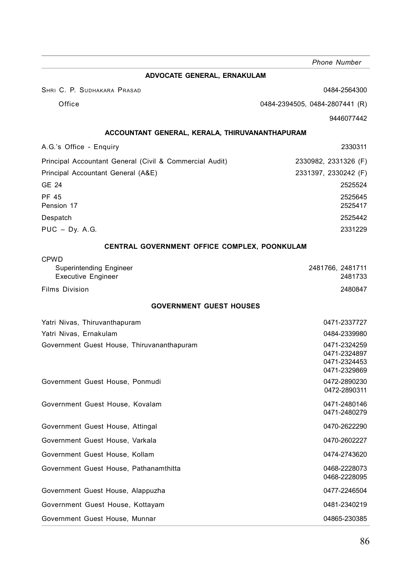**ADVOCATE GENERAL, ERNAKULAM** SHRI C. P. SUDHAKARA PRASAD **0484-2564300** Office 0484-2394505, 0484-2807441 (R) 9446077442 **ACCOUNTANT GENERAL, KERALA, THIRUVANANTHAPURAM** A.G.'s Office - Enquiry 2330311 Principal Accountant General (Civil & Commercial Audit) 2330982, 2331326 (F) Principal Accountant General (A&E) 2331397, 2330242 (F) GE 24 2525524 PF 45 2525645 Pension 17 2525417 Despatch 2525442 PUC – Dy. A.G. 2331229 **CENTRAL GOVERNMENT OFFICE COMPLEX, POONKULAM** CPWD Superintending Engineer 2481766, 2481711<br>
Executive Engineer 2481733 Executive Engineer Films Division 2480847 **GOVERNMENT GUEST HOUSES** Yatri Nivas, Thiruvanthapuram 0471-2337727 Yatri Nivas, Ernakulam 0484-2339980 Government Guest House, Thiruvananthapuram and the control of the control of the 0471-2324259 0471-2324897 0471-2324453 0471-2329869 Government Guest House, Ponmudi and Controller and Controller and Controller and O472-2890230 0472-2890311 Government Guest House, Kovalam **0471-2480146** 0471-2480279 Government Guest House, Attingal 0470-2622290 Government Guest House, Varkala 0470-2602227 Government Guest House, Kollam **Canadian Collam Contract Collam Collam Canadian Collam Collam Collam Collam Coll** Government Guest House, Pathanamthitta **COVER 1988-2228073** 0468-2228073 0468-2228095 Government Guest House, Alappuzha 0477-2246504 Government Guest House, Kottayam **0481-2340219** 0481-2340219 Government Guest House, Munnar **Canadian Strutter and Covernment Guest House**, Munnar **04865-230385**  *Phone Number*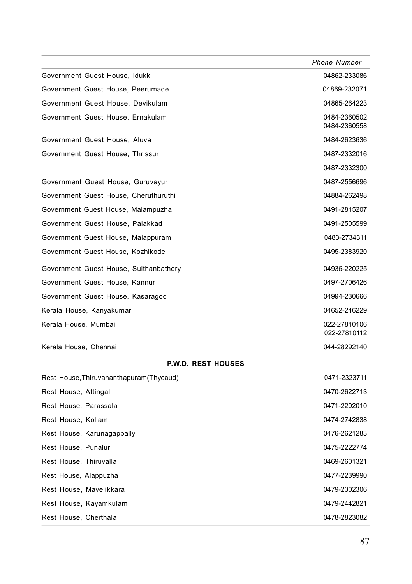|                                          | <b>Phone Number</b>          |
|------------------------------------------|------------------------------|
| Government Guest House, Idukki           | 04862-233086                 |
| Government Guest House, Peerumade        | 04869-232071                 |
| Government Guest House, Devikulam        | 04865-264223                 |
| Government Guest House, Ernakulam        | 0484-2360502<br>0484-2360558 |
| Government Guest House, Aluva            | 0484-2623636                 |
| Government Guest House, Thrissur         | 0487-2332016                 |
|                                          | 0487-2332300                 |
| Government Guest House, Guruvayur        | 0487-2556696                 |
| Government Guest House, Cheruthuruthi    | 04884-262498                 |
| Government Guest House, Malampuzha       | 0491-2815207                 |
| Government Guest House, Palakkad         | 0491-2505599                 |
| Government Guest House, Malappuram       | 0483-2734311                 |
| Government Guest House, Kozhikode        | 0495-2383920                 |
| Government Guest House, Sulthanbathery   | 04936-220225                 |
| Government Guest House, Kannur           | 0497-2706426                 |
| Government Guest House, Kasaragod        | 04994-230666                 |
| Kerala House, Kanyakumari                | 04652-246229                 |
| Kerala House, Mumbai                     | 022-27810106<br>022-27810112 |
| Kerala House, Chennai                    | 044-28292140                 |
| <b>P.W.D. REST HOUSES</b>                |                              |
| Rest House, Thiruvananthapuram (Thycaud) | 0471-2323711                 |
| Rest House, Attingal                     | 0470-2622713                 |
| Rest House, Parassala                    | 0471-2202010                 |
| Rest House, Kollam                       | 0474-2742838                 |
| Rest House, Karunagappally               | 0476-2621283                 |
| Rest House, Punalur                      | 0475-2222774                 |
| Rest House, Thiruvalla                   | 0469-2601321                 |
| Rest House, Alappuzha                    | 0477-2239990                 |
| Rest House, Mavelikkara                  | 0479-2302306                 |
| Rest House, Kayamkulam                   | 0479-2442821                 |
| Rest House, Cherthala                    | 0478-2823082                 |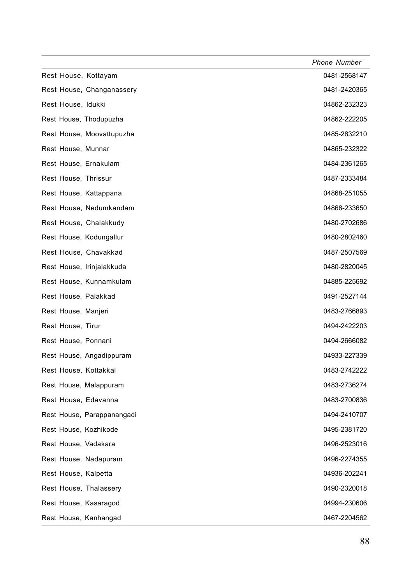|                            | <b>Phone Number</b> |
|----------------------------|---------------------|
| Rest House, Kottayam       | 0481-2568147        |
| Rest House, Changanassery  | 0481-2420365        |
| Rest House, Idukki         | 04862-232323        |
| Rest House, Thodupuzha     | 04862-222205        |
| Rest House, Moovattupuzha  | 0485-2832210        |
| Rest House, Munnar         | 04865-232322        |
| Rest House, Ernakulam      | 0484-2361265        |
| Rest House, Thrissur       | 0487-2333484        |
| Rest House, Kattappana     | 04868-251055        |
| Rest House, Nedumkandam    | 04868-233650        |
| Rest House, Chalakkudy     | 0480-2702686        |
| Rest House, Kodungallur    | 0480-2802460        |
| Rest House, Chavakkad      | 0487-2507569        |
| Rest House, Irinjalakkuda  | 0480-2820045        |
| Rest House, Kunnamkulam    | 04885-225692        |
| Rest House, Palakkad       | 0491-2527144        |
| Rest House, Manjeri        | 0483-2766893        |
| Rest House, Tirur          | 0494-2422203        |
| Rest House, Ponnani        | 0494-2666082        |
| Rest House, Angadippuram   | 04933-227339        |
| Rest House, Kottakkal      | 0483-2742222        |
| Rest House, Malappuram     | 0483-2736274        |
| Rest House, Edavanna       | 0483-2700836        |
| Rest House, Parappanangadi | 0494-2410707        |
| Rest House, Kozhikode      | 0495-2381720        |
| Rest House, Vadakara       | 0496-2523016        |
| Rest House, Nadapuram      | 0496-2274355        |
| Rest House, Kalpetta       | 04936-202241        |
| Rest House, Thalassery     | 0490-2320018        |
| Rest House, Kasaragod      | 04994-230606        |
| Rest House, Kanhangad      | 0467-2204562        |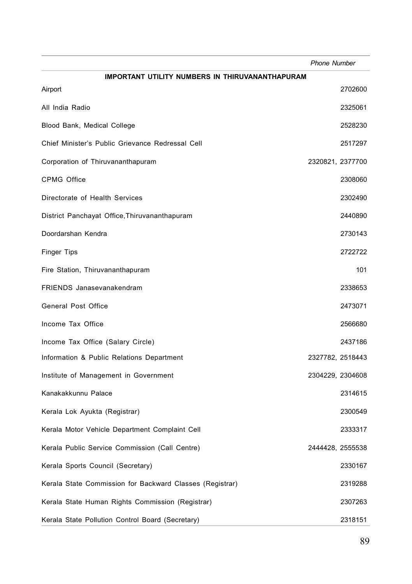|                                                          | <b>Phone Number</b> |
|----------------------------------------------------------|---------------------|
| IMPORTANT UTILITY NUMBERS IN THIRUVANANTHAPURAM          |                     |
| Airport                                                  | 2702600             |
| All India Radio                                          | 2325061             |
| Blood Bank, Medical College                              | 2528230             |
| Chief Minister's Public Grievance Redressal Cell         | 2517297             |
| Corporation of Thiruvananthapuram                        | 2320821, 2377700    |
| CPMG Office                                              | 2308060             |
| Directorate of Health Services                           | 2302490             |
| District Panchayat Office, Thiruvananthapuram            | 2440890             |
| Doordarshan Kendra                                       | 2730143             |
| <b>Finger Tips</b>                                       | 2722722             |
| Fire Station, Thiruvananthapuram                         | 101                 |
| FRIENDS Janasevanakendram                                | 2338653             |
| General Post Office                                      | 2473071             |
| Income Tax Office                                        | 2566680             |
| Income Tax Office (Salary Circle)                        | 2437186             |
| Information & Public Relations Department                | 2327782, 2518443    |
| Institute of Management in Government                    | 2304229, 2304608    |
| Kanakakkunnu Palace                                      | 2314615             |
| Kerala Lok Ayukta (Registrar)                            | 2300549             |
| Kerala Motor Vehicle Department Complaint Cell           | 2333317             |
| Kerala Public Service Commission (Call Centre)           | 2444428, 2555538    |
| Kerala Sports Council (Secretary)                        | 2330167             |
| Kerala State Commission for Backward Classes (Registrar) | 2319288             |
| Kerala State Human Rights Commission (Registrar)         | 2307263             |
| Kerala State Pollution Control Board (Secretary)         | 2318151             |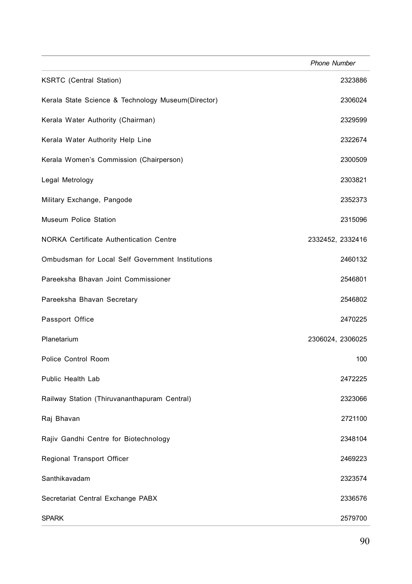|                                                    | <b>Phone Number</b> |
|----------------------------------------------------|---------------------|
| <b>KSRTC</b> (Central Station)                     | 2323886             |
| Kerala State Science & Technology Museum(Director) | 2306024             |
| Kerala Water Authority (Chairman)                  | 2329599             |
| Kerala Water Authority Help Line                   | 2322674             |
| Kerala Women's Commission (Chairperson)            | 2300509             |
| Legal Metrology                                    | 2303821             |
| Military Exchange, Pangode                         | 2352373             |
| Museum Police Station                              | 2315096             |
| NORKA Certificate Authentication Centre            | 2332452, 2332416    |
| Ombudsman for Local Self Government Institutions   | 2460132             |
| Pareeksha Bhavan Joint Commissioner                | 2546801             |
| Pareeksha Bhavan Secretary                         | 2546802             |
| Passport Office                                    | 2470225             |
| Planetarium                                        | 2306024, 2306025    |
| Police Control Room                                | 100                 |
| Public Health Lab                                  | 2472225             |
| Railway Station (Thiruvananthapuram Central)       | 2323066             |
| Raj Bhavan                                         | 2721100             |
| Rajiv Gandhi Centre for Biotechnology              | 2348104             |
| Regional Transport Officer                         | 2469223             |
| Santhikavadam                                      | 2323574             |
| Secretariat Central Exchange PABX                  | 2336576             |
| <b>SPARK</b>                                       | 2579700             |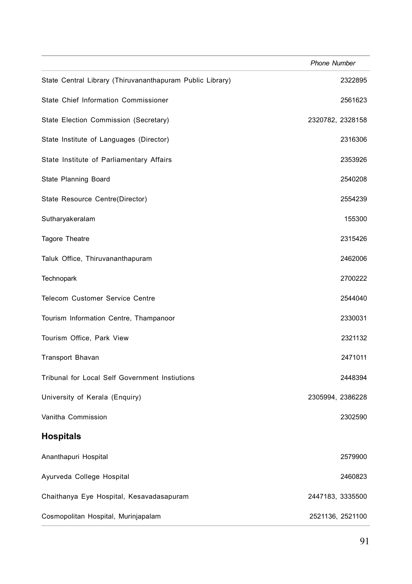|                                                           | <b>Phone Number</b> |
|-----------------------------------------------------------|---------------------|
| State Central Library (Thiruvananthapuram Public Library) | 2322895             |
| State Chief Information Commissioner                      | 2561623             |
| State Election Commission (Secretary)                     | 2320782, 2328158    |
| State Institute of Languages (Director)                   | 2316306             |
| State Institute of Parliamentary Affairs                  | 2353926             |
| State Planning Board                                      | 2540208             |
| State Resource Centre(Director)                           | 2554239             |
| Sutharyakeralam                                           | 155300              |
| Tagore Theatre                                            | 2315426             |
| Taluk Office, Thiruvananthapuram                          | 2462006             |
| <b>Technopark</b>                                         | 2700222             |
| <b>Telecom Customer Service Centre</b>                    | 2544040             |
| Tourism Information Centre, Thampanoor                    | 2330031             |
| Tourism Office, Park View                                 | 2321132             |
| <b>Transport Bhavan</b>                                   | 2471011             |
| Tribunal for Local Self Government Instiutions            | 2448394             |
| University of Kerala (Enquiry)                            | 2305994, 2386228    |
| Vanitha Commission                                        | 2302590             |
| <b>Hospitals</b>                                          |                     |
| Ananthapuri Hospital                                      | 2579900             |
| Ayurveda College Hospital                                 | 2460823             |
| Chaithanya Eye Hospital, Kesavadasapuram                  | 2447183, 3335500    |
| Cosmopolitan Hospital, Murinjapalam                       | 2521136, 2521100    |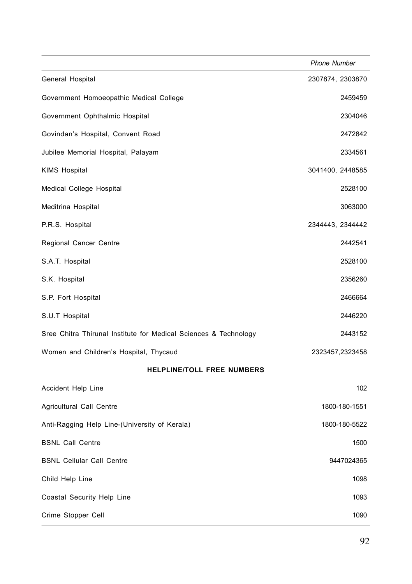|                                                                  | <b>Phone Number</b> |
|------------------------------------------------------------------|---------------------|
| General Hospital                                                 | 2307874, 2303870    |
| Government Homoeopathic Medical College                          | 2459459             |
| Government Ophthalmic Hospital                                   | 2304046             |
| Govindan's Hospital, Convent Road                                | 2472842             |
| Jubilee Memorial Hospital, Palayam                               | 2334561             |
| <b>KIMS Hospital</b>                                             | 3041400, 2448585    |
| Medical College Hospital                                         | 2528100             |
| Meditrina Hospital                                               | 3063000             |
| P.R.S. Hospital                                                  | 2344443, 2344442    |
| Regional Cancer Centre                                           | 2442541             |
| S.A.T. Hospital                                                  | 2528100             |
| S.K. Hospital                                                    | 2356260             |
| S.P. Fort Hospital                                               | 2466664             |
| S.U.T Hospital                                                   | 2446220             |
| Sree Chitra Thirunal Institute for Medical Sciences & Technology | 2443152             |
| Women and Children's Hospital, Thycaud                           | 2323457,2323458     |
| HELPLINE/TOLL FREE NUMBERS                                       |                     |
| Accident Help Line                                               | 102                 |
| Agricultural Call Centre                                         | 1800-180-1551       |
| Anti-Ragging Help Line-(University of Kerala)                    | 1800-180-5522       |
| <b>BSNL Call Centre</b>                                          | 1500                |
| <b>BSNL Cellular Call Centre</b>                                 | 9447024365          |
| Child Help Line                                                  | 1098                |
| Coastal Security Help Line                                       | 1093                |
| Crime Stopper Cell                                               | 1090                |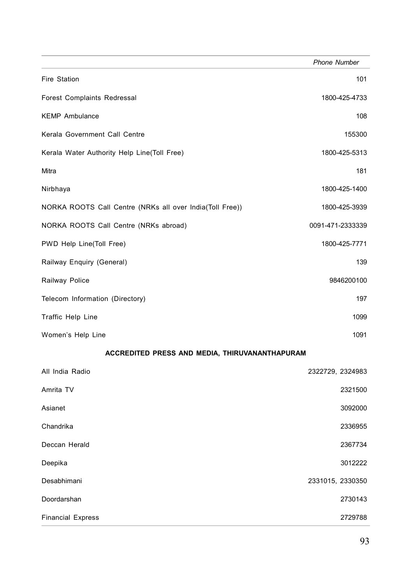|                                                          | <b>Phone Number</b> |
|----------------------------------------------------------|---------------------|
| Fire Station                                             | 101                 |
| Forest Complaints Redressal                              | 1800-425-4733       |
| <b>KEMP Ambulance</b>                                    | 108                 |
| Kerala Government Call Centre                            | 155300              |
| Kerala Water Authority Help Line(Toll Free)              | 1800-425-5313       |
| Mitra                                                    | 181                 |
| Nirbhaya                                                 | 1800-425-1400       |
| NORKA ROOTS Call Centre (NRKs all over India(Toll Free)) | 1800-425-3939       |
| NORKA ROOTS Call Centre (NRKs abroad)                    | 0091-471-2333339    |
| PWD Help Line(Toll Free)                                 | 1800-425-7771       |
| Railway Enquiry (General)                                | 139                 |
| Railway Police                                           | 9846200100          |
| Telecom Information (Directory)                          | 197                 |
| Traffic Help Line                                        | 1099                |
| Women's Help Line                                        | 1091                |
| ACCREDITED PRESS AND MEDIA, THIRUVANANTHAPURAM           |                     |
| All India Radio                                          | 2322729, 2324983    |
| Amrita TV                                                | 2321500             |
| Asianet                                                  | 3092000             |
| Chandrika                                                | 2336955             |
| Deccan Herald                                            | 2367734             |
| Deepika                                                  | 3012222             |
| Desabhimani                                              | 2331015, 2330350    |
| Doordarshan                                              | 2730143             |
| <b>Financial Express</b>                                 | 2729788             |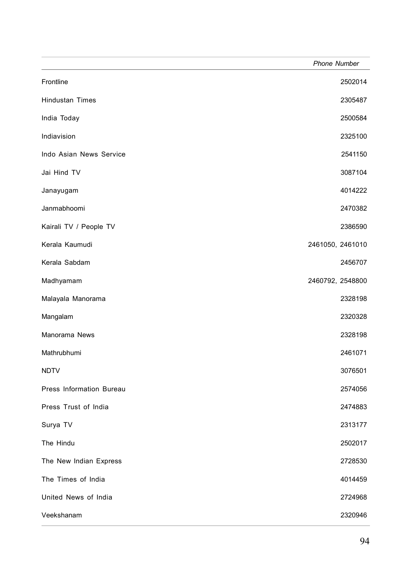|                          | <b>Phone Number</b> |
|--------------------------|---------------------|
| Frontline                | 2502014             |
| Hindustan Times          | 2305487             |
| India Today              | 2500584             |
| Indiavision              | 2325100             |
| Indo Asian News Service  | 2541150             |
| Jai Hind TV              | 3087104             |
| Janayugam                | 4014222             |
| Janmabhoomi              | 2470382             |
| Kairali TV / People TV   | 2386590             |
| Kerala Kaumudi           | 2461050, 2461010    |
| Kerala Sabdam            | 2456707             |
| Madhyamam                | 2460792, 2548800    |
| Malayala Manorama        | 2328198             |
| Mangalam                 | 2320328             |
| Manorama News            | 2328198             |
| Mathrubhumi              | 2461071             |
| <b>NDTV</b>              | 3076501             |
| Press Information Bureau | 2574056             |
| Press Trust of India     | 2474883             |
| Surya TV                 | 2313177             |
| The Hindu                | 2502017             |
| The New Indian Express   | 2728530             |
| The Times of India       | 4014459             |
| United News of India     | 2724968             |
| Veekshanam               | 2320946             |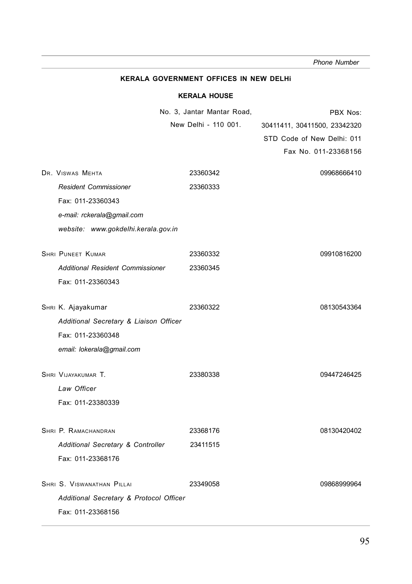**KERALA GOVERNMENT OFFICES IN NEW DELHi KERALA HOUSE** No. 3, Jantar Mantar Road, New Delhi - 110 001. DR. VISWAS MEHTA 23360342 09968666410 *Resident Commissioner* 23360333 Fax: 011-23360343 *e-mail: rckerala@gmail.com website: www.gokdelhi.kerala.gov.in* **SHRI PUNEET KUMAR 23360332** 23360332 09910816200 *Additional Resident Commissioner* 23360345 Fax: 011-23360343 SHRI K. Ajayakumar 23360322 08130543364 *Additional Secretary & Liaison Officer* Fax: 011-23360348 *email: lokerala@gmail.com* SHRI VIJAYAKUMAR T. 23380338 009447246425 *Law Officer* Fax: 011-23380339 SHRI P. RAMACHANDRAN 23368176 08130420402 *Additional Secretary & Controller* 23411515 Fax: 011-23368176 SHRI S. VISWANATHAN PILLAI 23349058 09868999964 *Additional Secretary & Protocol Officer* Fax: 011-23368156  *Phone Number* PBX Nos: 30411411, 30411500, 23342320 STD Code of New Delhi: 011 Fax No. 011-23368156